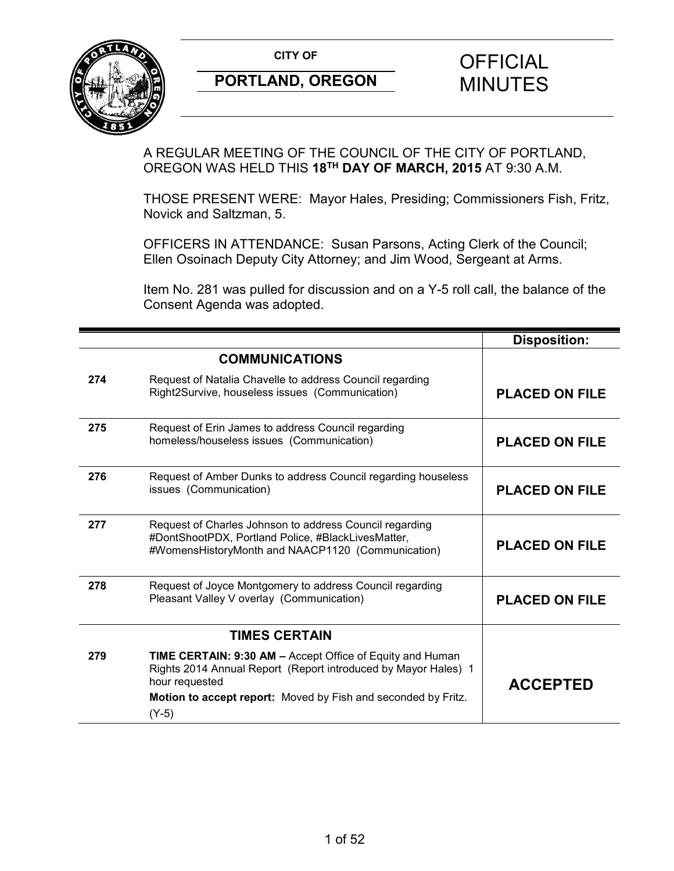

A REGULAR MEETING OF THE COUNCIL OF THE CITY OF PORTLAND, OREGON WAS HELD THIS **18TH DAY OF MARCH, 2015** AT 9:30 A.M.

THOSE PRESENT WERE: Mayor Hales, Presiding; Commissioners Fish, Fritz, Novick and Saltzman, 5.

OFFICERS IN ATTENDANCE: Susan Parsons, Acting Clerk of the Council; Ellen Osoinach Deputy City Attorney; and Jim Wood, Sergeant at Arms.

Item No. 281 was pulled for discussion and on a Y-5 roll call, the balance of the Consent Agenda was adopted.

|     |                                                                                                                                                                                                                           | <b>Disposition:</b>   |
|-----|---------------------------------------------------------------------------------------------------------------------------------------------------------------------------------------------------------------------------|-----------------------|
|     | <b>COMMUNICATIONS</b>                                                                                                                                                                                                     |                       |
| 274 | Request of Natalia Chavelle to address Council regarding<br>Right2Survive, houseless issues (Communication)                                                                                                               | <b>PLACED ON FILE</b> |
| 275 | Request of Erin James to address Council regarding<br>homeless/houseless issues (Communication)                                                                                                                           | <b>PLACED ON FILE</b> |
| 276 | Request of Amber Dunks to address Council regarding houseless<br>issues (Communication)                                                                                                                                   | <b>PLACED ON FILE</b> |
| 277 | Request of Charles Johnson to address Council regarding<br>#DontShootPDX, Portland Police, #BlackLivesMatter,<br>#WomensHistoryMonth and NAACP1120 (Communication)                                                        | <b>PLACED ON FILE</b> |
| 278 | Request of Joyce Montgomery to address Council regarding<br>Pleasant Valley V overlay (Communication)                                                                                                                     | <b>PLACED ON FILE</b> |
|     | <b>TIMES CERTAIN</b>                                                                                                                                                                                                      |                       |
| 279 | TIME CERTAIN: 9:30 AM - Accept Office of Equity and Human<br>Rights 2014 Annual Report (Report introduced by Mayor Hales) 1<br>hour requested<br>Motion to accept report: Moved by Fish and seconded by Fritz.<br>$(Y-5)$ | <b>ACCEPTED</b>       |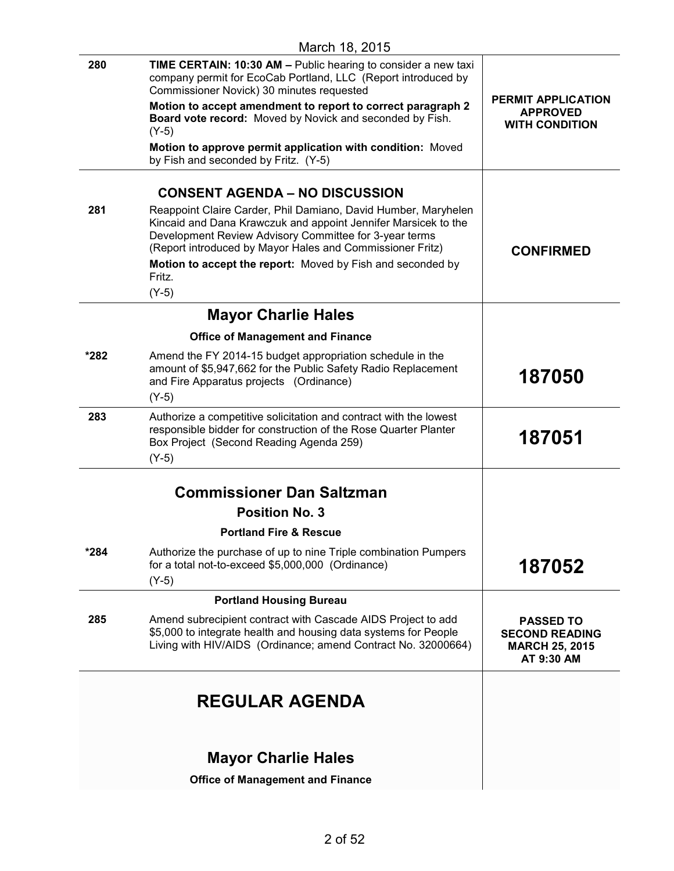| 280  | TIME CERTAIN: 10:30 AM - Public hearing to consider a new taxi<br>company permit for EcoCab Portland, LLC (Report introduced by<br>Commissioner Novick) 30 minutes requested                                                                            |                                                                                  |
|------|---------------------------------------------------------------------------------------------------------------------------------------------------------------------------------------------------------------------------------------------------------|----------------------------------------------------------------------------------|
|      | Motion to accept amendment to report to correct paragraph 2<br>Board vote record: Moved by Novick and seconded by Fish.<br>$(Y-5)$                                                                                                                      | <b>PERMIT APPLICATION</b><br><b>APPROVED</b><br><b>WITH CONDITION</b>            |
|      | Motion to approve permit application with condition: Moved<br>by Fish and seconded by Fritz. (Y-5)                                                                                                                                                      |                                                                                  |
|      | <b>CONSENT AGENDA - NO DISCUSSION</b>                                                                                                                                                                                                                   |                                                                                  |
| 281  | Reappoint Claire Carder, Phil Damiano, David Humber, Maryhelen<br>Kincaid and Dana Krawczuk and appoint Jennifer Marsicek to the<br>Development Review Advisory Committee for 3-year terms<br>(Report introduced by Mayor Hales and Commissioner Fritz) | <b>CONFIRMED</b>                                                                 |
|      | Motion to accept the report: Moved by Fish and seconded by<br>Fritz.                                                                                                                                                                                    |                                                                                  |
|      | $(Y-5)$                                                                                                                                                                                                                                                 |                                                                                  |
|      | <b>Mayor Charlie Hales</b>                                                                                                                                                                                                                              |                                                                                  |
|      | <b>Office of Management and Finance</b>                                                                                                                                                                                                                 |                                                                                  |
| *282 | Amend the FY 2014-15 budget appropriation schedule in the<br>amount of \$5,947,662 for the Public Safety Radio Replacement<br>and Fire Apparatus projects (Ordinance)<br>$(Y-5)$                                                                        | 187050                                                                           |
| 283  | Authorize a competitive solicitation and contract with the lowest<br>responsible bidder for construction of the Rose Quarter Planter<br>Box Project (Second Reading Agenda 259)<br>$(Y-5)$                                                              | 187051                                                                           |
|      |                                                                                                                                                                                                                                                         |                                                                                  |
|      | <b>Commissioner Dan Saltzman</b>                                                                                                                                                                                                                        |                                                                                  |
|      | <b>Position No. 3</b>                                                                                                                                                                                                                                   |                                                                                  |
|      | <b>Portland Fire &amp; Rescue</b>                                                                                                                                                                                                                       |                                                                                  |
| *284 | Authorize the purchase of up to nine Triple combination Pumpers<br>for a total not-to-exceed \$5,000,000 (Ordinance)<br>$(Y-5)$                                                                                                                         | 187052                                                                           |
|      | <b>Portland Housing Bureau</b>                                                                                                                                                                                                                          |                                                                                  |
| 285  | Amend subrecipient contract with Cascade AIDS Project to add<br>\$5,000 to integrate health and housing data systems for People<br>Living with HIV/AIDS (Ordinance; amend Contract No. 32000664)                                                        | <b>PASSED TO</b><br><b>SECOND READING</b><br><b>MARCH 25, 2015</b><br>AT 9:30 AM |
|      | <b>REGULAR AGENDA</b>                                                                                                                                                                                                                                   |                                                                                  |
|      | <b>Mayor Charlie Hales</b>                                                                                                                                                                                                                              |                                                                                  |
|      | <b>Office of Management and Finance</b>                                                                                                                                                                                                                 |                                                                                  |
|      |                                                                                                                                                                                                                                                         |                                                                                  |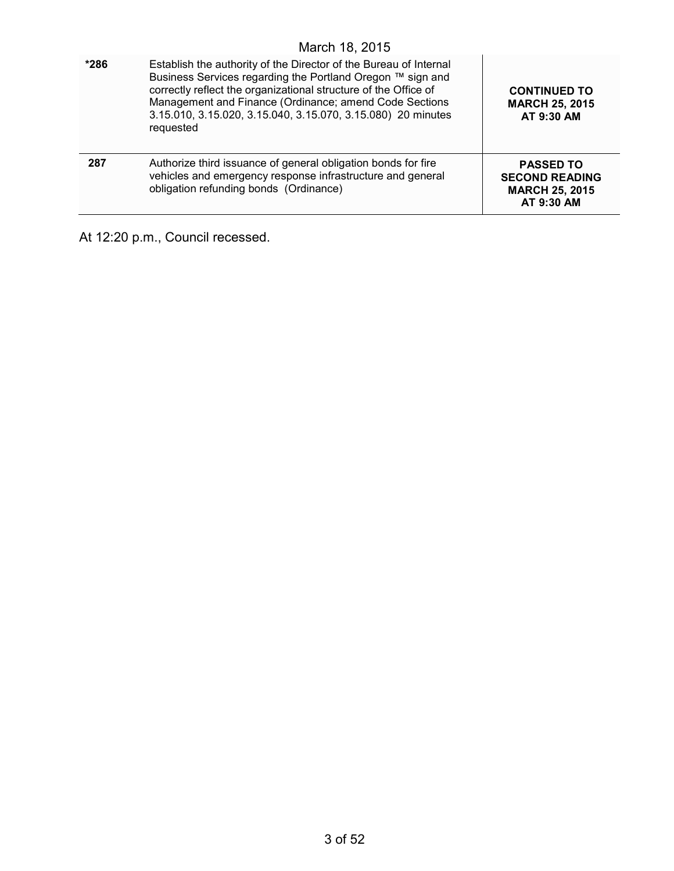| $*286$ | Establish the authority of the Director of the Bureau of Internal<br>Business Services regarding the Portland Oregon ™ sign and<br>correctly reflect the organizational structure of the Office of<br>Management and Finance (Ordinance; amend Code Sections<br>3.15.010, 3.15.020, 3.15.040, 3.15.070, 3.15.080) 20 minutes<br>requested | <b>CONTINUED TO</b><br><b>MARCH 25, 2015</b><br>AT 9:30 AM                       |
|--------|-------------------------------------------------------------------------------------------------------------------------------------------------------------------------------------------------------------------------------------------------------------------------------------------------------------------------------------------|----------------------------------------------------------------------------------|
| 287    | Authorize third issuance of general obligation bonds for fire<br>vehicles and emergency response infrastructure and general<br>obligation refunding bonds (Ordinance)                                                                                                                                                                     | <b>PASSED TO</b><br><b>SECOND READING</b><br><b>MARCH 25, 2015</b><br>AT 9:30 AM |

At 12:20 p.m., Council recessed.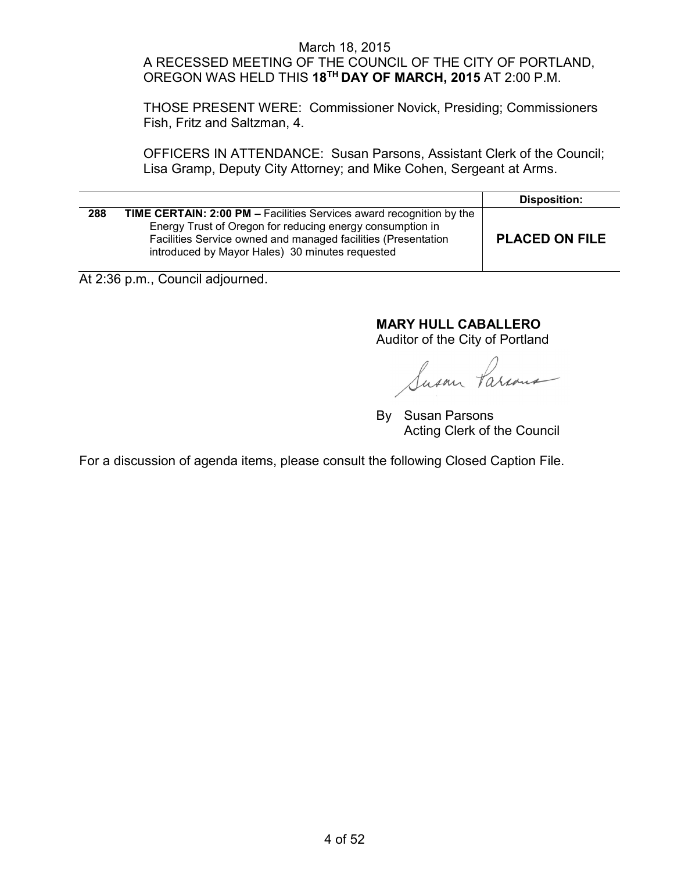#### March 18, 2015 A RECESSED MEETING OF THE COUNCIL OF THE CITY OF PORTLAND, OREGON WAS HELD THIS **18TH DAY OF MARCH, 2015** AT 2:00 P.M.

THOSE PRESENT WERE: Commissioner Novick, Presiding; Commissioners Fish, Fritz and Saltzman, 4.

OFFICERS IN ATTENDANCE: Susan Parsons, Assistant Clerk of the Council; Lisa Gramp, Deputy City Attorney; and Mike Cohen, Sergeant at Arms.

|     |                                                                                                                                                                                                                                                              | <b>Disposition:</b>   |
|-----|--------------------------------------------------------------------------------------------------------------------------------------------------------------------------------------------------------------------------------------------------------------|-----------------------|
| 288 | <b>TIME CERTAIN: 2:00 PM - Facilities Services award recognition by the</b><br>Energy Trust of Oregon for reducing energy consumption in<br>Facilities Service owned and managed facilities (Presentation<br>introduced by Mayor Hales) 30 minutes requested | <b>PLACED ON FILE</b> |

At 2:36 p.m., Council adjourned.

# **MARY HULL CABALLERO**

Auditor of the City of Portland

Susan Parcon

By Susan Parsons Acting Clerk of the Council

For a discussion of agenda items, please consult the following Closed Caption File.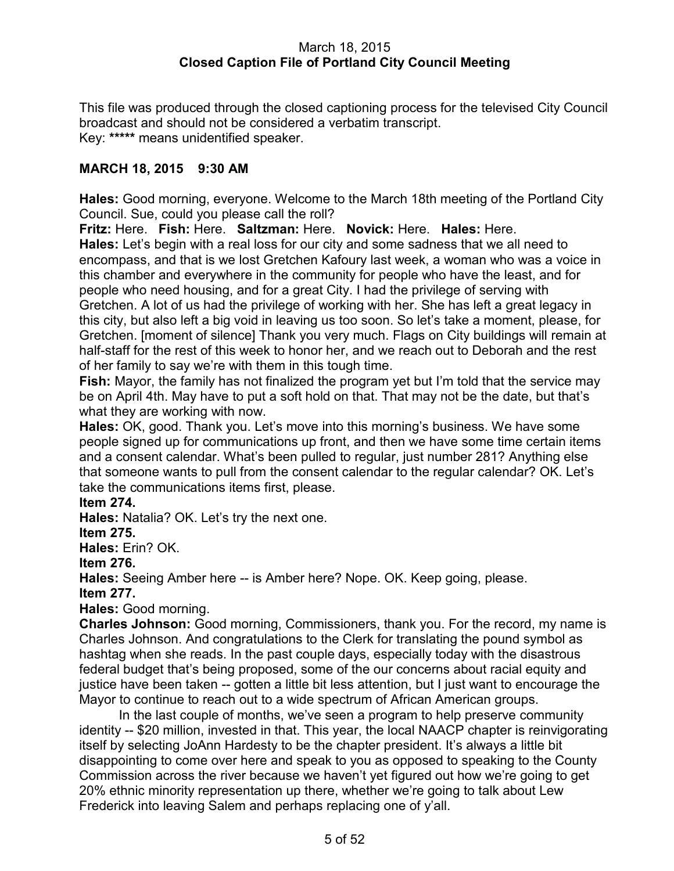### March 18, 2015 **Closed Caption File of Portland City Council Meeting**

This file was produced through the closed captioning process for the televised City Council broadcast and should not be considered a verbatim transcript. Key: **\*\*\*\*\*** means unidentified speaker.

### **MARCH 18, 2015 9:30 AM**

**Hales:** Good morning, everyone. Welcome to the March 18th meeting of the Portland City Council. Sue, could you please call the roll?

**Fritz:** Here. **Fish:** Here. **Saltzman:** Here. **Novick:** Here. **Hales:** Here. **Hales:** Let's begin with a real loss for our city and some sadness that we all need to encompass, and that is we lost Gretchen Kafoury last week, a woman who was a voice in this chamber and everywhere in the community for people who have the least, and for people who need housing, and for a great City. I had the privilege of serving with Gretchen. A lot of us had the privilege of working with her. She has left a great legacy in this city, but also left a big void in leaving us too soon. So let's take a moment, please, for Gretchen. [moment of silence] Thank you very much. Flags on City buildings will remain at half-staff for the rest of this week to honor her, and we reach out to Deborah and the rest of her family to say we're with them in this tough time.

**Fish:** Mayor, the family has not finalized the program yet but I'm told that the service may be on April 4th. May have to put a soft hold on that. That may not be the date, but that's what they are working with now.

**Hales:** OK, good. Thank you. Let's move into this morning's business. We have some people signed up for communications up front, and then we have some time certain items and a consent calendar. What's been pulled to regular, just number 281? Anything else that someone wants to pull from the consent calendar to the regular calendar? OK. Let's take the communications items first, please.

### **Item 274.**

**Hales:** Natalia? OK. Let's try the next one.

### **Item 275.**

**Hales:** Erin? OK.

**Item 276.**

**Hales:** Seeing Amber here -- is Amber here? Nope. OK. Keep going, please. **Item 277.**

**Hales:** Good morning.

**Charles Johnson:** Good morning, Commissioners, thank you. For the record, my name is Charles Johnson. And congratulations to the Clerk for translating the pound symbol as hashtag when she reads. In the past couple days, especially today with the disastrous federal budget that's being proposed, some of the our concerns about racial equity and justice have been taken -- gotten a little bit less attention, but I just want to encourage the Mayor to continue to reach out to a wide spectrum of African American groups.

In the last couple of months, we've seen a program to help preserve community identity -- \$20 million, invested in that. This year, the local NAACP chapter is reinvigorating itself by selecting JoAnn Hardesty to be the chapter president. It's always a little bit disappointing to come over here and speak to you as opposed to speaking to the County Commission across the river because we haven't yet figured out how we're going to get 20% ethnic minority representation up there, whether we're going to talk about Lew Frederick into leaving Salem and perhaps replacing one of y'all.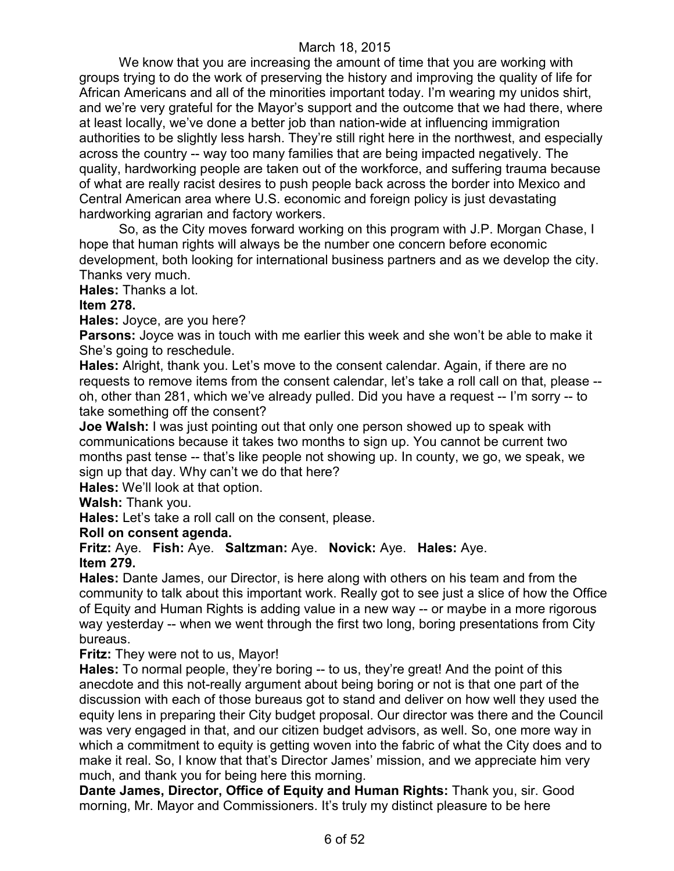We know that you are increasing the amount of time that you are working with groups trying to do the work of preserving the history and improving the quality of life for African Americans and all of the minorities important today. I'm wearing my unidos shirt, and we're very grateful for the Mayor's support and the outcome that we had there, where at least locally, we've done a better job than nation-wide at influencing immigration authorities to be slightly less harsh. They're still right here in the northwest, and especially across the country -- way too many families that are being impacted negatively. The quality, hardworking people are taken out of the workforce, and suffering trauma because of what are really racist desires to push people back across the border into Mexico and Central American area where U.S. economic and foreign policy is just devastating hardworking agrarian and factory workers.

So, as the City moves forward working on this program with J.P. Morgan Chase, I hope that human rights will always be the number one concern before economic development, both looking for international business partners and as we develop the city. Thanks very much.

**Hales:** Thanks a lot.

### **Item 278.**

**Hales:** Joyce, are you here?

**Parsons:** Joyce was in touch with me earlier this week and she won't be able to make it She's going to reschedule.

**Hales:** Alright, thank you. Let's move to the consent calendar. Again, if there are no requests to remove items from the consent calendar, let's take a roll call on that, please - oh, other than 281, which we've already pulled. Did you have a request -- I'm sorry -- to take something off the consent?

**Joe Walsh:** I was just pointing out that only one person showed up to speak with communications because it takes two months to sign up. You cannot be current two months past tense -- that's like people not showing up. In county, we go, we speak, we sign up that day. Why can't we do that here?

**Hales:** We'll look at that option.

**Walsh:** Thank you.

**Hales:** Let's take a roll call on the consent, please.

### **Roll on consent agenda.**

**Fritz:** Aye. **Fish:** Aye. **Saltzman:** Aye. **Novick:** Aye. **Hales:** Aye. **Item 279.**

**Hales:** Dante James, our Director, is here along with others on his team and from the community to talk about this important work. Really got to see just a slice of how the Office of Equity and Human Rights is adding value in a new way -- or maybe in a more rigorous way yesterday -- when we went through the first two long, boring presentations from City bureaus.

#### **Fritz:** They were not to us, Mayor!

**Hales:** To normal people, they're boring -- to us, they're great! And the point of this anecdote and this not-really argument about being boring or not is that one part of the discussion with each of those bureaus got to stand and deliver on how well they used the equity lens in preparing their City budget proposal. Our director was there and the Council was very engaged in that, and our citizen budget advisors, as well. So, one more way in which a commitment to equity is getting woven into the fabric of what the City does and to make it real. So, I know that that's Director James' mission, and we appreciate him very much, and thank you for being here this morning.

**Dante James, Director, Office of Equity and Human Rights:** Thank you, sir. Good morning, Mr. Mayor and Commissioners. It's truly my distinct pleasure to be here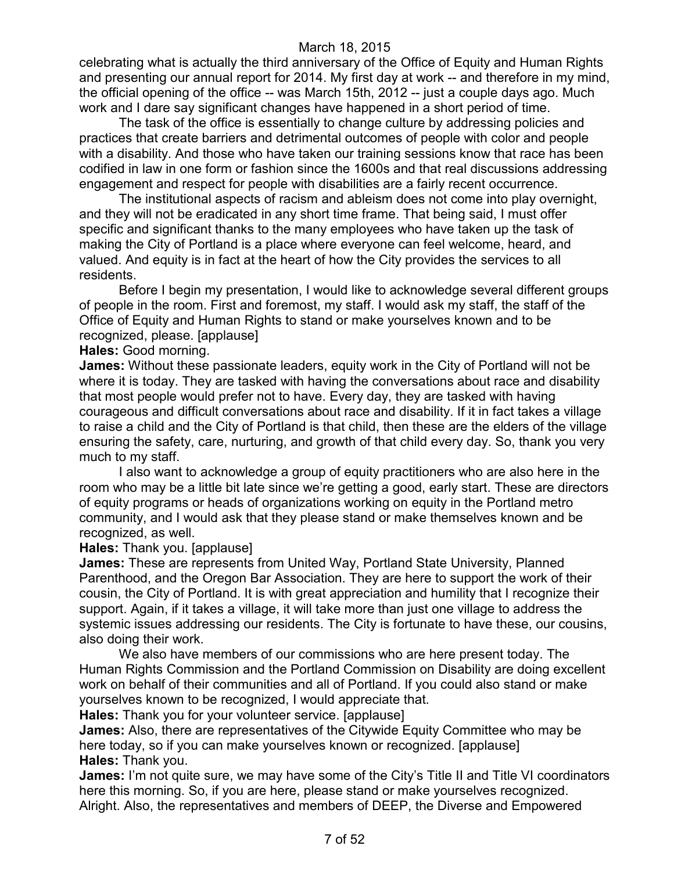celebrating what is actually the third anniversary of the Office of Equity and Human Rights and presenting our annual report for 2014. My first day at work -- and therefore in my mind, the official opening of the office -- was March 15th, 2012 -- just a couple days ago. Much work and I dare say significant changes have happened in a short period of time.

The task of the office is essentially to change culture by addressing policies and practices that create barriers and detrimental outcomes of people with color and people with a disability. And those who have taken our training sessions know that race has been codified in law in one form or fashion since the 1600s and that real discussions addressing engagement and respect for people with disabilities are a fairly recent occurrence.

The institutional aspects of racism and ableism does not come into play overnight, and they will not be eradicated in any short time frame. That being said, I must offer specific and significant thanks to the many employees who have taken up the task of making the City of Portland is a place where everyone can feel welcome, heard, and valued. And equity is in fact at the heart of how the City provides the services to all residents.

Before I begin my presentation, I would like to acknowledge several different groups of people in the room. First and foremost, my staff. I would ask my staff, the staff of the Office of Equity and Human Rights to stand or make yourselves known and to be recognized, please. [applause]

**Hales:** Good morning.

**James:** Without these passionate leaders, equity work in the City of Portland will not be where it is today. They are tasked with having the conversations about race and disability that most people would prefer not to have. Every day, they are tasked with having courageous and difficult conversations about race and disability. If it in fact takes a village to raise a child and the City of Portland is that child, then these are the elders of the village ensuring the safety, care, nurturing, and growth of that child every day. So, thank you very much to my staff.

I also want to acknowledge a group of equity practitioners who are also here in the room who may be a little bit late since we're getting a good, early start. These are directors of equity programs or heads of organizations working on equity in the Portland metro community, and I would ask that they please stand or make themselves known and be recognized, as well.

#### **Hales:** Thank you. [applause]

**James:** These are represents from United Way, Portland State University, Planned Parenthood, and the Oregon Bar Association. They are here to support the work of their cousin, the City of Portland. It is with great appreciation and humility that I recognize their support. Again, if it takes a village, it will take more than just one village to address the systemic issues addressing our residents. The City is fortunate to have these, our cousins, also doing their work.

We also have members of our commissions who are here present today. The Human Rights Commission and the Portland Commission on Disability are doing excellent work on behalf of their communities and all of Portland. If you could also stand or make yourselves known to be recognized, I would appreciate that.

**Hales:** Thank you for your volunteer service. [applause]

**James:** Also, there are representatives of the Citywide Equity Committee who may be here today, so if you can make yourselves known or recognized. [applause] **Hales:** Thank you.

**James:** I'm not quite sure, we may have some of the City's Title II and Title VI coordinators here this morning. So, if you are here, please stand or make yourselves recognized. Alright. Also, the representatives and members of DEEP, the Diverse and Empowered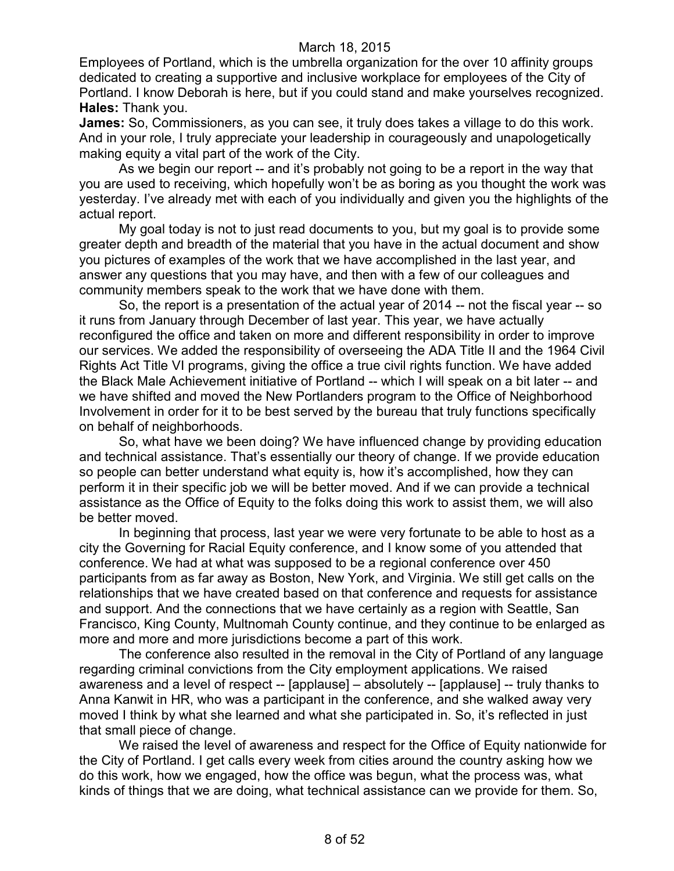Employees of Portland, which is the umbrella organization for the over 10 affinity groups dedicated to creating a supportive and inclusive workplace for employees of the City of Portland. I know Deborah is here, but if you could stand and make yourselves recognized. **Hales:** Thank you.

**James:** So, Commissioners, as you can see, it truly does takes a village to do this work. And in your role, I truly appreciate your leadership in courageously and unapologetically making equity a vital part of the work of the City.

As we begin our report -- and it's probably not going to be a report in the way that you are used to receiving, which hopefully won't be as boring as you thought the work was yesterday. I've already met with each of you individually and given you the highlights of the actual report.

My goal today is not to just read documents to you, but my goal is to provide some greater depth and breadth of the material that you have in the actual document and show you pictures of examples of the work that we have accomplished in the last year, and answer any questions that you may have, and then with a few of our colleagues and community members speak to the work that we have done with them.

So, the report is a presentation of the actual year of 2014 -- not the fiscal year -- so it runs from January through December of last year. This year, we have actually reconfigured the office and taken on more and different responsibility in order to improve our services. We added the responsibility of overseeing the ADA Title II and the 1964 Civil Rights Act Title VI programs, giving the office a true civil rights function. We have added the Black Male Achievement initiative of Portland -- which I will speak on a bit later -- and we have shifted and moved the New Portlanders program to the Office of Neighborhood Involvement in order for it to be best served by the bureau that truly functions specifically on behalf of neighborhoods.

So, what have we been doing? We have influenced change by providing education and technical assistance. That's essentially our theory of change. If we provide education so people can better understand what equity is, how it's accomplished, how they can perform it in their specific job we will be better moved. And if we can provide a technical assistance as the Office of Equity to the folks doing this work to assist them, we will also be better moved.

In beginning that process, last year we were very fortunate to be able to host as a city the Governing for Racial Equity conference, and I know some of you attended that conference. We had at what was supposed to be a regional conference over 450 participants from as far away as Boston, New York, and Virginia. We still get calls on the relationships that we have created based on that conference and requests for assistance and support. And the connections that we have certainly as a region with Seattle, San Francisco, King County, Multnomah County continue, and they continue to be enlarged as more and more and more jurisdictions become a part of this work.

The conference also resulted in the removal in the City of Portland of any language regarding criminal convictions from the City employment applications. We raised awareness and a level of respect -- [applause] – absolutely -- [applause] -- truly thanks to Anna Kanwit in HR, who was a participant in the conference, and she walked away very moved I think by what she learned and what she participated in. So, it's reflected in just that small piece of change.

We raised the level of awareness and respect for the Office of Equity nationwide for the City of Portland. I get calls every week from cities around the country asking how we do this work, how we engaged, how the office was begun, what the process was, what kinds of things that we are doing, what technical assistance can we provide for them. So,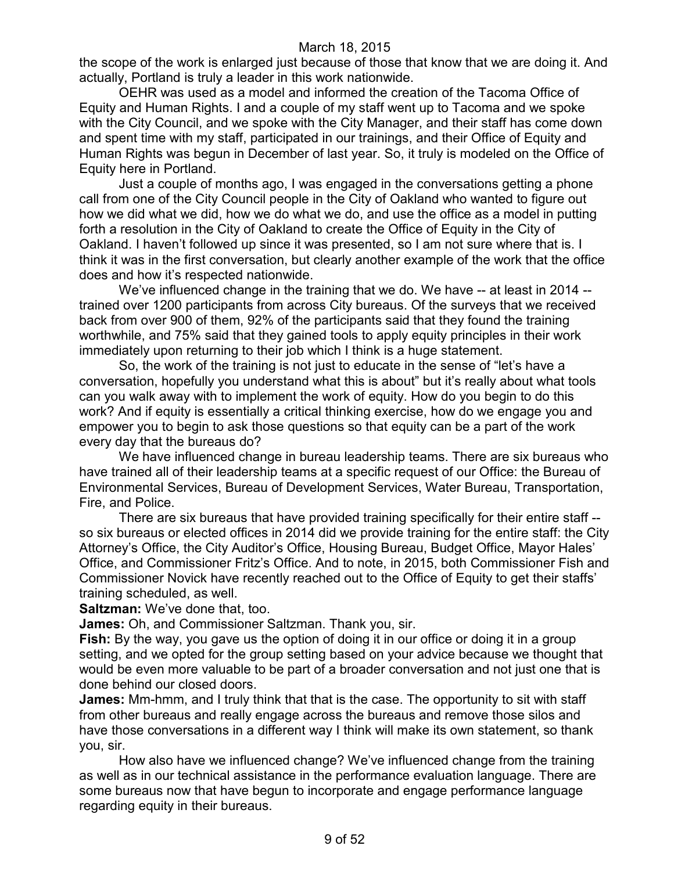the scope of the work is enlarged just because of those that know that we are doing it. And actually, Portland is truly a leader in this work nationwide.

OEHR was used as a model and informed the creation of the Tacoma Office of Equity and Human Rights. I and a couple of my staff went up to Tacoma and we spoke with the City Council, and we spoke with the City Manager, and their staff has come down and spent time with my staff, participated in our trainings, and their Office of Equity and Human Rights was begun in December of last year. So, it truly is modeled on the Office of Equity here in Portland.

Just a couple of months ago, I was engaged in the conversations getting a phone call from one of the City Council people in the City of Oakland who wanted to figure out how we did what we did, how we do what we do, and use the office as a model in putting forth a resolution in the City of Oakland to create the Office of Equity in the City of Oakland. I haven't followed up since it was presented, so I am not sure where that is. I think it was in the first conversation, but clearly another example of the work that the office does and how it's respected nationwide.

We've influenced change in the training that we do. We have -- at least in 2014 - trained over 1200 participants from across City bureaus. Of the surveys that we received back from over 900 of them, 92% of the participants said that they found the training worthwhile, and 75% said that they gained tools to apply equity principles in their work immediately upon returning to their job which I think is a huge statement.

So, the work of the training is not just to educate in the sense of "let's have a conversation, hopefully you understand what this is about" but it's really about what tools can you walk away with to implement the work of equity. How do you begin to do this work? And if equity is essentially a critical thinking exercise, how do we engage you and empower you to begin to ask those questions so that equity can be a part of the work every day that the bureaus do?

We have influenced change in bureau leadership teams. There are six bureaus who have trained all of their leadership teams at a specific request of our Office: the Bureau of Environmental Services, Bureau of Development Services, Water Bureau, Transportation, Fire, and Police.

There are six bureaus that have provided training specifically for their entire staff - so six bureaus or elected offices in 2014 did we provide training for the entire staff: the City Attorney's Office, the City Auditor's Office, Housing Bureau, Budget Office, Mayor Hales' Office, and Commissioner Fritz's Office. And to note, in 2015, both Commissioner Fish and Commissioner Novick have recently reached out to the Office of Equity to get their staffs' training scheduled, as well.

**Saltzman:** We've done that, too.

**James:** Oh, and Commissioner Saltzman. Thank you, sir.

**Fish:** By the way, you gave us the option of doing it in our office or doing it in a group setting, and we opted for the group setting based on your advice because we thought that would be even more valuable to be part of a broader conversation and not just one that is done behind our closed doors.

**James:** Mm-hmm, and I truly think that that is the case. The opportunity to sit with staff from other bureaus and really engage across the bureaus and remove those silos and have those conversations in a different way I think will make its own statement, so thank you, sir.

How also have we influenced change? We've influenced change from the training as well as in our technical assistance in the performance evaluation language. There are some bureaus now that have begun to incorporate and engage performance language regarding equity in their bureaus.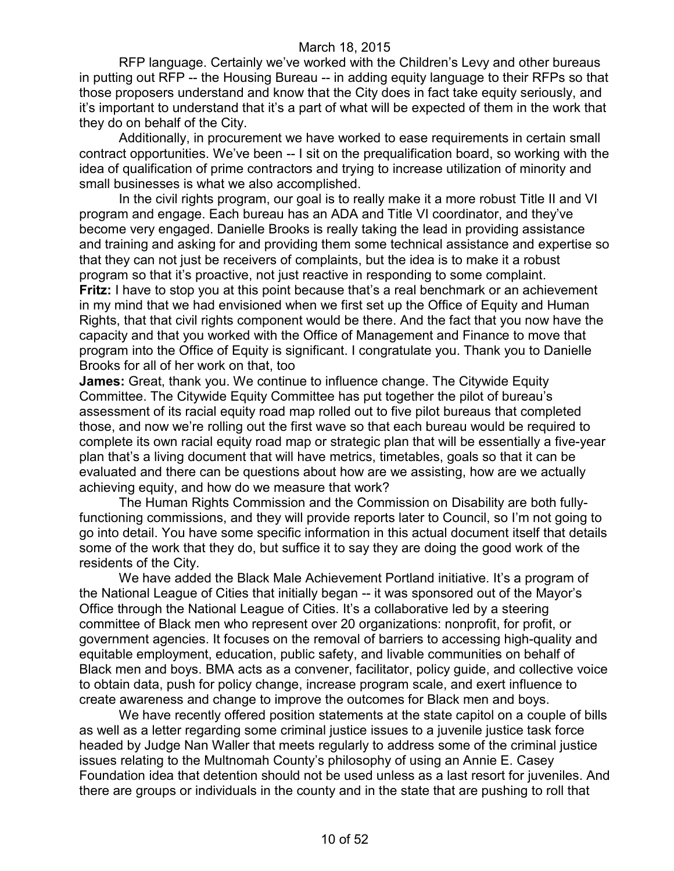RFP language. Certainly we've worked with the Children's Levy and other bureaus in putting out RFP -- the Housing Bureau -- in adding equity language to their RFPs so that those proposers understand and know that the City does in fact take equity seriously, and it's important to understand that it's a part of what will be expected of them in the work that they do on behalf of the City.

Additionally, in procurement we have worked to ease requirements in certain small contract opportunities. We've been -- I sit on the prequalification board, so working with the idea of qualification of prime contractors and trying to increase utilization of minority and small businesses is what we also accomplished.

In the civil rights program, our goal is to really make it a more robust Title II and VI program and engage. Each bureau has an ADA and Title VI coordinator, and they've become very engaged. Danielle Brooks is really taking the lead in providing assistance and training and asking for and providing them some technical assistance and expertise so that they can not just be receivers of complaints, but the idea is to make it a robust program so that it's proactive, not just reactive in responding to some complaint. **Fritz:** I have to stop you at this point because that's a real benchmark or an achievement in my mind that we had envisioned when we first set up the Office of Equity and Human Rights, that that civil rights component would be there. And the fact that you now have the capacity and that you worked with the Office of Management and Finance to move that program into the Office of Equity is significant. I congratulate you. Thank you to Danielle Brooks for all of her work on that, too

**James:** Great, thank you. We continue to influence change. The Citywide Equity Committee. The Citywide Equity Committee has put together the pilot of bureau's assessment of its racial equity road map rolled out to five pilot bureaus that completed those, and now we're rolling out the first wave so that each bureau would be required to complete its own racial equity road map or strategic plan that will be essentially a five-year plan that's a living document that will have metrics, timetables, goals so that it can be evaluated and there can be questions about how are we assisting, how are we actually achieving equity, and how do we measure that work?

The Human Rights Commission and the Commission on Disability are both fullyfunctioning commissions, and they will provide reports later to Council, so I'm not going to go into detail. You have some specific information in this actual document itself that details some of the work that they do, but suffice it to say they are doing the good work of the residents of the City.

We have added the Black Male Achievement Portland initiative. It's a program of the National League of Cities that initially began -- it was sponsored out of the Mayor's Office through the National League of Cities. It's a collaborative led by a steering committee of Black men who represent over 20 organizations: nonprofit, for profit, or government agencies. It focuses on the removal of barriers to accessing high-quality and equitable employment, education, public safety, and livable communities on behalf of Black men and boys. BMA acts as a convener, facilitator, policy guide, and collective voice to obtain data, push for policy change, increase program scale, and exert influence to create awareness and change to improve the outcomes for Black men and boys.

We have recently offered position statements at the state capitol on a couple of bills as well as a letter regarding some criminal justice issues to a juvenile justice task force headed by Judge Nan Waller that meets regularly to address some of the criminal justice issues relating to the Multnomah County's philosophy of using an Annie E. Casey Foundation idea that detention should not be used unless as a last resort for juveniles. And there are groups or individuals in the county and in the state that are pushing to roll that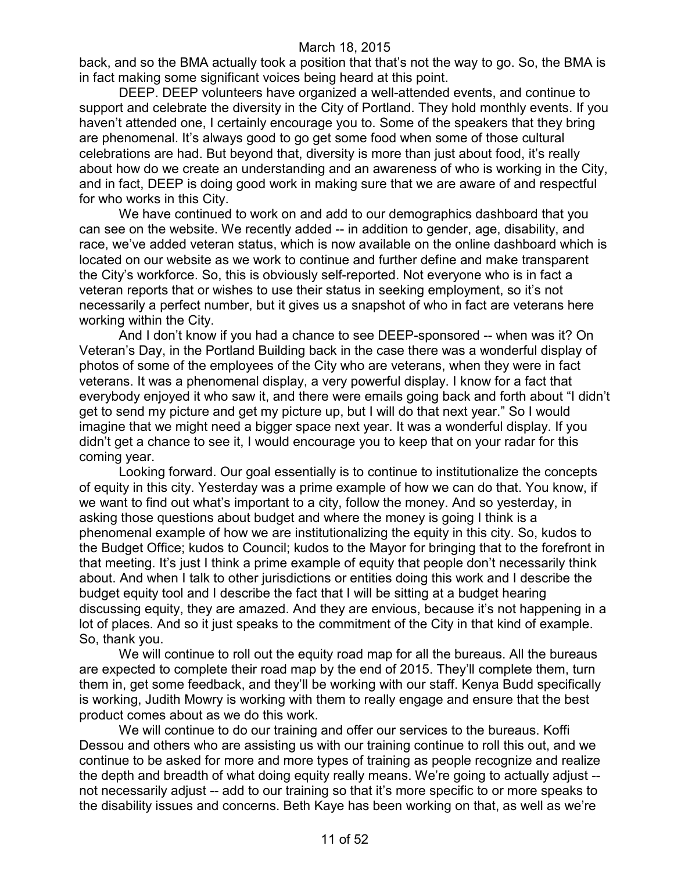back, and so the BMA actually took a position that that's not the way to go. So, the BMA is in fact making some significant voices being heard at this point.

DEEP. DEEP volunteers have organized a well-attended events, and continue to support and celebrate the diversity in the City of Portland. They hold monthly events. If you haven't attended one, I certainly encourage you to. Some of the speakers that they bring are phenomenal. It's always good to go get some food when some of those cultural celebrations are had. But beyond that, diversity is more than just about food, it's really about how do we create an understanding and an awareness of who is working in the City, and in fact, DEEP is doing good work in making sure that we are aware of and respectful for who works in this City.

We have continued to work on and add to our demographics dashboard that you can see on the website. We recently added -- in addition to gender, age, disability, and race, we've added veteran status, which is now available on the online dashboard which is located on our website as we work to continue and further define and make transparent the City's workforce. So, this is obviously self-reported. Not everyone who is in fact a veteran reports that or wishes to use their status in seeking employment, so it's not necessarily a perfect number, but it gives us a snapshot of who in fact are veterans here working within the City.

And I don't know if you had a chance to see DEEP-sponsored -- when was it? On Veteran's Day, in the Portland Building back in the case there was a wonderful display of photos of some of the employees of the City who are veterans, when they were in fact veterans. It was a phenomenal display, a very powerful display. I know for a fact that everybody enjoyed it who saw it, and there were emails going back and forth about "I didn't get to send my picture and get my picture up, but I will do that next year." So I would imagine that we might need a bigger space next year. It was a wonderful display. If you didn't get a chance to see it, I would encourage you to keep that on your radar for this coming year.

Looking forward. Our goal essentially is to continue to institutionalize the concepts of equity in this city. Yesterday was a prime example of how we can do that. You know, if we want to find out what's important to a city, follow the money. And so yesterday, in asking those questions about budget and where the money is going I think is a phenomenal example of how we are institutionalizing the equity in this city. So, kudos to the Budget Office; kudos to Council; kudos to the Mayor for bringing that to the forefront in that meeting. It's just I think a prime example of equity that people don't necessarily think about. And when I talk to other jurisdictions or entities doing this work and I describe the budget equity tool and I describe the fact that I will be sitting at a budget hearing discussing equity, they are amazed. And they are envious, because it's not happening in a lot of places. And so it just speaks to the commitment of the City in that kind of example. So, thank you.

We will continue to roll out the equity road map for all the bureaus. All the bureaus are expected to complete their road map by the end of 2015. They'll complete them, turn them in, get some feedback, and they'll be working with our staff. Kenya Budd specifically is working, Judith Mowry is working with them to really engage and ensure that the best product comes about as we do this work.

We will continue to do our training and offer our services to the bureaus. Koffi Dessou and others who are assisting us with our training continue to roll this out, and we continue to be asked for more and more types of training as people recognize and realize the depth and breadth of what doing equity really means. We're going to actually adjust - not necessarily adjust -- add to our training so that it's more specific to or more speaks to the disability issues and concerns. Beth Kaye has been working on that, as well as we're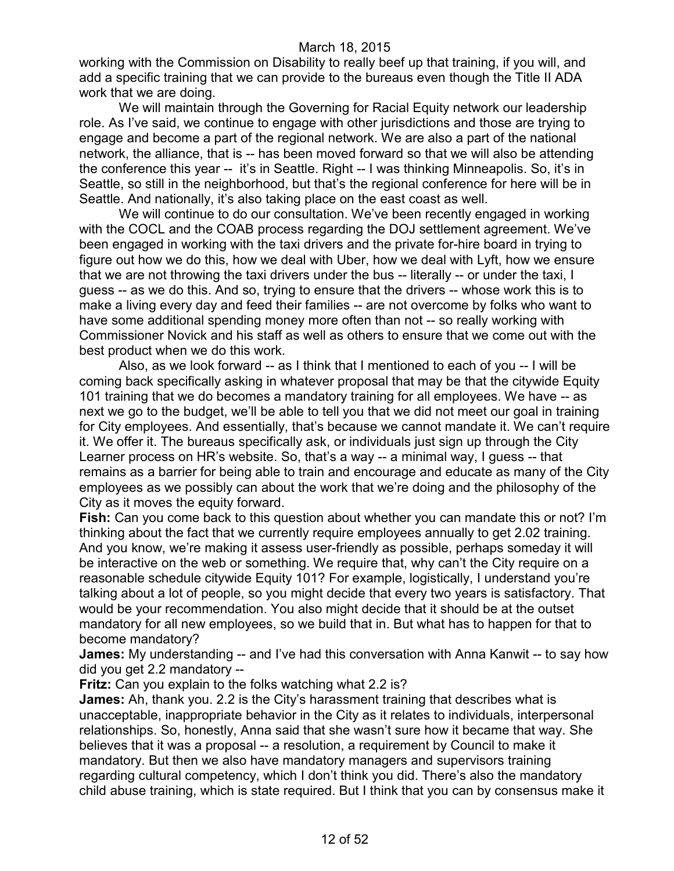working with the Commission on Disability to really beef up that training, if you will, and add a specific training that we can provide to the bureaus even though the Title II ADA work that we are doing.

We will maintain through the Governing for Racial Equity network our leadership role. As I've said, we continue to engage with other jurisdictions and those are trying to engage and become a part of the regional network. We are also a part of the national network, the alliance, that is -- has been moved forward so that we will also be attending the conference this year -- it's in Seattle. Right -- I was thinking Minneapolis. So, it's in Seattle, so still in the neighborhood, but that's the regional conference for here will be in Seattle. And nationally, it's also taking place on the east coast as well.

We will continue to do our consultation. We've been recently engaged in working with the COCL and the COAB process regarding the DOJ settlement agreement. We've been engaged in working with the taxi drivers and the private for-hire board in trying to figure out how we do this, how we deal with Uber, how we deal with Lyft, how we ensure that we are not throwing the taxi drivers under the bus -- literally -- or under the taxi, I guess -- as we do this. And so, trying to ensure that the drivers -- whose work this is to make a living every day and feed their families -- are not overcome by folks who want to have some additional spending money more often than not -- so really working with Commissioner Novick and his staff as well as others to ensure that we come out with the best product when we do this work.

Also, as we look forward -- as I think that I mentioned to each of you -- I will be coming back specifically asking in whatever proposal that may be that the citywide Equity 101 training that we do becomes a mandatory training for all employees. We have -- as next we go to the budget, we'll be able to tell you that we did not meet our goal in training for City employees. And essentially, that's because we cannot mandate it. We can't require it. We offer it. The bureaus specifically ask, or individuals just sign up through the City Learner process on HR's website. So, that's a way -- a minimal way, I guess -- that remains as a barrier for being able to train and encourage and educate as many of the City employees as we possibly can about the work that we're doing and the philosophy of the City as it moves the equity forward.

**Fish:** Can you come back to this question about whether you can mandate this or not? I'm thinking about the fact that we currently require employees annually to get 2.02 training. And you know, we're making it assess user-friendly as possible, perhaps someday it will be interactive on the web or something. We require that, why can't the City require on a reasonable schedule citywide Equity 101? For example, logistically, I understand you're talking about a lot of people, so you might decide that every two years is satisfactory. That would be your recommendation. You also might decide that it should be at the outset mandatory for all new employees, so we build that in. But what has to happen for that to become mandatory?

**James:** My understanding -- and I've had this conversation with Anna Kanwit -- to say how did you get 2.2 mandatory --

**Fritz:** Can you explain to the folks watching what 2.2 is?

**James:** Ah, thank you. 2.2 is the City's harassment training that describes what is unacceptable, inappropriate behavior in the City as it relates to individuals, interpersonal relationships. So, honestly, Anna said that she wasn't sure how it became that way. She believes that it was a proposal -- a resolution, a requirement by Council to make it mandatory. But then we also have mandatory managers and supervisors training regarding cultural competency, which I don't think you did. There's also the mandatory child abuse training, which is state required. But I think that you can by consensus make it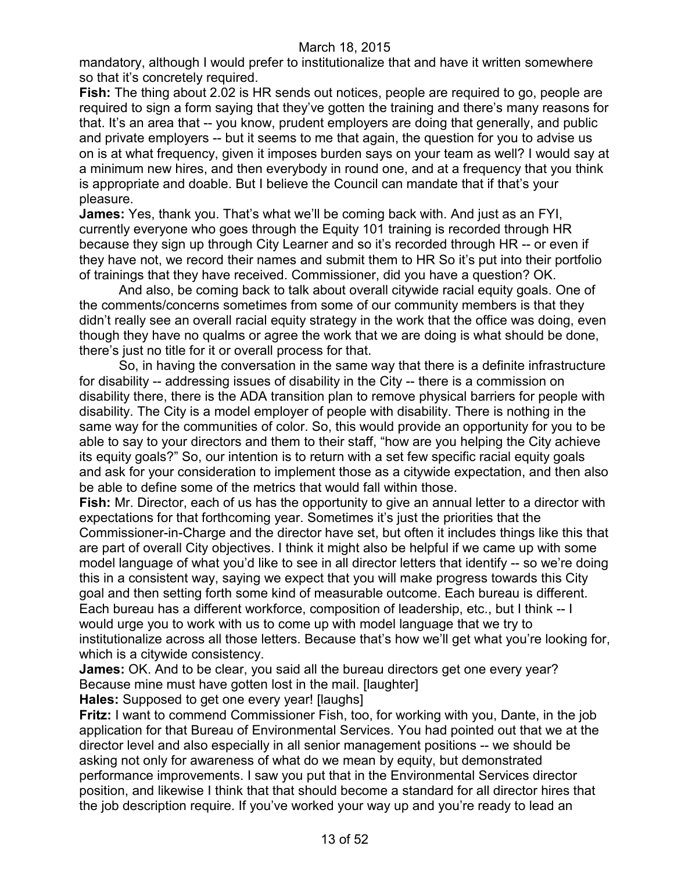mandatory, although I would prefer to institutionalize that and have it written somewhere so that it's concretely required.

**Fish:** The thing about 2.02 is HR sends out notices, people are required to go, people are required to sign a form saying that they've gotten the training and there's many reasons for that. It's an area that -- you know, prudent employers are doing that generally, and public and private employers -- but it seems to me that again, the question for you to advise us on is at what frequency, given it imposes burden says on your team as well? I would say at a minimum new hires, and then everybody in round one, and at a frequency that you think is appropriate and doable. But I believe the Council can mandate that if that's your pleasure.

**James:** Yes, thank you. That's what we'll be coming back with. And just as an FYI, currently everyone who goes through the Equity 101 training is recorded through HR because they sign up through City Learner and so it's recorded through HR -- or even if they have not, we record their names and submit them to HR So it's put into their portfolio of trainings that they have received. Commissioner, did you have a question? OK.

And also, be coming back to talk about overall citywide racial equity goals. One of the comments/concerns sometimes from some of our community members is that they didn't really see an overall racial equity strategy in the work that the office was doing, even though they have no qualms or agree the work that we are doing is what should be done, there's just no title for it or overall process for that.

So, in having the conversation in the same way that there is a definite infrastructure for disability -- addressing issues of disability in the City -- there is a commission on disability there, there is the ADA transition plan to remove physical barriers for people with disability. The City is a model employer of people with disability. There is nothing in the same way for the communities of color. So, this would provide an opportunity for you to be able to say to your directors and them to their staff, "how are you helping the City achieve its equity goals?" So, our intention is to return with a set few specific racial equity goals and ask for your consideration to implement those as a citywide expectation, and then also be able to define some of the metrics that would fall within those.

**Fish:** Mr. Director, each of us has the opportunity to give an annual letter to a director with expectations for that forthcoming year. Sometimes it's just the priorities that the Commissioner-in-Charge and the director have set, but often it includes things like this that are part of overall City objectives. I think it might also be helpful if we came up with some model language of what you'd like to see in all director letters that identify -- so we're doing this in a consistent way, saying we expect that you will make progress towards this City goal and then setting forth some kind of measurable outcome. Each bureau is different. Each bureau has a different workforce, composition of leadership, etc., but I think -- I would urge you to work with us to come up with model language that we try to institutionalize across all those letters. Because that's how we'll get what you're looking for, which is a citywide consistency.

**James:** OK. And to be clear, you said all the bureau directors get one every year? Because mine must have gotten lost in the mail. [laughter] **Hales:** Supposed to get one every year! [laughs]

**Fritz:** I want to commend Commissioner Fish, too, for working with you, Dante, in the job application for that Bureau of Environmental Services. You had pointed out that we at the director level and also especially in all senior management positions -- we should be asking not only for awareness of what do we mean by equity, but demonstrated performance improvements. I saw you put that in the Environmental Services director position, and likewise I think that that should become a standard for all director hires that the job description require. If you've worked your way up and you're ready to lead an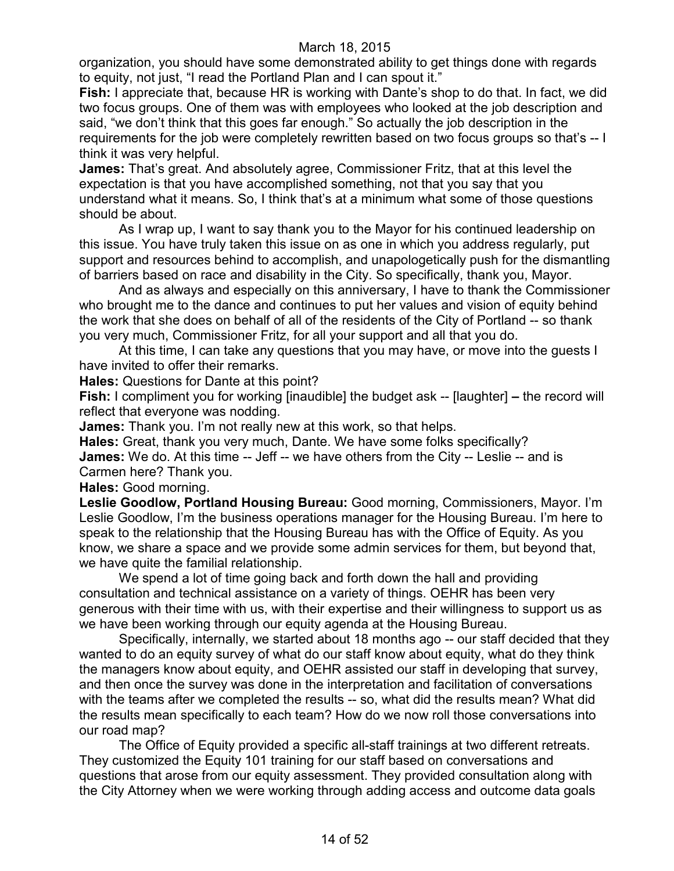organization, you should have some demonstrated ability to get things done with regards to equity, not just, "I read the Portland Plan and I can spout it."

**Fish:** I appreciate that, because HR is working with Dante's shop to do that. In fact, we did two focus groups. One of them was with employees who looked at the job description and said, "we don't think that this goes far enough." So actually the job description in the requirements for the job were completely rewritten based on two focus groups so that's -- I think it was very helpful.

**James:** That's great. And absolutely agree, Commissioner Fritz, that at this level the expectation is that you have accomplished something, not that you say that you understand what it means. So, I think that's at a minimum what some of those questions should be about.

As I wrap up, I want to say thank you to the Mayor for his continued leadership on this issue. You have truly taken this issue on as one in which you address regularly, put support and resources behind to accomplish, and unapologetically push for the dismantling of barriers based on race and disability in the City. So specifically, thank you, Mayor.

And as always and especially on this anniversary, I have to thank the Commissioner who brought me to the dance and continues to put her values and vision of equity behind the work that she does on behalf of all of the residents of the City of Portland -- so thank you very much, Commissioner Fritz, for all your support and all that you do.

At this time, I can take any questions that you may have, or move into the guests I have invited to offer their remarks.

**Hales:** Questions for Dante at this point?

**Fish:** I compliment you for working [inaudible] the budget ask -- [laughter] **–** the record will reflect that everyone was nodding.

**James:** Thank you. I'm not really new at this work, so that helps.

**Hales:** Great, thank you very much, Dante. We have some folks specifically? **James:** We do. At this time -- Jeff -- we have others from the City -- Leslie -- and is Carmen here? Thank you.

**Hales:** Good morning.

**Leslie Goodlow, Portland Housing Bureau:** Good morning, Commissioners, Mayor. I'm Leslie Goodlow, I'm the business operations manager for the Housing Bureau. I'm here to speak to the relationship that the Housing Bureau has with the Office of Equity. As you know, we share a space and we provide some admin services for them, but beyond that, we have quite the familial relationship.

We spend a lot of time going back and forth down the hall and providing consultation and technical assistance on a variety of things. OEHR has been very generous with their time with us, with their expertise and their willingness to support us as we have been working through our equity agenda at the Housing Bureau.

Specifically, internally, we started about 18 months ago -- our staff decided that they wanted to do an equity survey of what do our staff know about equity, what do they think the managers know about equity, and OEHR assisted our staff in developing that survey, and then once the survey was done in the interpretation and facilitation of conversations with the teams after we completed the results -- so, what did the results mean? What did the results mean specifically to each team? How do we now roll those conversations into our road map?

The Office of Equity provided a specific all-staff trainings at two different retreats. They customized the Equity 101 training for our staff based on conversations and questions that arose from our equity assessment. They provided consultation along with the City Attorney when we were working through adding access and outcome data goals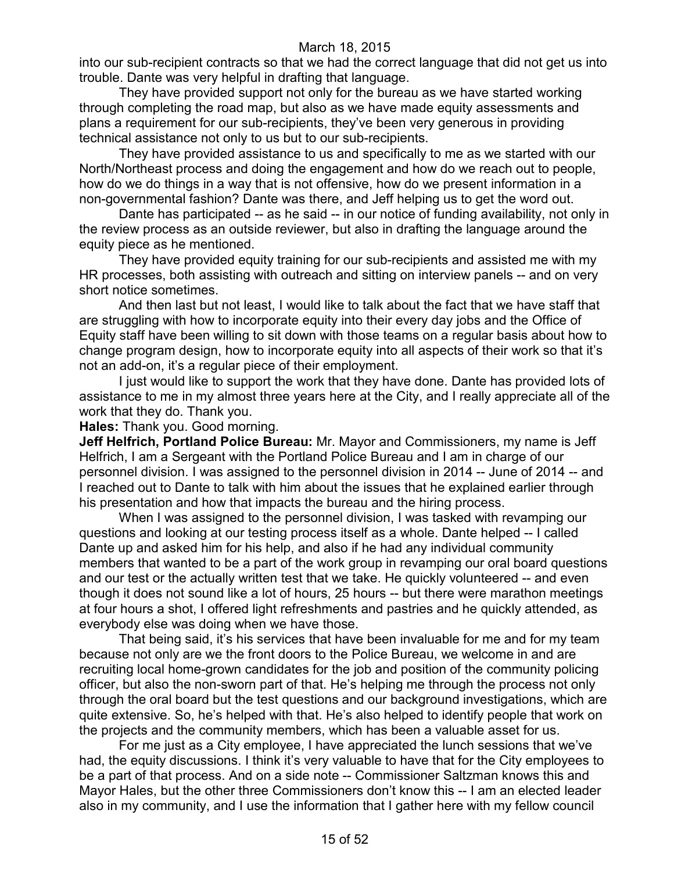into our sub-recipient contracts so that we had the correct language that did not get us into trouble. Dante was very helpful in drafting that language.

They have provided support not only for the bureau as we have started working through completing the road map, but also as we have made equity assessments and plans a requirement for our sub-recipients, they've been very generous in providing technical assistance not only to us but to our sub-recipients.

They have provided assistance to us and specifically to me as we started with our North/Northeast process and doing the engagement and how do we reach out to people, how do we do things in a way that is not offensive, how do we present information in a non-governmental fashion? Dante was there, and Jeff helping us to get the word out.

Dante has participated -- as he said -- in our notice of funding availability, not only in the review process as an outside reviewer, but also in drafting the language around the equity piece as he mentioned.

They have provided equity training for our sub-recipients and assisted me with my HR processes, both assisting with outreach and sitting on interview panels -- and on very short notice sometimes.

And then last but not least, I would like to talk about the fact that we have staff that are struggling with how to incorporate equity into their every day jobs and the Office of Equity staff have been willing to sit down with those teams on a regular basis about how to change program design, how to incorporate equity into all aspects of their work so that it's not an add-on, it's a regular piece of their employment.

I just would like to support the work that they have done. Dante has provided lots of assistance to me in my almost three years here at the City, and I really appreciate all of the work that they do. Thank you.

**Hales:** Thank you. Good morning.

**Jeff Helfrich, Portland Police Bureau:** Mr. Mayor and Commissioners, my name is Jeff Helfrich, I am a Sergeant with the Portland Police Bureau and I am in charge of our personnel division. I was assigned to the personnel division in 2014 -- June of 2014 -- and I reached out to Dante to talk with him about the issues that he explained earlier through his presentation and how that impacts the bureau and the hiring process.

When I was assigned to the personnel division, I was tasked with revamping our questions and looking at our testing process itself as a whole. Dante helped -- I called Dante up and asked him for his help, and also if he had any individual community members that wanted to be a part of the work group in revamping our oral board questions and our test or the actually written test that we take. He quickly volunteered -- and even though it does not sound like a lot of hours, 25 hours -- but there were marathon meetings at four hours a shot, I offered light refreshments and pastries and he quickly attended, as everybody else was doing when we have those.

That being said, it's his services that have been invaluable for me and for my team because not only are we the front doors to the Police Bureau, we welcome in and are recruiting local home-grown candidates for the job and position of the community policing officer, but also the non-sworn part of that. He's helping me through the process not only through the oral board but the test questions and our background investigations, which are quite extensive. So, he's helped with that. He's also helped to identify people that work on the projects and the community members, which has been a valuable asset for us.

For me just as a City employee, I have appreciated the lunch sessions that we've had, the equity discussions. I think it's very valuable to have that for the City employees to be a part of that process. And on a side note -- Commissioner Saltzman knows this and Mayor Hales, but the other three Commissioners don't know this -- I am an elected leader also in my community, and I use the information that I gather here with my fellow council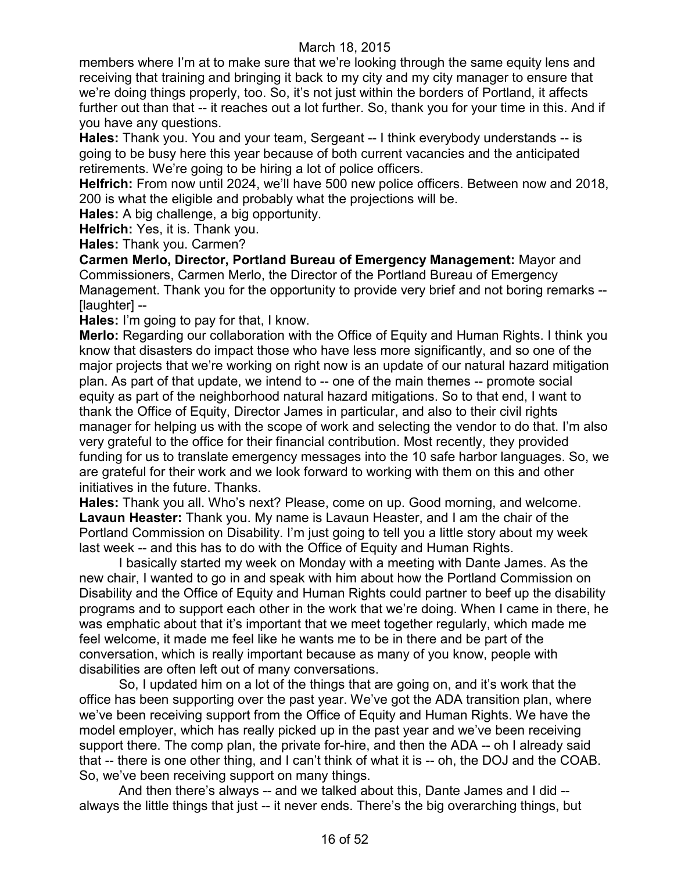members where I'm at to make sure that we're looking through the same equity lens and receiving that training and bringing it back to my city and my city manager to ensure that we're doing things properly, too. So, it's not just within the borders of Portland, it affects further out than that -- it reaches out a lot further. So, thank you for your time in this. And if you have any questions.

**Hales:** Thank you. You and your team, Sergeant -- I think everybody understands -- is going to be busy here this year because of both current vacancies and the anticipated retirements. We're going to be hiring a lot of police officers.

**Helfrich:** From now until 2024, we'll have 500 new police officers. Between now and 2018, 200 is what the eligible and probably what the projections will be.

**Hales:** A big challenge, a big opportunity.

**Helfrich:** Yes, it is. Thank you.

**Hales:** Thank you. Carmen?

**Carmen Merlo, Director, Portland Bureau of Emergency Management:** Mayor and Commissioners, Carmen Merlo, the Director of the Portland Bureau of Emergency Management. Thank you for the opportunity to provide very brief and not boring remarks -- [laughter] --

**Hales:** I'm going to pay for that, I know.

**Merlo:** Regarding our collaboration with the Office of Equity and Human Rights. I think you know that disasters do impact those who have less more significantly, and so one of the major projects that we're working on right now is an update of our natural hazard mitigation plan. As part of that update, we intend to -- one of the main themes -- promote social equity as part of the neighborhood natural hazard mitigations. So to that end, I want to thank the Office of Equity, Director James in particular, and also to their civil rights manager for helping us with the scope of work and selecting the vendor to do that. I'm also very grateful to the office for their financial contribution. Most recently, they provided funding for us to translate emergency messages into the 10 safe harbor languages. So, we are grateful for their work and we look forward to working with them on this and other initiatives in the future. Thanks.

**Hales:** Thank you all. Who's next? Please, come on up. Good morning, and welcome. **Lavaun Heaster:** Thank you. My name is Lavaun Heaster, and I am the chair of the Portland Commission on Disability. I'm just going to tell you a little story about my week last week -- and this has to do with the Office of Equity and Human Rights.

I basically started my week on Monday with a meeting with Dante James. As the new chair, I wanted to go in and speak with him about how the Portland Commission on Disability and the Office of Equity and Human Rights could partner to beef up the disability programs and to support each other in the work that we're doing. When I came in there, he was emphatic about that it's important that we meet together regularly, which made me feel welcome, it made me feel like he wants me to be in there and be part of the conversation, which is really important because as many of you know, people with disabilities are often left out of many conversations.

So, I updated him on a lot of the things that are going on, and it's work that the office has been supporting over the past year. We've got the ADA transition plan, where we've been receiving support from the Office of Equity and Human Rights. We have the model employer, which has really picked up in the past year and we've been receiving support there. The comp plan, the private for-hire, and then the ADA -- oh I already said that -- there is one other thing, and I can't think of what it is -- oh, the DOJ and the COAB. So, we've been receiving support on many things.

And then there's always -- and we talked about this, Dante James and I did - always the little things that just -- it never ends. There's the big overarching things, but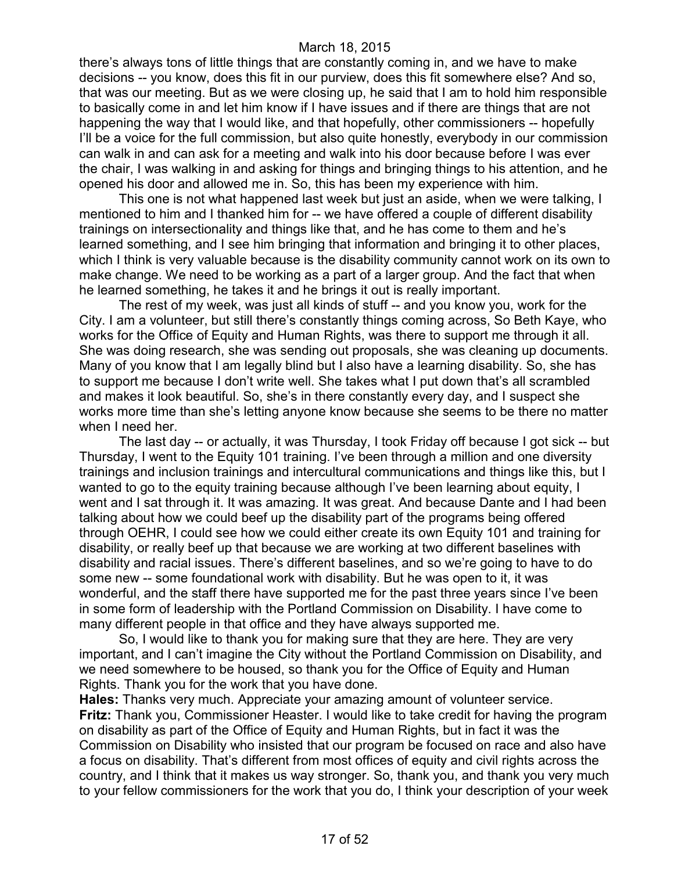there's always tons of little things that are constantly coming in, and we have to make decisions -- you know, does this fit in our purview, does this fit somewhere else? And so, that was our meeting. But as we were closing up, he said that I am to hold him responsible to basically come in and let him know if I have issues and if there are things that are not happening the way that I would like, and that hopefully, other commissioners -- hopefully I'll be a voice for the full commission, but also quite honestly, everybody in our commission can walk in and can ask for a meeting and walk into his door because before I was ever the chair, I was walking in and asking for things and bringing things to his attention, and he opened his door and allowed me in. So, this has been my experience with him.

This one is not what happened last week but just an aside, when we were talking, I mentioned to him and I thanked him for -- we have offered a couple of different disability trainings on intersectionality and things like that, and he has come to them and he's learned something, and I see him bringing that information and bringing it to other places, which I think is very valuable because is the disability community cannot work on its own to make change. We need to be working as a part of a larger group. And the fact that when he learned something, he takes it and he brings it out is really important.

The rest of my week, was just all kinds of stuff -- and you know you, work for the City. I am a volunteer, but still there's constantly things coming across, So Beth Kaye, who works for the Office of Equity and Human Rights, was there to support me through it all. She was doing research, she was sending out proposals, she was cleaning up documents. Many of you know that I am legally blind but I also have a learning disability. So, she has to support me because I don't write well. She takes what I put down that's all scrambled and makes it look beautiful. So, she's in there constantly every day, and I suspect she works more time than she's letting anyone know because she seems to be there no matter when I need her.

The last day -- or actually, it was Thursday, I took Friday off because I got sick -- but Thursday, I went to the Equity 101 training. I've been through a million and one diversity trainings and inclusion trainings and intercultural communications and things like this, but I wanted to go to the equity training because although I've been learning about equity, I went and I sat through it. It was amazing. It was great. And because Dante and I had been talking about how we could beef up the disability part of the programs being offered through OEHR, I could see how we could either create its own Equity 101 and training for disability, or really beef up that because we are working at two different baselines with disability and racial issues. There's different baselines, and so we're going to have to do some new -- some foundational work with disability. But he was open to it, it was wonderful, and the staff there have supported me for the past three years since I've been in some form of leadership with the Portland Commission on Disability. I have come to many different people in that office and they have always supported me.

So, I would like to thank you for making sure that they are here. They are very important, and I can't imagine the City without the Portland Commission on Disability, and we need somewhere to be housed, so thank you for the Office of Equity and Human Rights. Thank you for the work that you have done.

**Hales:** Thanks very much. Appreciate your amazing amount of volunteer service. **Fritz:** Thank you, Commissioner Heaster. I would like to take credit for having the program on disability as part of the Office of Equity and Human Rights, but in fact it was the Commission on Disability who insisted that our program be focused on race and also have a focus on disability. That's different from most offices of equity and civil rights across the country, and I think that it makes us way stronger. So, thank you, and thank you very much to your fellow commissioners for the work that you do, I think your description of your week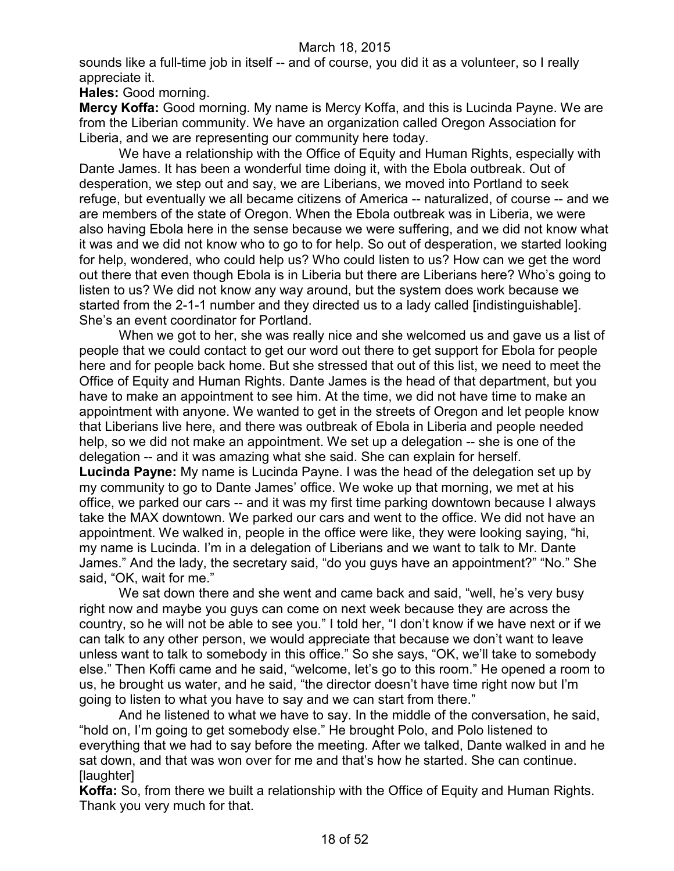sounds like a full-time job in itself -- and of course, you did it as a volunteer, so I really appreciate it.

**Hales:** Good morning.

**Mercy Koffa:** Good morning. My name is Mercy Koffa, and this is Lucinda Payne. We are from the Liberian community. We have an organization called Oregon Association for Liberia, and we are representing our community here today.

We have a relationship with the Office of Equity and Human Rights, especially with Dante James. It has been a wonderful time doing it, with the Ebola outbreak. Out of desperation, we step out and say, we are Liberians, we moved into Portland to seek refuge, but eventually we all became citizens of America -- naturalized, of course -- and we are members of the state of Oregon. When the Ebola outbreak was in Liberia, we were also having Ebola here in the sense because we were suffering, and we did not know what it was and we did not know who to go to for help. So out of desperation, we started looking for help, wondered, who could help us? Who could listen to us? How can we get the word out there that even though Ebola is in Liberia but there are Liberians here? Who's going to listen to us? We did not know any way around, but the system does work because we started from the 2-1-1 number and they directed us to a lady called [indistinguishable]. She's an event coordinator for Portland.

When we got to her, she was really nice and she welcomed us and gave us a list of people that we could contact to get our word out there to get support for Ebola for people here and for people back home. But she stressed that out of this list, we need to meet the Office of Equity and Human Rights. Dante James is the head of that department, but you have to make an appointment to see him. At the time, we did not have time to make an appointment with anyone. We wanted to get in the streets of Oregon and let people know that Liberians live here, and there was outbreak of Ebola in Liberia and people needed help, so we did not make an appointment. We set up a delegation -- she is one of the delegation -- and it was amazing what she said. She can explain for herself. **Lucinda Payne:** My name is Lucinda Payne. I was the head of the delegation set up by

my community to go to Dante James' office. We woke up that morning, we met at his office, we parked our cars -- and it was my first time parking downtown because I always take the MAX downtown. We parked our cars and went to the office. We did not have an appointment. We walked in, people in the office were like, they were looking saying, "hi, my name is Lucinda. I'm in a delegation of Liberians and we want to talk to Mr. Dante James." And the lady, the secretary said, "do you guys have an appointment?" "No." She said, "OK, wait for me."

We sat down there and she went and came back and said, "well, he's very busy right now and maybe you guys can come on next week because they are across the country, so he will not be able to see you." I told her, "I don't know if we have next or if we can talk to any other person, we would appreciate that because we don't want to leave unless want to talk to somebody in this office." So she says, "OK, we'll take to somebody else." Then Koffi came and he said, "welcome, let's go to this room." He opened a room to us, he brought us water, and he said, "the director doesn't have time right now but I'm going to listen to what you have to say and we can start from there."

And he listened to what we have to say. In the middle of the conversation, he said, "hold on, I'm going to get somebody else." He brought Polo, and Polo listened to everything that we had to say before the meeting. After we talked, Dante walked in and he sat down, and that was won over for me and that's how he started. She can continue. **Ilaughterl** 

**Koffa:** So, from there we built a relationship with the Office of Equity and Human Rights. Thank you very much for that.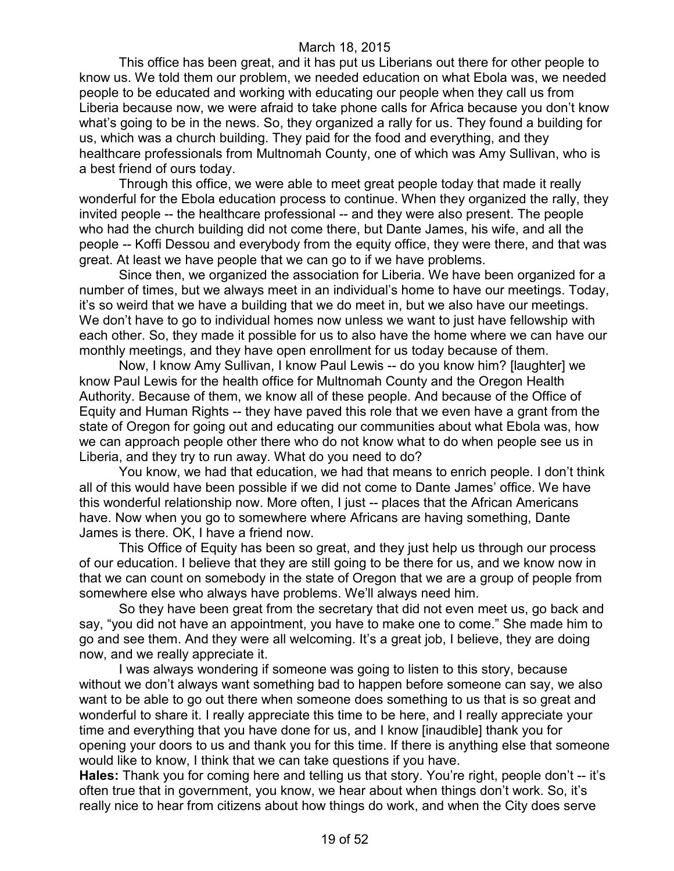This office has been great, and it has put us Liberians out there for other people to know us. We told them our problem, we needed education on what Ebola was, we needed people to be educated and working with educating our people when they call us from Liberia because now, we were afraid to take phone calls for Africa because you don't know what's going to be in the news. So, they organized a rally for us. They found a building for us, which was a church building. They paid for the food and everything, and they healthcare professionals from Multnomah County, one of which was Amy Sullivan, who is a best friend of ours today.

Through this office, we were able to meet great people today that made it really wonderful for the Ebola education process to continue. When they organized the rally, they invited people -- the healthcare professional -- and they were also present. The people who had the church building did not come there, but Dante James, his wife, and all the people -- Koffi Dessou and everybody from the equity office, they were there, and that was great. At least we have people that we can go to if we have problems.

Since then, we organized the association for Liberia. We have been organized for a number of times, but we always meet in an individual's home to have our meetings. Today, it's so weird that we have a building that we do meet in, but we also have our meetings. We don't have to go to individual homes now unless we want to just have fellowship with each other. So, they made it possible for us to also have the home where we can have our monthly meetings, and they have open enrollment for us today because of them.

Now, I know Amy Sullivan, I know Paul Lewis -- do you know him? [laughter] we know Paul Lewis for the health office for Multnomah County and the Oregon Health Authority. Because of them, we know all of these people. And because of the Office of Equity and Human Rights -- they have paved this role that we even have a grant from the state of Oregon for going out and educating our communities about what Ebola was, how we can approach people other there who do not know what to do when people see us in Liberia, and they try to run away. What do you need to do?

You know, we had that education, we had that means to enrich people. I don't think all of this would have been possible if we did not come to Dante James' office. We have this wonderful relationship now. More often, I just -- places that the African Americans have. Now when you go to somewhere where Africans are having something, Dante James is there. OK, I have a friend now.

This Office of Equity has been so great, and they just help us through our process of our education. I believe that they are still going to be there for us, and we know now in that we can count on somebody in the state of Oregon that we are a group of people from somewhere else who always have problems. We'll always need him.

So they have been great from the secretary that did not even meet us, go back and say, "you did not have an appointment, you have to make one to come." She made him to go and see them. And they were all welcoming. It's a great job, I believe, they are doing now, and we really appreciate it.

I was always wondering if someone was going to listen to this story, because without we don't always want something bad to happen before someone can say, we also want to be able to go out there when someone does something to us that is so great and wonderful to share it. I really appreciate this time to be here, and I really appreciate your time and everything that you have done for us, and I know [inaudible] thank you for opening your doors to us and thank you for this time. If there is anything else that someone would like to know, I think that we can take questions if you have.

**Hales:** Thank you for coming here and telling us that story. You're right, people don't -- it's often true that in government, you know, we hear about when things don't work. So, it's really nice to hear from citizens about how things do work, and when the City does serve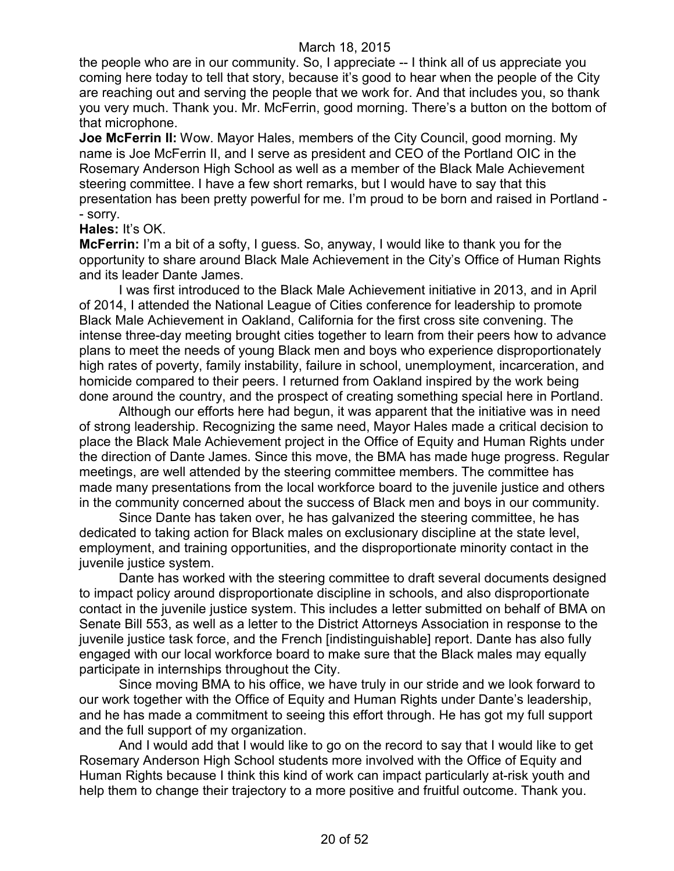the people who are in our community. So, I appreciate -- I think all of us appreciate you coming here today to tell that story, because it's good to hear when the people of the City are reaching out and serving the people that we work for. And that includes you, so thank you very much. Thank you. Mr. McFerrin, good morning. There's a button on the bottom of that microphone.

**Joe McFerrin II:** Wow. Mayor Hales, members of the City Council, good morning. My name is Joe McFerrin II, and I serve as president and CEO of the Portland OIC in the Rosemary Anderson High School as well as a member of the Black Male Achievement steering committee. I have a few short remarks, but I would have to say that this presentation has been pretty powerful for me. I'm proud to be born and raised in Portland - - sorry.

#### **Hales:** It's OK.

**McFerrin:** I'm a bit of a softy, I guess. So, anyway, I would like to thank you for the opportunity to share around Black Male Achievement in the City's Office of Human Rights and its leader Dante James.

I was first introduced to the Black Male Achievement initiative in 2013, and in April of 2014, I attended the National League of Cities conference for leadership to promote Black Male Achievement in Oakland, California for the first cross site convening. The intense three-day meeting brought cities together to learn from their peers how to advance plans to meet the needs of young Black men and boys who experience disproportionately high rates of poverty, family instability, failure in school, unemployment, incarceration, and homicide compared to their peers. I returned from Oakland inspired by the work being done around the country, and the prospect of creating something special here in Portland.

Although our efforts here had begun, it was apparent that the initiative was in need of strong leadership. Recognizing the same need, Mayor Hales made a critical decision to place the Black Male Achievement project in the Office of Equity and Human Rights under the direction of Dante James. Since this move, the BMA has made huge progress. Regular meetings, are well attended by the steering committee members. The committee has made many presentations from the local workforce board to the juvenile justice and others in the community concerned about the success of Black men and boys in our community.

Since Dante has taken over, he has galvanized the steering committee, he has dedicated to taking action for Black males on exclusionary discipline at the state level, employment, and training opportunities, and the disproportionate minority contact in the juvenile justice system.

Dante has worked with the steering committee to draft several documents designed to impact policy around disproportionate discipline in schools, and also disproportionate contact in the juvenile justice system. This includes a letter submitted on behalf of BMA on Senate Bill 553, as well as a letter to the District Attorneys Association in response to the juvenile justice task force, and the French [indistinguishable] report. Dante has also fully engaged with our local workforce board to make sure that the Black males may equally participate in internships throughout the City.

Since moving BMA to his office, we have truly in our stride and we look forward to our work together with the Office of Equity and Human Rights under Dante's leadership, and he has made a commitment to seeing this effort through. He has got my full support and the full support of my organization.

And I would add that I would like to go on the record to say that I would like to get Rosemary Anderson High School students more involved with the Office of Equity and Human Rights because I think this kind of work can impact particularly at-risk youth and help them to change their trajectory to a more positive and fruitful outcome. Thank you.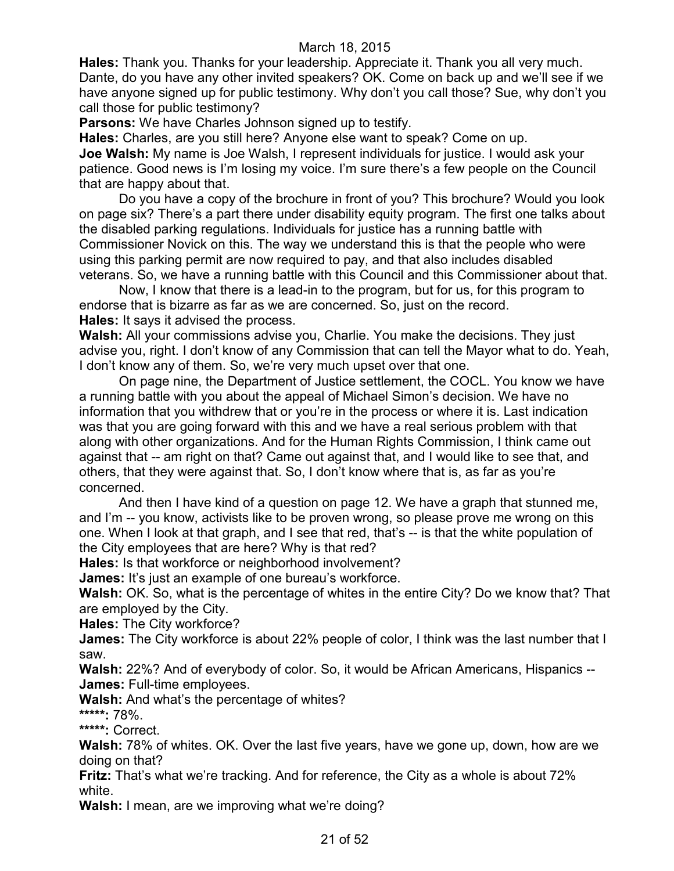**Hales:** Thank you. Thanks for your leadership. Appreciate it. Thank you all very much. Dante, do you have any other invited speakers? OK. Come on back up and we'll see if we have anyone signed up for public testimony. Why don't you call those? Sue, why don't you call those for public testimony?

**Parsons:** We have Charles Johnson signed up to testify.

**Hales:** Charles, are you still here? Anyone else want to speak? Come on up. **Joe Walsh:** My name is Joe Walsh, I represent individuals for justice. I would ask your patience. Good news is I'm losing my voice. I'm sure there's a few people on the Council that are happy about that.

Do you have a copy of the brochure in front of you? This brochure? Would you look on page six? There's a part there under disability equity program. The first one talks about the disabled parking regulations. Individuals for justice has a running battle with Commissioner Novick on this. The way we understand this is that the people who were using this parking permit are now required to pay, and that also includes disabled veterans. So, we have a running battle with this Council and this Commissioner about that.

Now, I know that there is a lead-in to the program, but for us, for this program to endorse that is bizarre as far as we are concerned. So, just on the record. **Hales:** It says it advised the process.

**Walsh:** All your commissions advise you, Charlie. You make the decisions. They just advise you, right. I don't know of any Commission that can tell the Mayor what to do. Yeah, I don't know any of them. So, we're very much upset over that one.

On page nine, the Department of Justice settlement, the COCL. You know we have a running battle with you about the appeal of Michael Simon's decision. We have no information that you withdrew that or you're in the process or where it is. Last indication was that you are going forward with this and we have a real serious problem with that along with other organizations. And for the Human Rights Commission, I think came out against that -- am right on that? Came out against that, and I would like to see that, and others, that they were against that. So, I don't know where that is, as far as you're concerned.

And then I have kind of a question on page 12. We have a graph that stunned me, and I'm -- you know, activists like to be proven wrong, so please prove me wrong on this one. When I look at that graph, and I see that red, that's -- is that the white population of the City employees that are here? Why is that red?

**Hales:** Is that workforce or neighborhood involvement?

**James:** It's just an example of one bureau's workforce.

**Walsh:** OK. So, what is the percentage of whites in the entire City? Do we know that? That are employed by the City.

**Hales:** The City workforce?

**James:** The City workforce is about 22% people of color, I think was the last number that I saw.

**Walsh:** 22%? And of everybody of color. So, it would be African Americans, Hispanics -- **James:** Full-time employees.

**Walsh:** And what's the percentage of whites?

**\*\*\*\*\*:** 78%.

**\*\*\*\*\*:** Correct.

**Walsh:** 78% of whites. OK. Over the last five years, have we gone up, down, how are we doing on that?

**Fritz:** That's what we're tracking. And for reference, the City as a whole is about 72% white.

**Walsh:** I mean, are we improving what we're doing?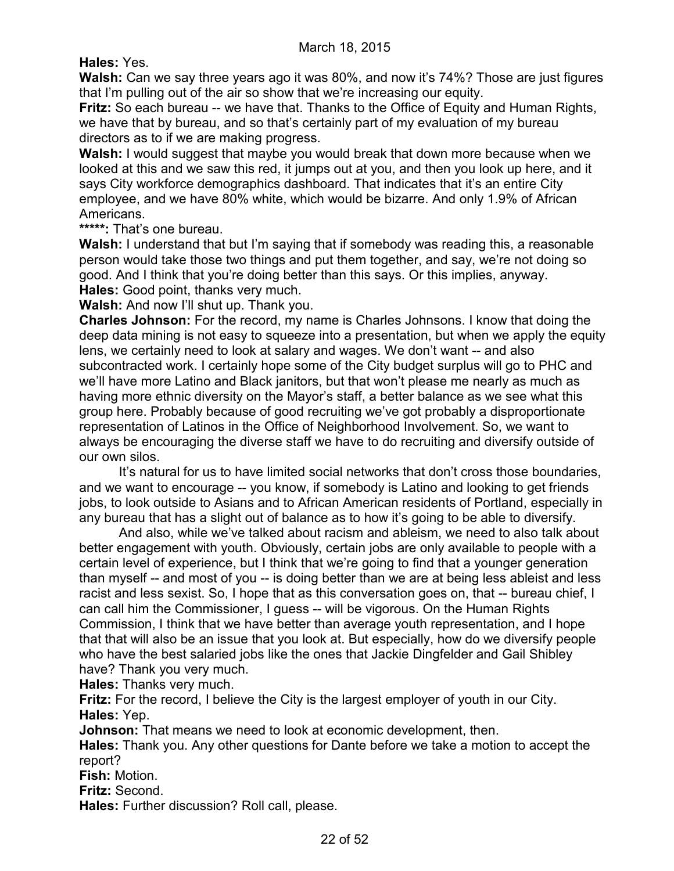**Hales:** Yes.

**Walsh:** Can we say three years ago it was 80%, and now it's 74%? Those are just figures that I'm pulling out of the air so show that we're increasing our equity.

**Fritz:** So each bureau -- we have that. Thanks to the Office of Equity and Human Rights, we have that by bureau, and so that's certainly part of my evaluation of my bureau directors as to if we are making progress.

**Walsh:** I would suggest that maybe you would break that down more because when we looked at this and we saw this red, it jumps out at you, and then you look up here, and it says City workforce demographics dashboard. That indicates that it's an entire City employee, and we have 80% white, which would be bizarre. And only 1.9% of African Americans.

**\*\*\*\*\*:** That's one bureau.

**Walsh:** I understand that but I'm saying that if somebody was reading this, a reasonable person would take those two things and put them together, and say, we're not doing so good. And I think that you're doing better than this says. Or this implies, anyway. **Hales:** Good point, thanks very much.

**Walsh:** And now I'll shut up. Thank you.

**Charles Johnson:** For the record, my name is Charles Johnsons. I know that doing the deep data mining is not easy to squeeze into a presentation, but when we apply the equity lens, we certainly need to look at salary and wages. We don't want -- and also subcontracted work. I certainly hope some of the City budget surplus will go to PHC and we'll have more Latino and Black janitors, but that won't please me nearly as much as having more ethnic diversity on the Mayor's staff, a better balance as we see what this group here. Probably because of good recruiting we've got probably a disproportionate representation of Latinos in the Office of Neighborhood Involvement. So, we want to always be encouraging the diverse staff we have to do recruiting and diversify outside of our own silos.

It's natural for us to have limited social networks that don't cross those boundaries, and we want to encourage -- you know, if somebody is Latino and looking to get friends jobs, to look outside to Asians and to African American residents of Portland, especially in any bureau that has a slight out of balance as to how it's going to be able to diversify.

And also, while we've talked about racism and ableism, we need to also talk about better engagement with youth. Obviously, certain jobs are only available to people with a certain level of experience, but I think that we're going to find that a younger generation than myself -- and most of you -- is doing better than we are at being less ableist and less racist and less sexist. So, I hope that as this conversation goes on, that -- bureau chief, I can call him the Commissioner, I guess -- will be vigorous. On the Human Rights Commission, I think that we have better than average youth representation, and I hope that that will also be an issue that you look at. But especially, how do we diversify people who have the best salaried jobs like the ones that Jackie Dingfelder and Gail Shibley have? Thank you very much.

**Hales:** Thanks very much.

**Fritz:** For the record, I believe the City is the largest employer of youth in our City. **Hales:** Yep.

**Johnson:** That means we need to look at economic development, then.

**Hales:** Thank you. Any other questions for Dante before we take a motion to accept the report?

**Fish:** Motion.

**Fritz:** Second.

**Hales:** Further discussion? Roll call, please.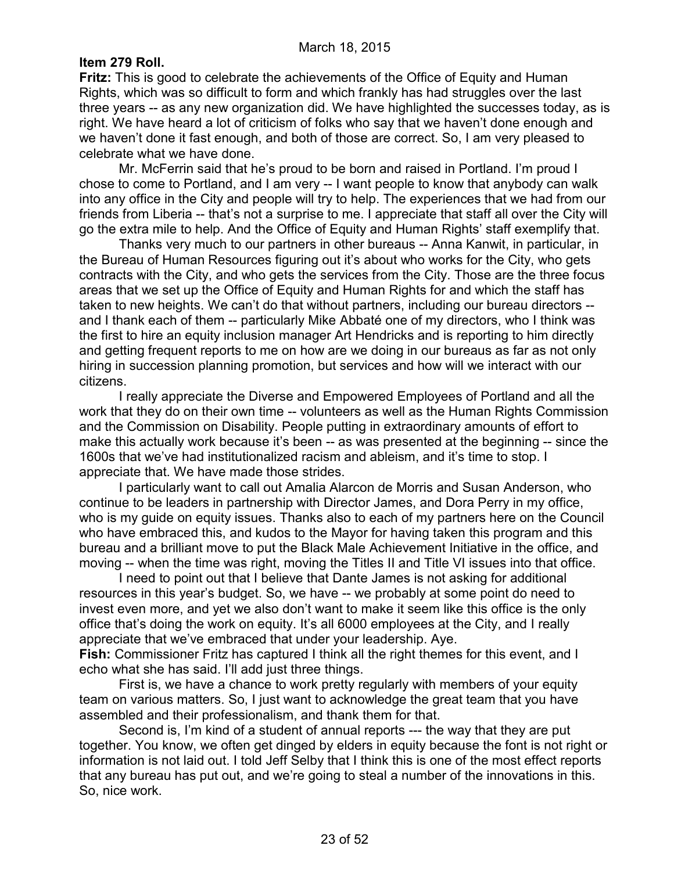### **Item 279 Roll.**

**Fritz:** This is good to celebrate the achievements of the Office of Equity and Human Rights, which was so difficult to form and which frankly has had struggles over the last three years -- as any new organization did. We have highlighted the successes today, as is right. We have heard a lot of criticism of folks who say that we haven't done enough and we haven't done it fast enough, and both of those are correct. So, I am very pleased to celebrate what we have done.

Mr. McFerrin said that he's proud to be born and raised in Portland. I'm proud I chose to come to Portland, and I am very -- I want people to know that anybody can walk into any office in the City and people will try to help. The experiences that we had from our friends from Liberia -- that's not a surprise to me. I appreciate that staff all over the City will go the extra mile to help. And the Office of Equity and Human Rights' staff exemplify that.

Thanks very much to our partners in other bureaus -- Anna Kanwit, in particular, in the Bureau of Human Resources figuring out it's about who works for the City, who gets contracts with the City, and who gets the services from the City. Those are the three focus areas that we set up the Office of Equity and Human Rights for and which the staff has taken to new heights. We can't do that without partners, including our bureau directors - and I thank each of them -- particularly Mike Abbaté one of my directors, who I think was the first to hire an equity inclusion manager Art Hendricks and is reporting to him directly and getting frequent reports to me on how are we doing in our bureaus as far as not only hiring in succession planning promotion, but services and how will we interact with our citizens.

I really appreciate the Diverse and Empowered Employees of Portland and all the work that they do on their own time -- volunteers as well as the Human Rights Commission and the Commission on Disability. People putting in extraordinary amounts of effort to make this actually work because it's been -- as was presented at the beginning -- since the 1600s that we've had institutionalized racism and ableism, and it's time to stop. I appreciate that. We have made those strides.

I particularly want to call out Amalia Alarcon de Morris and Susan Anderson, who continue to be leaders in partnership with Director James, and Dora Perry in my office, who is my guide on equity issues. Thanks also to each of my partners here on the Council who have embraced this, and kudos to the Mayor for having taken this program and this bureau and a brilliant move to put the Black Male Achievement Initiative in the office, and moving -- when the time was right, moving the Titles II and Title VI issues into that office.

I need to point out that I believe that Dante James is not asking for additional resources in this year's budget. So, we have -- we probably at some point do need to invest even more, and yet we also don't want to make it seem like this office is the only office that's doing the work on equity. It's all 6000 employees at the City, and I really appreciate that we've embraced that under your leadership. Aye.

**Fish:** Commissioner Fritz has captured I think all the right themes for this event, and I echo what she has said. I'll add just three things.

First is, we have a chance to work pretty regularly with members of your equity team on various matters. So, I just want to acknowledge the great team that you have assembled and their professionalism, and thank them for that.

Second is, I'm kind of a student of annual reports --- the way that they are put together. You know, we often get dinged by elders in equity because the font is not right or information is not laid out. I told Jeff Selby that I think this is one of the most effect reports that any bureau has put out, and we're going to steal a number of the innovations in this. So, nice work.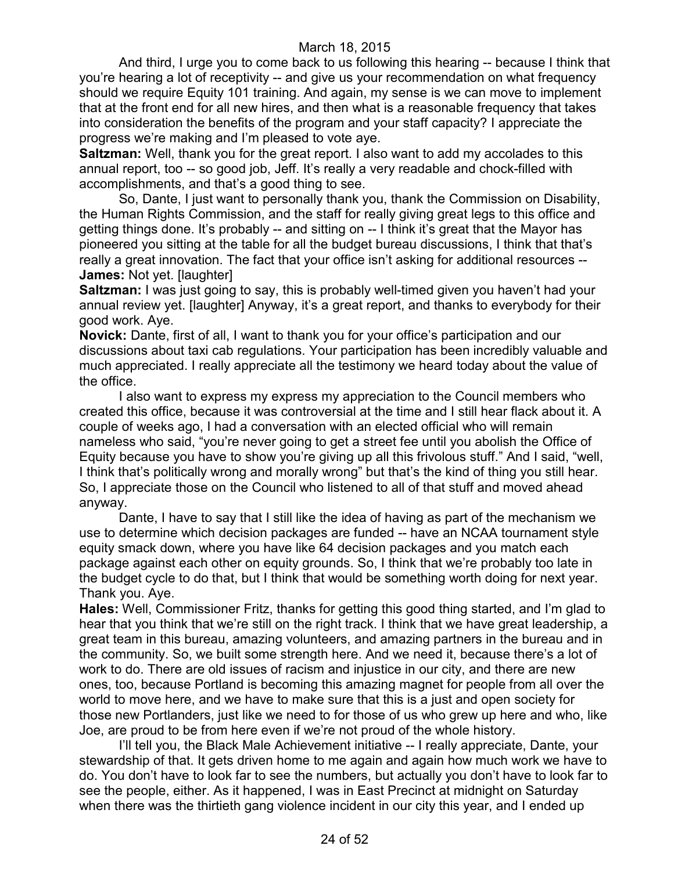And third, I urge you to come back to us following this hearing -- because I think that you're hearing a lot of receptivity -- and give us your recommendation on what frequency should we require Equity 101 training. And again, my sense is we can move to implement that at the front end for all new hires, and then what is a reasonable frequency that takes into consideration the benefits of the program and your staff capacity? I appreciate the progress we're making and I'm pleased to vote aye.

**Saltzman:** Well, thank you for the great report. I also want to add my accolades to this annual report, too -- so good job, Jeff. It's really a very readable and chock-filled with accomplishments, and that's a good thing to see.

So, Dante, I just want to personally thank you, thank the Commission on Disability, the Human Rights Commission, and the staff for really giving great legs to this office and getting things done. It's probably -- and sitting on -- I think it's great that the Mayor has pioneered you sitting at the table for all the budget bureau discussions, I think that that's really a great innovation. The fact that your office isn't asking for additional resources -- **James: Not yet. [laughter]** 

**Saltzman:** I was just going to say, this is probably well-timed given you haven't had your annual review yet. [laughter] Anyway, it's a great report, and thanks to everybody for their good work. Aye.

**Novick:** Dante, first of all, I want to thank you for your office's participation and our discussions about taxi cab regulations. Your participation has been incredibly valuable and much appreciated. I really appreciate all the testimony we heard today about the value of the office.

I also want to express my express my appreciation to the Council members who created this office, because it was controversial at the time and I still hear flack about it. A couple of weeks ago, I had a conversation with an elected official who will remain nameless who said, "you're never going to get a street fee until you abolish the Office of Equity because you have to show you're giving up all this frivolous stuff." And I said, "well, I think that's politically wrong and morally wrong" but that's the kind of thing you still hear. So, I appreciate those on the Council who listened to all of that stuff and moved ahead anyway.

Dante, I have to say that I still like the idea of having as part of the mechanism we use to determine which decision packages are funded -- have an NCAA tournament style equity smack down, where you have like 64 decision packages and you match each package against each other on equity grounds. So, I think that we're probably too late in the budget cycle to do that, but I think that would be something worth doing for next year. Thank you. Aye.

**Hales:** Well, Commissioner Fritz, thanks for getting this good thing started, and I'm glad to hear that you think that we're still on the right track. I think that we have great leadership, a great team in this bureau, amazing volunteers, and amazing partners in the bureau and in the community. So, we built some strength here. And we need it, because there's a lot of work to do. There are old issues of racism and injustice in our city, and there are new ones, too, because Portland is becoming this amazing magnet for people from all over the world to move here, and we have to make sure that this is a just and open society for those new Portlanders, just like we need to for those of us who grew up here and who, like Joe, are proud to be from here even if we're not proud of the whole history.

I'll tell you, the Black Male Achievement initiative -- I really appreciate, Dante, your stewardship of that. It gets driven home to me again and again how much work we have to do. You don't have to look far to see the numbers, but actually you don't have to look far to see the people, either. As it happened, I was in East Precinct at midnight on Saturday when there was the thirtieth gang violence incident in our city this year, and I ended up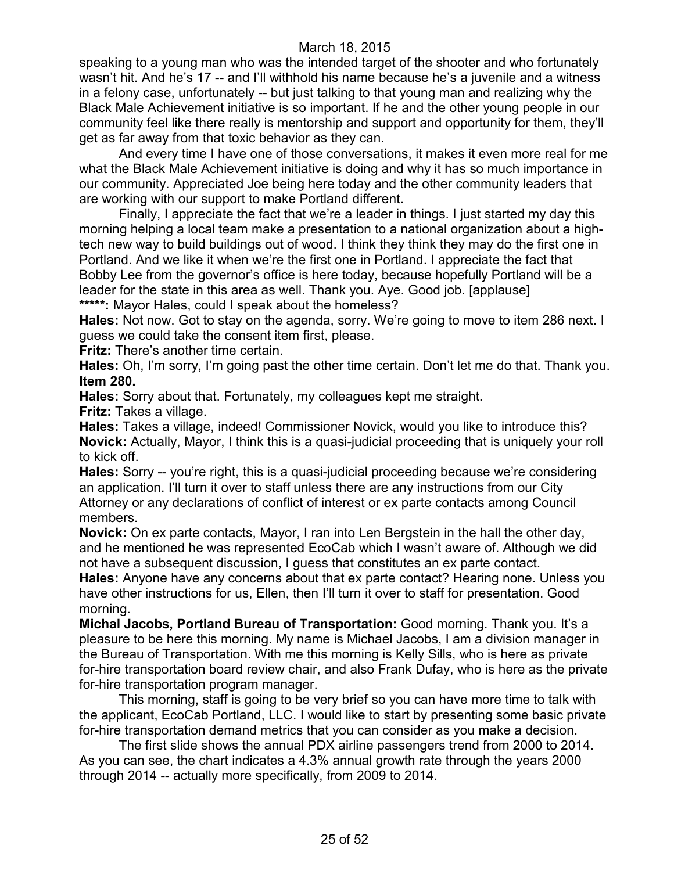speaking to a young man who was the intended target of the shooter and who fortunately wasn't hit. And he's 17 -- and I'll withhold his name because he's a juvenile and a witness in a felony case, unfortunately -- but just talking to that young man and realizing why the Black Male Achievement initiative is so important. If he and the other young people in our community feel like there really is mentorship and support and opportunity for them, they'll get as far away from that toxic behavior as they can.

And every time I have one of those conversations, it makes it even more real for me what the Black Male Achievement initiative is doing and why it has so much importance in our community. Appreciated Joe being here today and the other community leaders that are working with our support to make Portland different.

Finally, I appreciate the fact that we're a leader in things. I just started my day this morning helping a local team make a presentation to a national organization about a hightech new way to build buildings out of wood. I think they think they may do the first one in Portland. And we like it when we're the first one in Portland. I appreciate the fact that Bobby Lee from the governor's office is here today, because hopefully Portland will be a leader for the state in this area as well. Thank you. Aye. Good job. [applause] **\*\*\*\*\*:** Mayor Hales, could I speak about the homeless?

**Hales:** Not now. Got to stay on the agenda, sorry. We're going to move to item 286 next. I guess we could take the consent item first, please.

**Fritz:** There's another time certain.

**Hales:** Oh, I'm sorry, I'm going past the other time certain. Don't let me do that. Thank you. **Item 280.**

**Hales:** Sorry about that. Fortunately, my colleagues kept me straight. **Fritz:** Takes a village.

**Hales:** Takes a village, indeed! Commissioner Novick, would you like to introduce this? **Novick:** Actually, Mayor, I think this is a quasi-judicial proceeding that is uniquely your roll to kick off.

**Hales:** Sorry -- you're right, this is a quasi-judicial proceeding because we're considering an application. I'll turn it over to staff unless there are any instructions from our City Attorney or any declarations of conflict of interest or ex parte contacts among Council members.

**Novick:** On ex parte contacts, Mayor, I ran into Len Bergstein in the hall the other day, and he mentioned he was represented EcoCab which I wasn't aware of. Although we did not have a subsequent discussion, I guess that constitutes an ex parte contact.

**Hales:** Anyone have any concerns about that ex parte contact? Hearing none. Unless you have other instructions for us, Ellen, then I'll turn it over to staff for presentation. Good morning.

**Michal Jacobs, Portland Bureau of Transportation:** Good morning. Thank you. It's a pleasure to be here this morning. My name is Michael Jacobs, I am a division manager in the Bureau of Transportation. With me this morning is Kelly Sills, who is here as private for-hire transportation board review chair, and also Frank Dufay, who is here as the private for-hire transportation program manager.

This morning, staff is going to be very brief so you can have more time to talk with the applicant, EcoCab Portland, LLC. I would like to start by presenting some basic private for-hire transportation demand metrics that you can consider as you make a decision.

The first slide shows the annual PDX airline passengers trend from 2000 to 2014. As you can see, the chart indicates a 4.3% annual growth rate through the years 2000 through 2014 -- actually more specifically, from 2009 to 2014.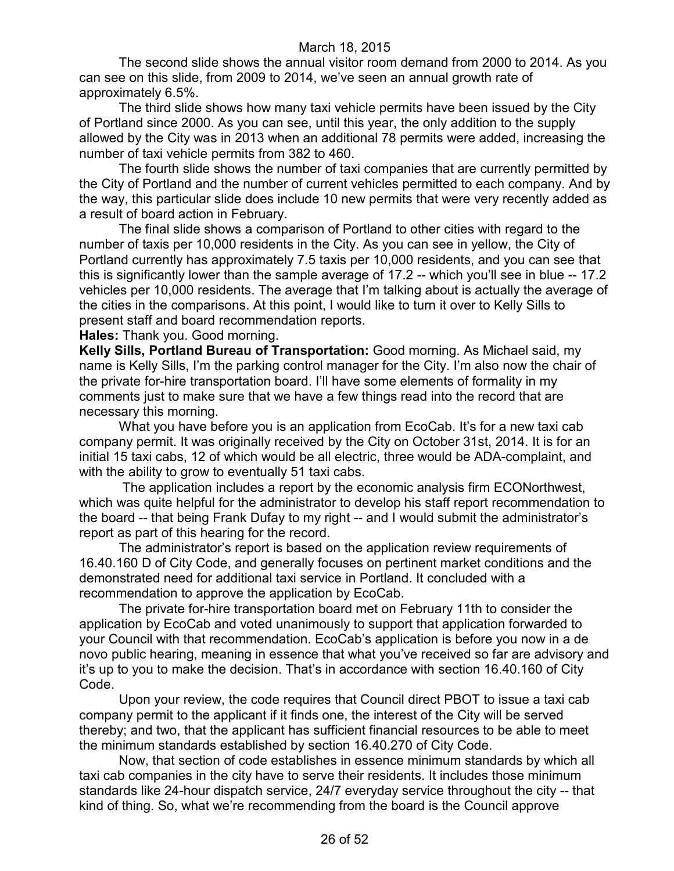The second slide shows the annual visitor room demand from 2000 to 2014. As you can see on this slide, from 2009 to 2014, we've seen an annual growth rate of approximately 6.5%.

The third slide shows how many taxi vehicle permits have been issued by the City of Portland since 2000. As you can see, until this year, the only addition to the supply allowed by the City was in 2013 when an additional 78 permits were added, increasing the number of taxi vehicle permits from 382 to 460.

The fourth slide shows the number of taxi companies that are currently permitted by the City of Portland and the number of current vehicles permitted to each company. And by the way, this particular slide does include 10 new permits that were very recently added as a result of board action in February.

The final slide shows a comparison of Portland to other cities with regard to the number of taxis per 10,000 residents in the City. As you can see in yellow, the City of Portland currently has approximately 7.5 taxis per 10,000 residents, and you can see that this is significantly lower than the sample average of 17.2 -- which you'll see in blue -- 17.2 vehicles per 10,000 residents. The average that I'm talking about is actually the average of the cities in the comparisons. At this point, I would like to turn it over to Kelly Sills to present staff and board recommendation reports.

**Hales:** Thank you. Good morning.

**Kelly Sills, Portland Bureau of Transportation:** Good morning. As Michael said, my name is Kelly Sills, I'm the parking control manager for the City. I'm also now the chair of the private for-hire transportation board. I'll have some elements of formality in my comments just to make sure that we have a few things read into the record that are necessary this morning.

What you have before you is an application from EcoCab. It's for a new taxi cab company permit. It was originally received by the City on October 31st, 2014. It is for an initial 15 taxi cabs, 12 of which would be all electric, three would be ADA-complaint, and with the ability to grow to eventually 51 taxi cabs.

The application includes a report by the economic analysis firm ECONorthwest, which was quite helpful for the administrator to develop his staff report recommendation to the board -- that being Frank Dufay to my right -- and I would submit the administrator's report as part of this hearing for the record.

The administrator's report is based on the application review requirements of 16.40.160 D of City Code, and generally focuses on pertinent market conditions and the demonstrated need for additional taxi service in Portland. It concluded with a recommendation to approve the application by EcoCab.

The private for-hire transportation board met on February 11th to consider the application by EcoCab and voted unanimously to support that application forwarded to your Council with that recommendation. EcoCab's application is before you now in a de novo public hearing, meaning in essence that what you've received so far are advisory and it's up to you to make the decision. That's in accordance with section 16.40.160 of City Code.

Upon your review, the code requires that Council direct PBOT to issue a taxi cab company permit to the applicant if it finds one, the interest of the City will be served thereby; and two, that the applicant has sufficient financial resources to be able to meet the minimum standards established by section 16.40.270 of City Code.

Now, that section of code establishes in essence minimum standards by which all taxi cab companies in the city have to serve their residents. It includes those minimum standards like 24-hour dispatch service, 24/7 everyday service throughout the city -- that kind of thing. So, what we're recommending from the board is the Council approve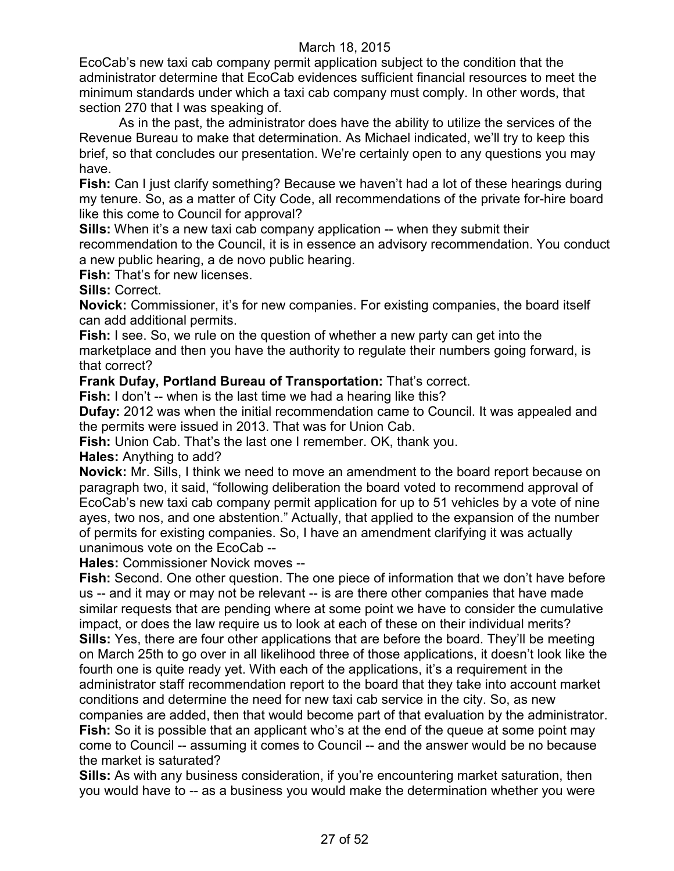EcoCab's new taxi cab company permit application subject to the condition that the administrator determine that EcoCab evidences sufficient financial resources to meet the minimum standards under which a taxi cab company must comply. In other words, that section 270 that I was speaking of.

As in the past, the administrator does have the ability to utilize the services of the Revenue Bureau to make that determination. As Michael indicated, we'll try to keep this brief, so that concludes our presentation. We're certainly open to any questions you may have.

**Fish:** Can I just clarify something? Because we haven't had a lot of these hearings during my tenure. So, as a matter of City Code, all recommendations of the private for-hire board like this come to Council for approval?

**Sills:** When it's a new taxi cab company application -- when they submit their recommendation to the Council, it is in essence an advisory recommendation. You conduct a new public hearing, a de novo public hearing.

**Fish:** That's for new licenses.

**Sills:** Correct.

**Novick:** Commissioner, it's for new companies. For existing companies, the board itself can add additional permits.

**Fish:** I see. So, we rule on the question of whether a new party can get into the marketplace and then you have the authority to regulate their numbers going forward, is that correct?

**Frank Dufay, Portland Bureau of Transportation:** That's correct.

**Fish:** I don't -- when is the last time we had a hearing like this?

**Dufay:** 2012 was when the initial recommendation came to Council. It was appealed and the permits were issued in 2013. That was for Union Cab.

**Fish:** Union Cab. That's the last one I remember. OK, thank you.

**Hales:** Anything to add?

**Novick:** Mr. Sills, I think we need to move an amendment to the board report because on paragraph two, it said, "following deliberation the board voted to recommend approval of EcoCab's new taxi cab company permit application for up to 51 vehicles by a vote of nine ayes, two nos, and one abstention." Actually, that applied to the expansion of the number of permits for existing companies. So, I have an amendment clarifying it was actually unanimous vote on the EcoCab --

**Hales:** Commissioner Novick moves --

**Fish:** Second. One other question. The one piece of information that we don't have before us -- and it may or may not be relevant -- is are there other companies that have made similar requests that are pending where at some point we have to consider the cumulative impact, or does the law require us to look at each of these on their individual merits? **Sills:** Yes, there are four other applications that are before the board. They'll be meeting on March 25th to go over in all likelihood three of those applications, it doesn't look like the fourth one is quite ready yet. With each of the applications, it's a requirement in the administrator staff recommendation report to the board that they take into account market conditions and determine the need for new taxi cab service in the city. So, as new companies are added, then that would become part of that evaluation by the administrator. **Fish:** So it is possible that an applicant who's at the end of the queue at some point may come to Council -- assuming it comes to Council -- and the answer would be no because the market is saturated?

**Sills:** As with any business consideration, if you're encountering market saturation, then you would have to -- as a business you would make the determination whether you were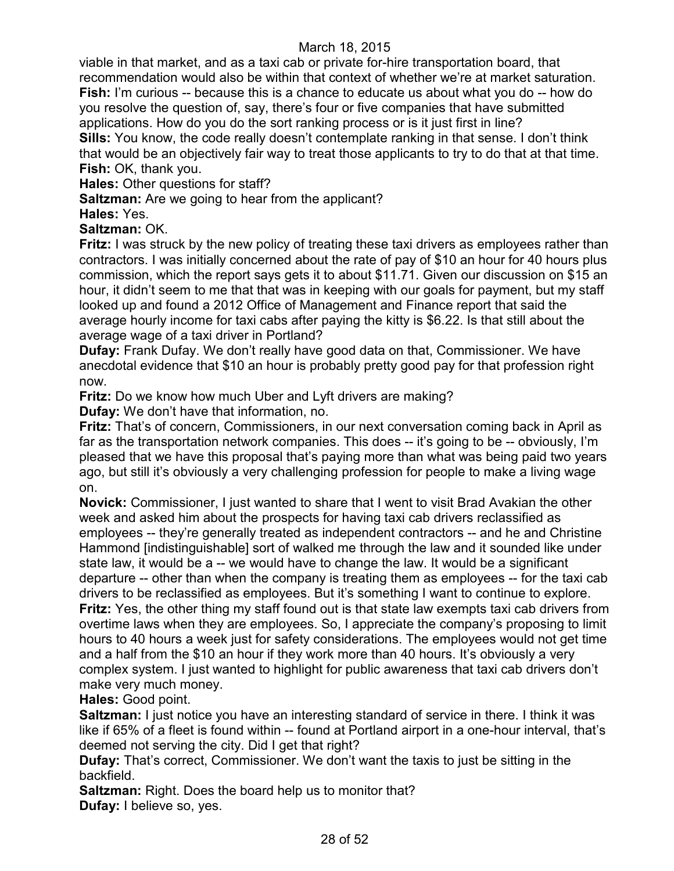viable in that market, and as a taxi cab or private for-hire transportation board, that recommendation would also be within that context of whether we're at market saturation. **Fish:** I'm curious -- because this is a chance to educate us about what you do -- how do you resolve the question of, say, there's four or five companies that have submitted applications. How do you do the sort ranking process or is it just first in line? **Sills:** You know, the code really doesn't contemplate ranking in that sense. I don't think that would be an objectively fair way to treat those applicants to try to do that at that time. **Fish:** OK, thank you.

**Hales:** Other questions for staff?

**Saltzman:** Are we going to hear from the applicant?

**Hales:** Yes.

**Saltzman:** OK.

**Fritz:** I was struck by the new policy of treating these taxi drivers as employees rather than contractors. I was initially concerned about the rate of pay of \$10 an hour for 40 hours plus commission, which the report says gets it to about \$11.71. Given our discussion on \$15 an hour, it didn't seem to me that that was in keeping with our goals for payment, but my staff looked up and found a 2012 Office of Management and Finance report that said the average hourly income for taxi cabs after paying the kitty is \$6.22. Is that still about the average wage of a taxi driver in Portland?

**Dufay:** Frank Dufay. We don't really have good data on that, Commissioner. We have anecdotal evidence that \$10 an hour is probably pretty good pay for that profession right now.

**Fritz:** Do we know how much Uber and Lyft drivers are making?

**Dufay:** We don't have that information, no.

**Fritz:** That's of concern, Commissioners, in our next conversation coming back in April as far as the transportation network companies. This does -- it's going to be -- obviously, I'm pleased that we have this proposal that's paying more than what was being paid two years ago, but still it's obviously a very challenging profession for people to make a living wage on.

**Novick:** Commissioner, I just wanted to share that I went to visit Brad Avakian the other week and asked him about the prospects for having taxi cab drivers reclassified as employees -- they're generally treated as independent contractors -- and he and Christine Hammond [indistinguishable] sort of walked me through the law and it sounded like under state law, it would be a -- we would have to change the law. It would be a significant departure -- other than when the company is treating them as employees -- for the taxi cab drivers to be reclassified as employees. But it's something I want to continue to explore. **Fritz:** Yes, the other thing my staff found out is that state law exempts taxi cab drivers from overtime laws when they are employees. So, I appreciate the company's proposing to limit hours to 40 hours a week just for safety considerations. The employees would not get time and a half from the \$10 an hour if they work more than 40 hours. It's obviously a very complex system. I just wanted to highlight for public awareness that taxi cab drivers don't make very much money.

**Hales:** Good point.

**Saltzman:** I just notice you have an interesting standard of service in there. I think it was like if 65% of a fleet is found within -- found at Portland airport in a one-hour interval, that's deemed not serving the city. Did I get that right?

**Dufay:** That's correct, Commissioner. We don't want the taxis to just be sitting in the backfield.

**Saltzman:** Right. Does the board help us to monitor that? **Dufay:** I believe so, yes.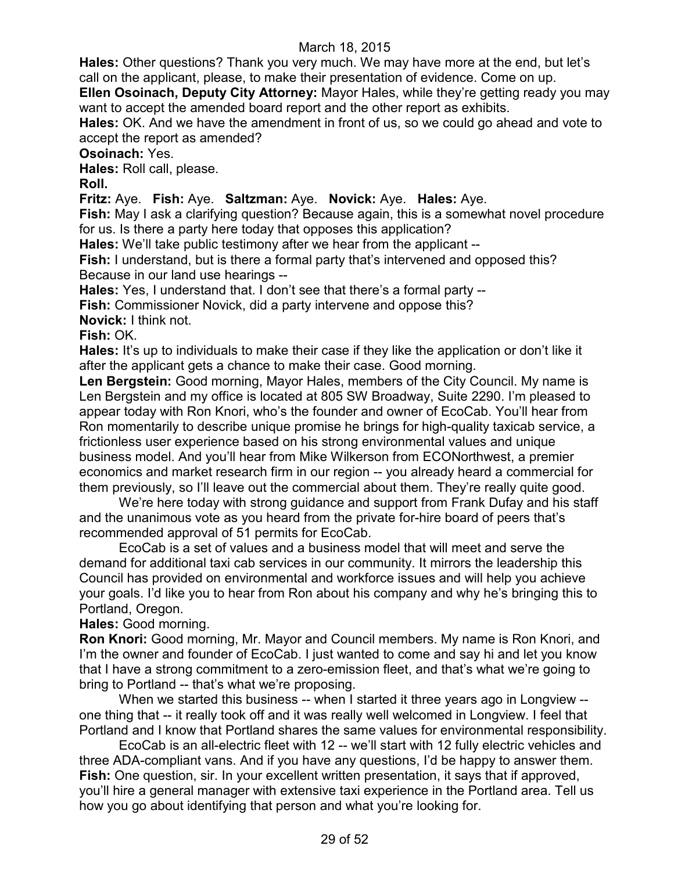**Hales:** Other questions? Thank you very much. We may have more at the end, but let's call on the applicant, please, to make their presentation of evidence. Come on up.

**Ellen Osoinach, Deputy City Attorney:** Mayor Hales, while they're getting ready you may want to accept the amended board report and the other report as exhibits.

**Hales:** OK. And we have the amendment in front of us, so we could go ahead and vote to accept the report as amended?

**Osoinach:** Yes.

**Hales:** Roll call, please.

**Roll.**

**Fritz:** Aye. **Fish:** Aye. **Saltzman:** Aye. **Novick:** Aye. **Hales:** Aye.

**Fish:** May I ask a clarifying question? Because again, this is a somewhat novel procedure for us. Is there a party here today that opposes this application?

**Hales:** We'll take public testimony after we hear from the applicant --

**Fish:** I understand, but is there a formal party that's intervened and opposed this? Because in our land use hearings --

**Hales:** Yes, I understand that. I don't see that there's a formal party --

**Fish:** Commissioner Novick, did a party intervene and oppose this?

**Novick:** I think not.

**Fish:** OK.

**Hales:** It's up to individuals to make their case if they like the application or don't like it after the applicant gets a chance to make their case. Good morning.

**Len Bergstein:** Good morning, Mayor Hales, members of the City Council. My name is Len Bergstein and my office is located at 805 SW Broadway, Suite 2290. I'm pleased to appear today with Ron Knori, who's the founder and owner of EcoCab. You'll hear from Ron momentarily to describe unique promise he brings for high-quality taxicab service, a frictionless user experience based on his strong environmental values and unique business model. And you'll hear from Mike Wilkerson from ECONorthwest, a premier economics and market research firm in our region -- you already heard a commercial for them previously, so I'll leave out the commercial about them. They're really quite good.

We're here today with strong guidance and support from Frank Dufay and his staff and the unanimous vote as you heard from the private for-hire board of peers that's recommended approval of 51 permits for EcoCab.

EcoCab is a set of values and a business model that will meet and serve the demand for additional taxi cab services in our community. It mirrors the leadership this Council has provided on environmental and workforce issues and will help you achieve your goals. I'd like you to hear from Ron about his company and why he's bringing this to Portland, Oregon.

**Hales:** Good morning.

**Ron Knori:** Good morning, Mr. Mayor and Council members. My name is Ron Knori, and I'm the owner and founder of EcoCab. I just wanted to come and say hi and let you know that I have a strong commitment to a zero-emission fleet, and that's what we're going to bring to Portland -- that's what we're proposing.

When we started this business -- when I started it three years ago in Longview - one thing that -- it really took off and it was really well welcomed in Longview. I feel that Portland and I know that Portland shares the same values for environmental responsibility.

EcoCab is an all-electric fleet with 12 -- we'll start with 12 fully electric vehicles and three ADA-compliant vans. And if you have any questions, I'd be happy to answer them. **Fish:** One question, sir. In your excellent written presentation, it says that if approved, you'll hire a general manager with extensive taxi experience in the Portland area. Tell us how you go about identifying that person and what you're looking for.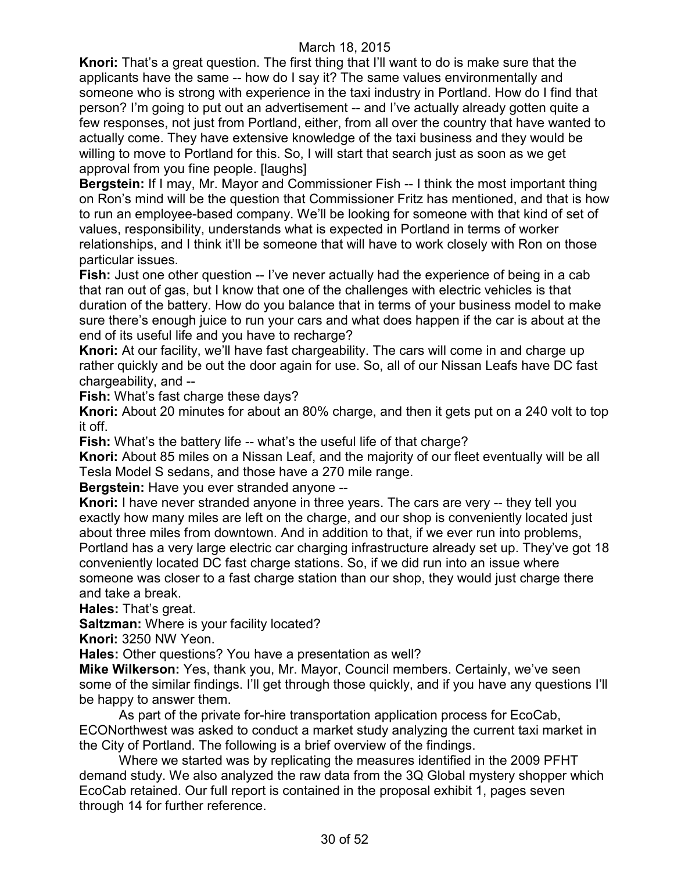**Knori:** That's a great question. The first thing that I'll want to do is make sure that the applicants have the same -- how do I say it? The same values environmentally and someone who is strong with experience in the taxi industry in Portland. How do I find that person? I'm going to put out an advertisement -- and I've actually already gotten quite a few responses, not just from Portland, either, from all over the country that have wanted to actually come. They have extensive knowledge of the taxi business and they would be willing to move to Portland for this. So, I will start that search just as soon as we get approval from you fine people. [laughs]

**Bergstein:** If I may, Mr. Mayor and Commissioner Fish -- I think the most important thing on Ron's mind will be the question that Commissioner Fritz has mentioned, and that is how to run an employee-based company. We'll be looking for someone with that kind of set of values, responsibility, understands what is expected in Portland in terms of worker relationships, and I think it'll be someone that will have to work closely with Ron on those particular issues.

**Fish:** Just one other question -- I've never actually had the experience of being in a cab that ran out of gas, but I know that one of the challenges with electric vehicles is that duration of the battery. How do you balance that in terms of your business model to make sure there's enough juice to run your cars and what does happen if the car is about at the end of its useful life and you have to recharge?

**Knori:** At our facility, we'll have fast chargeability. The cars will come in and charge up rather quickly and be out the door again for use. So, all of our Nissan Leafs have DC fast chargeability, and --

**Fish:** What's fast charge these days?

**Knori:** About 20 minutes for about an 80% charge, and then it gets put on a 240 volt to top it off.

**Fish:** What's the battery life -- what's the useful life of that charge?

**Knori:** About 85 miles on a Nissan Leaf, and the majority of our fleet eventually will be all Tesla Model S sedans, and those have a 270 mile range.

**Bergstein:** Have you ever stranded anyone --

**Knori:** I have never stranded anyone in three years. The cars are very -- they tell you exactly how many miles are left on the charge, and our shop is conveniently located just about three miles from downtown. And in addition to that, if we ever run into problems, Portland has a very large electric car charging infrastructure already set up. They've got 18 conveniently located DC fast charge stations. So, if we did run into an issue where someone was closer to a fast charge station than our shop, they would just charge there and take a break.

**Hales:** That's great.

**Saltzman:** Where is your facility located?

**Knori:** 3250 NW Yeon.

**Hales:** Other questions? You have a presentation as well?

**Mike Wilkerson:** Yes, thank you, Mr. Mayor, Council members. Certainly, we've seen some of the similar findings. I'll get through those quickly, and if you have any questions I'll be happy to answer them.

As part of the private for-hire transportation application process for EcoCab, ECONorthwest was asked to conduct a market study analyzing the current taxi market in the City of Portland. The following is a brief overview of the findings.

Where we started was by replicating the measures identified in the 2009 PFHT demand study. We also analyzed the raw data from the 3Q Global mystery shopper which EcoCab retained. Our full report is contained in the proposal exhibit 1, pages seven through 14 for further reference.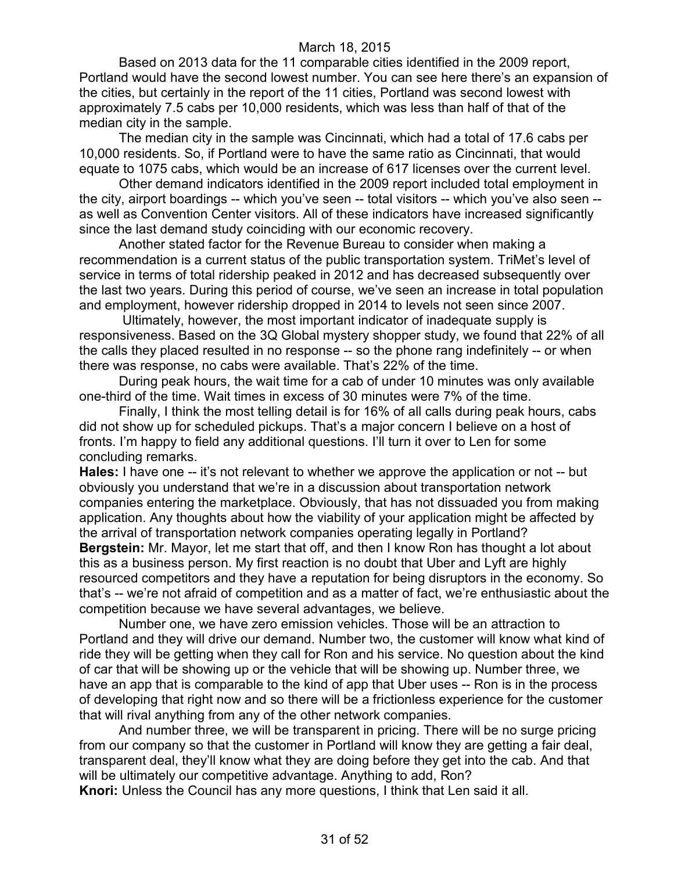Based on 2013 data for the 11 comparable cities identified in the 2009 report, Portland would have the second lowest number. You can see here there's an expansion of the cities, but certainly in the report of the 11 cities, Portland was second lowest with approximately 7.5 cabs per 10,000 residents, which was less than half of that of the median city in the sample.

The median city in the sample was Cincinnati, which had a total of 17.6 cabs per 10,000 residents. So, if Portland were to have the same ratio as Cincinnati, that would equate to 1075 cabs, which would be an increase of 617 licenses over the current level.

Other demand indicators identified in the 2009 report included total employment in the city, airport boardings -- which you've seen -- total visitors -- which you've also seen - as well as Convention Center visitors. All of these indicators have increased significantly since the last demand study coinciding with our economic recovery.

Another stated factor for the Revenue Bureau to consider when making a recommendation is a current status of the public transportation system. TriMet's level of service in terms of total ridership peaked in 2012 and has decreased subsequently over the last two years. During this period of course, we've seen an increase in total population and employment, however ridership dropped in 2014 to levels not seen since 2007.

Ultimately, however, the most important indicator of inadequate supply is responsiveness. Based on the 3Q Global mystery shopper study, we found that 22% of all the calls they placed resulted in no response -- so the phone rang indefinitely -- or when there was response, no cabs were available. That's 22% of the time.

During peak hours, the wait time for a cab of under 10 minutes was only available one-third of the time. Wait times in excess of 30 minutes were 7% of the time.

Finally, I think the most telling detail is for 16% of all calls during peak hours, cabs did not show up for scheduled pickups. That's a major concern I believe on a host of fronts. I'm happy to field any additional questions. I'll turn it over to Len for some concluding remarks.

**Hales:** I have one -- it's not relevant to whether we approve the application or not -- but obviously you understand that we're in a discussion about transportation network companies entering the marketplace. Obviously, that has not dissuaded you from making application. Any thoughts about how the viability of your application might be affected by the arrival of transportation network companies operating legally in Portland? **Bergstein:** Mr. Mayor, let me start that off, and then I know Ron has thought a lot about this as a business person. My first reaction is no doubt that Uber and Lyft are highly resourced competitors and they have a reputation for being disruptors in the economy. So that's -- we're not afraid of competition and as a matter of fact, we're enthusiastic about the competition because we have several advantages, we believe.

Number one, we have zero emission vehicles. Those will be an attraction to Portland and they will drive our demand. Number two, the customer will know what kind of ride they will be getting when they call for Ron and his service. No question about the kind of car that will be showing up or the vehicle that will be showing up. Number three, we have an app that is comparable to the kind of app that Uber uses -- Ron is in the process of developing that right now and so there will be a frictionless experience for the customer that will rival anything from any of the other network companies.

And number three, we will be transparent in pricing. There will be no surge pricing from our company so that the customer in Portland will know they are getting a fair deal, transparent deal, they'll know what they are doing before they get into the cab. And that will be ultimately our competitive advantage. Anything to add, Ron? **Knori:** Unless the Council has any more questions, I think that Len said it all.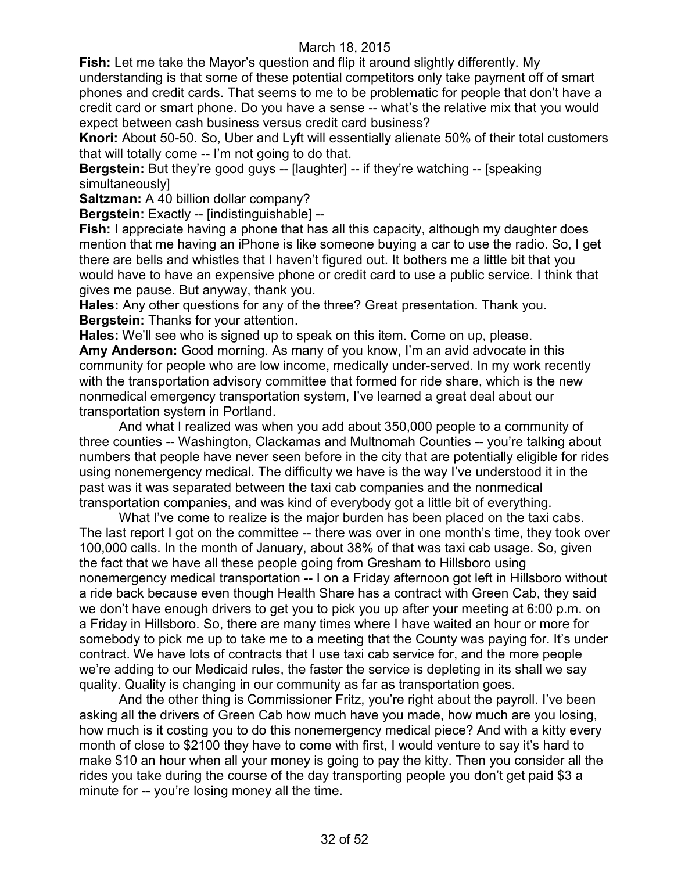**Fish:** Let me take the Mayor's question and flip it around slightly differently. My understanding is that some of these potential competitors only take payment off of smart phones and credit cards. That seems to me to be problematic for people that don't have a credit card or smart phone. Do you have a sense -- what's the relative mix that you would expect between cash business versus credit card business?

**Knori:** About 50-50. So, Uber and Lyft will essentially alienate 50% of their total customers that will totally come -- I'm not going to do that.

**Bergstein:** But they're good guys -- [laughter] -- if they're watching -- [speaking] simultaneously]

**Saltzman:** A 40 billion dollar company?

**Bergstein:** Exactly -- [indistinguishable] --

**Fish:** I appreciate having a phone that has all this capacity, although my daughter does mention that me having an iPhone is like someone buying a car to use the radio. So, I get there are bells and whistles that I haven't figured out. It bothers me a little bit that you would have to have an expensive phone or credit card to use a public service. I think that gives me pause. But anyway, thank you.

**Hales:** Any other questions for any of the three? Great presentation. Thank you. **Bergstein:** Thanks for your attention.

**Hales:** We'll see who is signed up to speak on this item. Come on up, please.

**Amy Anderson:** Good morning. As many of you know, I'm an avid advocate in this community for people who are low income, medically under-served. In my work recently with the transportation advisory committee that formed for ride share, which is the new nonmedical emergency transportation system, I've learned a great deal about our transportation system in Portland.

And what I realized was when you add about 350,000 people to a community of three counties -- Washington, Clackamas and Multnomah Counties -- you're talking about numbers that people have never seen before in the city that are potentially eligible for rides using nonemergency medical. The difficulty we have is the way I've understood it in the past was it was separated between the taxi cab companies and the nonmedical transportation companies, and was kind of everybody got a little bit of everything.

What I've come to realize is the major burden has been placed on the taxi cabs. The last report I got on the committee -- there was over in one month's time, they took over 100,000 calls. In the month of January, about 38% of that was taxi cab usage. So, given the fact that we have all these people going from Gresham to Hillsboro using nonemergency medical transportation -- I on a Friday afternoon got left in Hillsboro without a ride back because even though Health Share has a contract with Green Cab, they said we don't have enough drivers to get you to pick you up after your meeting at 6:00 p.m. on a Friday in Hillsboro. So, there are many times where I have waited an hour or more for somebody to pick me up to take me to a meeting that the County was paying for. It's under contract. We have lots of contracts that I use taxi cab service for, and the more people we're adding to our Medicaid rules, the faster the service is depleting in its shall we say quality. Quality is changing in our community as far as transportation goes.

And the other thing is Commissioner Fritz, you're right about the payroll. I've been asking all the drivers of Green Cab how much have you made, how much are you losing, how much is it costing you to do this nonemergency medical piece? And with a kitty every month of close to \$2100 they have to come with first, I would venture to say it's hard to make \$10 an hour when all your money is going to pay the kitty. Then you consider all the rides you take during the course of the day transporting people you don't get paid \$3 a minute for -- you're losing money all the time.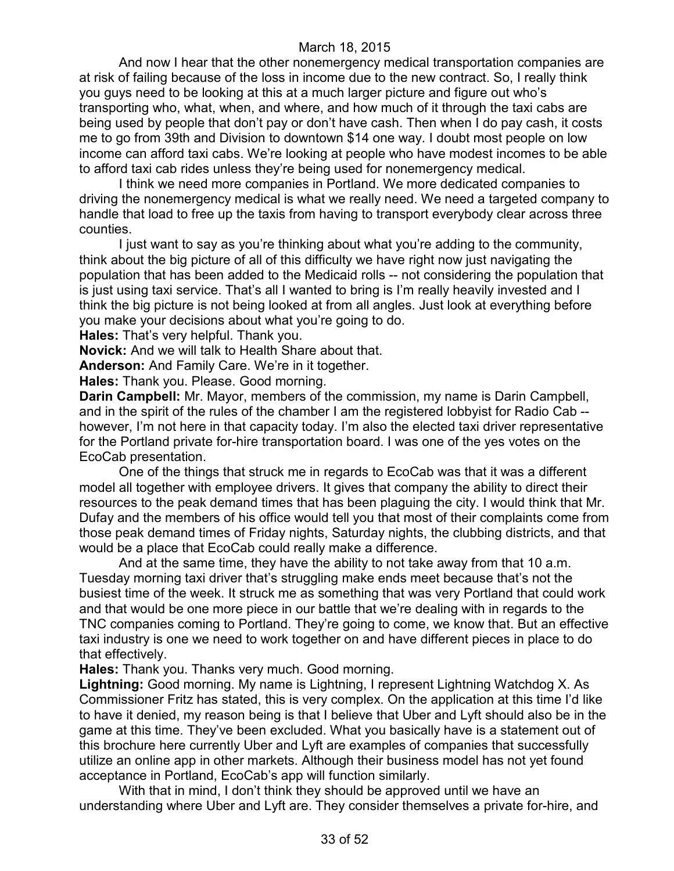And now I hear that the other nonemergency medical transportation companies are at risk of failing because of the loss in income due to the new contract. So, I really think you guys need to be looking at this at a much larger picture and figure out who's transporting who, what, when, and where, and how much of it through the taxi cabs are being used by people that don't pay or don't have cash. Then when I do pay cash, it costs me to go from 39th and Division to downtown \$14 one way. I doubt most people on low income can afford taxi cabs. We're looking at people who have modest incomes to be able to afford taxi cab rides unless they're being used for nonemergency medical.

I think we need more companies in Portland. We more dedicated companies to driving the nonemergency medical is what we really need. We need a targeted company to handle that load to free up the taxis from having to transport everybody clear across three counties.

I just want to say as you're thinking about what you're adding to the community, think about the big picture of all of this difficulty we have right now just navigating the population that has been added to the Medicaid rolls -- not considering the population that is just using taxi service. That's all I wanted to bring is I'm really heavily invested and I think the big picture is not being looked at from all angles. Just look at everything before you make your decisions about what you're going to do.

**Hales:** That's very helpful. Thank you.

**Novick:** And we will talk to Health Share about that.

**Anderson:** And Family Care. We're in it together.

**Hales:** Thank you. Please. Good morning.

**Darin Campbell:** Mr. Mayor, members of the commission, my name is Darin Campbell, and in the spirit of the rules of the chamber I am the registered lobbyist for Radio Cab - however, I'm not here in that capacity today. I'm also the elected taxi driver representative for the Portland private for-hire transportation board. I was one of the yes votes on the EcoCab presentation.

One of the things that struck me in regards to EcoCab was that it was a different model all together with employee drivers. It gives that company the ability to direct their resources to the peak demand times that has been plaguing the city. I would think that Mr. Dufay and the members of his office would tell you that most of their complaints come from those peak demand times of Friday nights, Saturday nights, the clubbing districts, and that would be a place that EcoCab could really make a difference.

And at the same time, they have the ability to not take away from that 10 a.m. Tuesday morning taxi driver that's struggling make ends meet because that's not the busiest time of the week. It struck me as something that was very Portland that could work and that would be one more piece in our battle that we're dealing with in regards to the TNC companies coming to Portland. They're going to come, we know that. But an effective taxi industry is one we need to work together on and have different pieces in place to do that effectively.

**Hales:** Thank you. Thanks very much. Good morning.

**Lightning:** Good morning. My name is Lightning, I represent Lightning Watchdog X. As Commissioner Fritz has stated, this is very complex. On the application at this time I'd like to have it denied, my reason being is that I believe that Uber and Lyft should also be in the game at this time. They've been excluded. What you basically have is a statement out of this brochure here currently Uber and Lyft are examples of companies that successfully utilize an online app in other markets. Although their business model has not yet found acceptance in Portland, EcoCab's app will function similarly.

With that in mind, I don't think they should be approved until we have an understanding where Uber and Lyft are. They consider themselves a private for-hire, and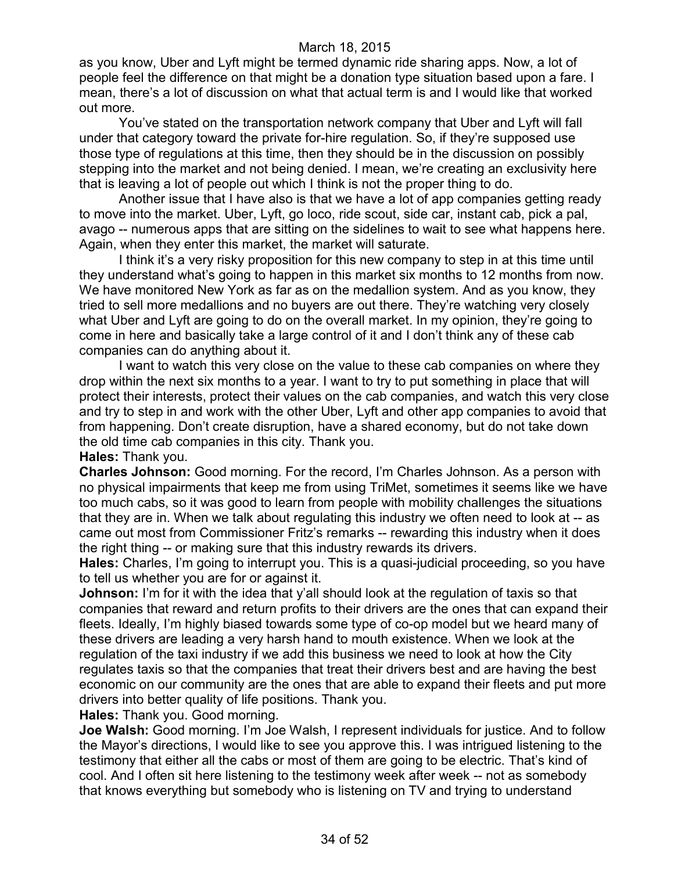as you know, Uber and Lyft might be termed dynamic ride sharing apps. Now, a lot of people feel the difference on that might be a donation type situation based upon a fare. I mean, there's a lot of discussion on what that actual term is and I would like that worked out more.

You've stated on the transportation network company that Uber and Lyft will fall under that category toward the private for-hire regulation. So, if they're supposed use those type of regulations at this time, then they should be in the discussion on possibly stepping into the market and not being denied. I mean, we're creating an exclusivity here that is leaving a lot of people out which I think is not the proper thing to do.

Another issue that I have also is that we have a lot of app companies getting ready to move into the market. Uber, Lyft, go loco, ride scout, side car, instant cab, pick a pal, avago -- numerous apps that are sitting on the sidelines to wait to see what happens here. Again, when they enter this market, the market will saturate.

I think it's a very risky proposition for this new company to step in at this time until they understand what's going to happen in this market six months to 12 months from now. We have monitored New York as far as on the medallion system. And as you know, they tried to sell more medallions and no buyers are out there. They're watching very closely what Uber and Lyft are going to do on the overall market. In my opinion, they're going to come in here and basically take a large control of it and I don't think any of these cab companies can do anything about it.

I want to watch this very close on the value to these cab companies on where they drop within the next six months to a year. I want to try to put something in place that will protect their interests, protect their values on the cab companies, and watch this very close and try to step in and work with the other Uber, Lyft and other app companies to avoid that from happening. Don't create disruption, have a shared economy, but do not take down the old time cab companies in this city. Thank you.

#### **Hales:** Thank you.

**Charles Johnson:** Good morning. For the record, I'm Charles Johnson. As a person with no physical impairments that keep me from using TriMet, sometimes it seems like we have too much cabs, so it was good to learn from people with mobility challenges the situations that they are in. When we talk about regulating this industry we often need to look at -- as came out most from Commissioner Fritz's remarks -- rewarding this industry when it does the right thing -- or making sure that this industry rewards its drivers.

**Hales:** Charles, I'm going to interrupt you. This is a quasi-judicial proceeding, so you have to tell us whether you are for or against it.

**Johnson:** I'm for it with the idea that y'all should look at the regulation of taxis so that companies that reward and return profits to their drivers are the ones that can expand their fleets. Ideally, I'm highly biased towards some type of co-op model but we heard many of these drivers are leading a very harsh hand to mouth existence. When we look at the regulation of the taxi industry if we add this business we need to look at how the City regulates taxis so that the companies that treat their drivers best and are having the best economic on our community are the ones that are able to expand their fleets and put more drivers into better quality of life positions. Thank you.

**Hales:** Thank you. Good morning.

**Joe Walsh:** Good morning. I'm Joe Walsh, I represent individuals for justice. And to follow the Mayor's directions, I would like to see you approve this. I was intrigued listening to the testimony that either all the cabs or most of them are going to be electric. That's kind of cool. And I often sit here listening to the testimony week after week -- not as somebody that knows everything but somebody who is listening on TV and trying to understand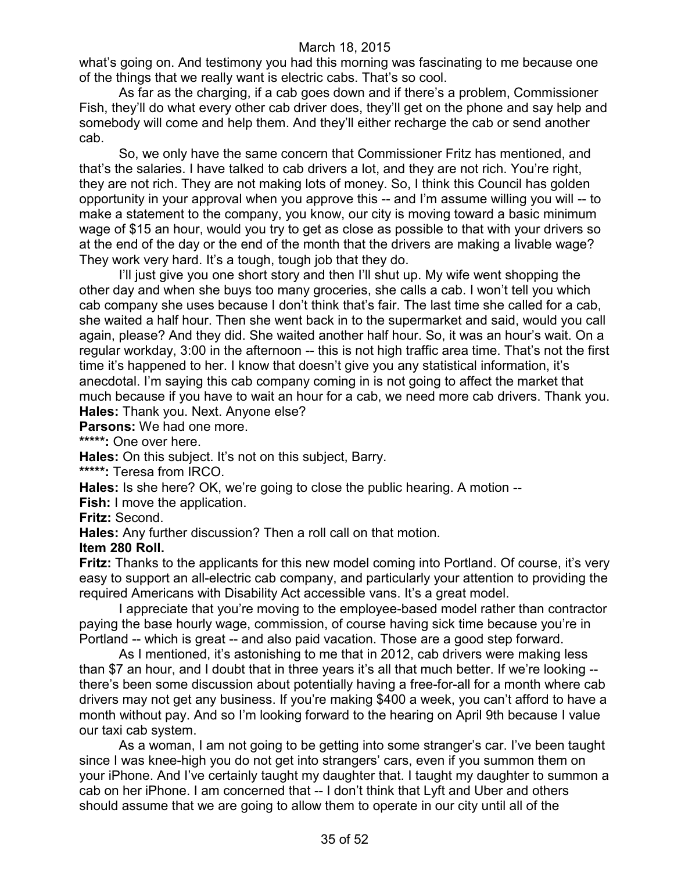what's going on. And testimony you had this morning was fascinating to me because one of the things that we really want is electric cabs. That's so cool.

As far as the charging, if a cab goes down and if there's a problem, Commissioner Fish, they'll do what every other cab driver does, they'll get on the phone and say help and somebody will come and help them. And they'll either recharge the cab or send another cab.

So, we only have the same concern that Commissioner Fritz has mentioned, and that's the salaries. I have talked to cab drivers a lot, and they are not rich. You're right, they are not rich. They are not making lots of money. So, I think this Council has golden opportunity in your approval when you approve this -- and I'm assume willing you will -- to make a statement to the company, you know, our city is moving toward a basic minimum wage of \$15 an hour, would you try to get as close as possible to that with your drivers so at the end of the day or the end of the month that the drivers are making a livable wage? They work very hard. It's a tough, tough job that they do.

I'll just give you one short story and then I'll shut up. My wife went shopping the other day and when she buys too many groceries, she calls a cab. I won't tell you which cab company she uses because I don't think that's fair. The last time she called for a cab, she waited a half hour. Then she went back in to the supermarket and said, would you call again, please? And they did. She waited another half hour. So, it was an hour's wait. On a regular workday, 3:00 in the afternoon -- this is not high traffic area time. That's not the first time it's happened to her. I know that doesn't give you any statistical information, it's anecdotal. I'm saying this cab company coming in is not going to affect the market that much because if you have to wait an hour for a cab, we need more cab drivers. Thank you. **Hales:** Thank you. Next. Anyone else?

**Parsons:** We had one more.

**\*\*\*\*\*:** One over here.

**Hales:** On this subject. It's not on this subject, Barry.

**\*\*\*\*\*:** Teresa from IRCO.

**Hales:** Is she here? OK, we're going to close the public hearing. A motion --

**Fish:** I move the application.

**Fritz:** Second.

**Hales:** Any further discussion? Then a roll call on that motion.

#### **Item 280 Roll.**

**Fritz:** Thanks to the applicants for this new model coming into Portland. Of course, it's very easy to support an all-electric cab company, and particularly your attention to providing the required Americans with Disability Act accessible vans. It's a great model.

I appreciate that you're moving to the employee-based model rather than contractor paying the base hourly wage, commission, of course having sick time because you're in Portland -- which is great -- and also paid vacation. Those are a good step forward.

As I mentioned, it's astonishing to me that in 2012, cab drivers were making less than \$7 an hour, and I doubt that in three years it's all that much better. If we're looking - there's been some discussion about potentially having a free-for-all for a month where cab drivers may not get any business. If you're making \$400 a week, you can't afford to have a month without pay. And so I'm looking forward to the hearing on April 9th because I value our taxi cab system.

As a woman, I am not going to be getting into some stranger's car. I've been taught since I was knee-high you do not get into strangers' cars, even if you summon them on your iPhone. And I've certainly taught my daughter that. I taught my daughter to summon a cab on her iPhone. I am concerned that -- I don't think that Lyft and Uber and others should assume that we are going to allow them to operate in our city until all of the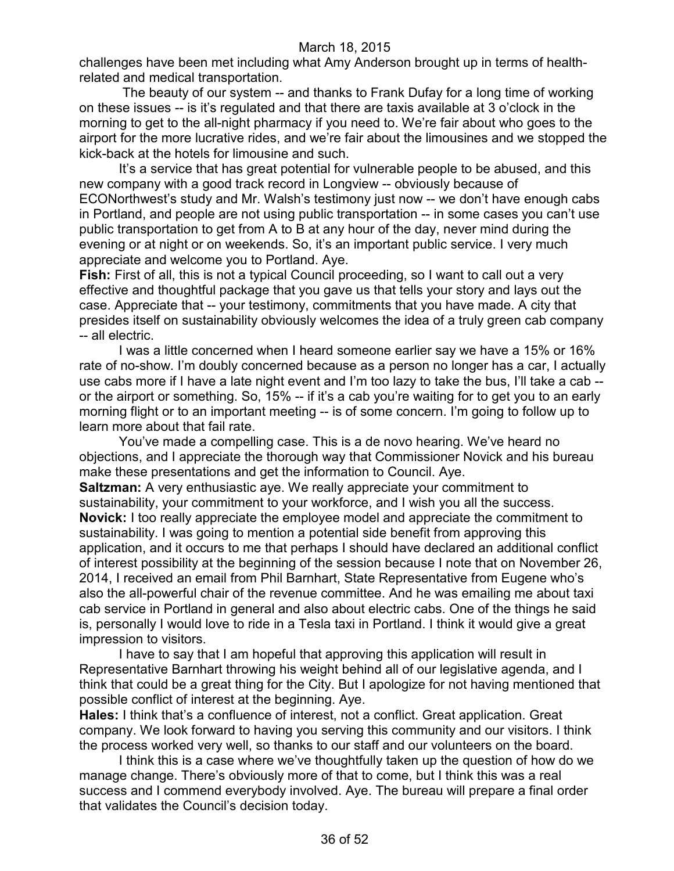challenges have been met including what Amy Anderson brought up in terms of healthrelated and medical transportation.

The beauty of our system -- and thanks to Frank Dufay for a long time of working on these issues -- is it's regulated and that there are taxis available at 3 o'clock in the morning to get to the all-night pharmacy if you need to. We're fair about who goes to the airport for the more lucrative rides, and we're fair about the limousines and we stopped the kick-back at the hotels for limousine and such.

It's a service that has great potential for vulnerable people to be abused, and this new company with a good track record in Longview -- obviously because of ECONorthwest's study and Mr. Walsh's testimony just now -- we don't have enough cabs in Portland, and people are not using public transportation -- in some cases you can't use public transportation to get from A to B at any hour of the day, never mind during the evening or at night or on weekends. So, it's an important public service. I very much appreciate and welcome you to Portland. Aye.

**Fish:** First of all, this is not a typical Council proceeding, so I want to call out a very effective and thoughtful package that you gave us that tells your story and lays out the case. Appreciate that -- your testimony, commitments that you have made. A city that presides itself on sustainability obviously welcomes the idea of a truly green cab company -- all electric.

I was a little concerned when I heard someone earlier say we have a 15% or 16% rate of no-show. I'm doubly concerned because as a person no longer has a car, I actually use cabs more if I have a late night event and I'm too lazy to take the bus, I'll take a cab - or the airport or something. So, 15% -- if it's a cab you're waiting for to get you to an early morning flight or to an important meeting -- is of some concern. I'm going to follow up to learn more about that fail rate.

You've made a compelling case. This is a de novo hearing. We've heard no objections, and I appreciate the thorough way that Commissioner Novick and his bureau make these presentations and get the information to Council. Aye.

**Saltzman:** A very enthusiastic aye. We really appreciate your commitment to sustainability, your commitment to your workforce, and I wish you all the success. **Novick:** I too really appreciate the employee model and appreciate the commitment to sustainability. I was going to mention a potential side benefit from approving this application, and it occurs to me that perhaps I should have declared an additional conflict of interest possibility at the beginning of the session because I note that on November 26, 2014, I received an email from Phil Barnhart, State Representative from Eugene who's also the all-powerful chair of the revenue committee. And he was emailing me about taxi cab service in Portland in general and also about electric cabs. One of the things he said is, personally I would love to ride in a Tesla taxi in Portland. I think it would give a great impression to visitors.

I have to say that I am hopeful that approving this application will result in Representative Barnhart throwing his weight behind all of our legislative agenda, and I think that could be a great thing for the City. But I apologize for not having mentioned that possible conflict of interest at the beginning. Aye.

**Hales:** I think that's a confluence of interest, not a conflict. Great application. Great company. We look forward to having you serving this community and our visitors. I think the process worked very well, so thanks to our staff and our volunteers on the board.

I think this is a case where we've thoughtfully taken up the question of how do we manage change. There's obviously more of that to come, but I think this was a real success and I commend everybody involved. Aye. The bureau will prepare a final order that validates the Council's decision today.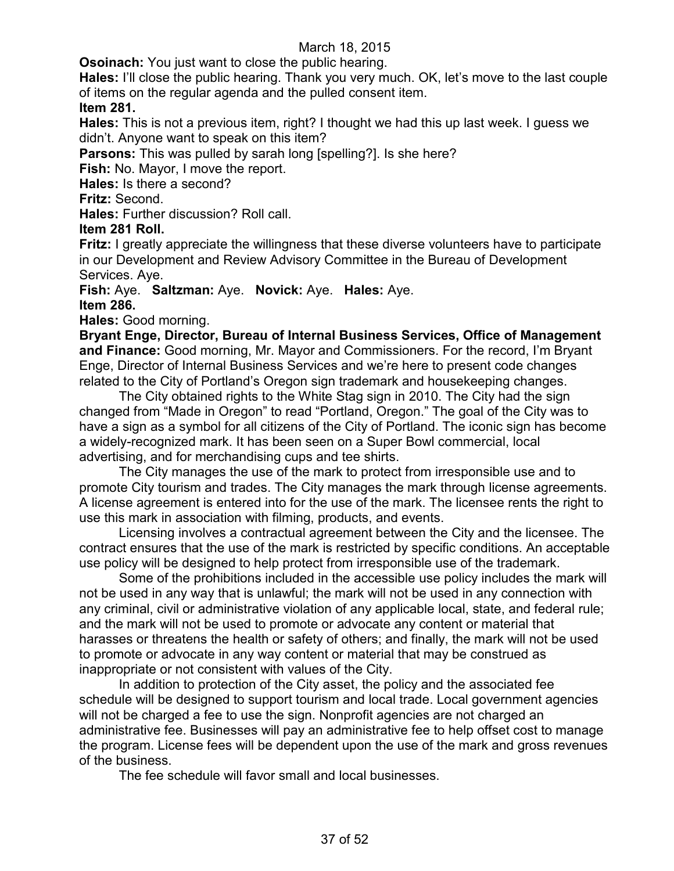**Osoinach:** You just want to close the public hearing.

**Hales:** I'll close the public hearing. Thank you very much. OK, let's move to the last couple of items on the regular agenda and the pulled consent item.

### **Item 281.**

**Hales:** This is not a previous item, right? I thought we had this up last week. I guess we didn't. Anyone want to speak on this item?

**Parsons:** This was pulled by sarah long [spelling?]. Is she here?

**Fish:** No. Mayor, I move the report.

**Hales:** Is there a second?

**Fritz:** Second.

**Hales:** Further discussion? Roll call.

### **Item 281 Roll.**

**Fritz:** I greatly appreciate the willingness that these diverse volunteers have to participate in our Development and Review Advisory Committee in the Bureau of Development Services. Aye.

**Fish:** Aye. **Saltzman:** Aye. **Novick:** Aye. **Hales:** Aye.

### **Item 286.**

**Hales:** Good morning.

**Bryant Enge, Director, Bureau of Internal Business Services, Office of Management and Finance:** Good morning, Mr. Mayor and Commissioners. For the record, I'm Bryant Enge, Director of Internal Business Services and we're here to present code changes related to the City of Portland's Oregon sign trademark and housekeeping changes.

The City obtained rights to the White Stag sign in 2010. The City had the sign changed from "Made in Oregon" to read "Portland, Oregon." The goal of the City was to have a sign as a symbol for all citizens of the City of Portland. The iconic sign has become a widely-recognized mark. It has been seen on a Super Bowl commercial, local advertising, and for merchandising cups and tee shirts.

The City manages the use of the mark to protect from irresponsible use and to promote City tourism and trades. The City manages the mark through license agreements. A license agreement is entered into for the use of the mark. The licensee rents the right to use this mark in association with filming, products, and events.

Licensing involves a contractual agreement between the City and the licensee. The contract ensures that the use of the mark is restricted by specific conditions. An acceptable use policy will be designed to help protect from irresponsible use of the trademark.

Some of the prohibitions included in the accessible use policy includes the mark will not be used in any way that is unlawful; the mark will not be used in any connection with any criminal, civil or administrative violation of any applicable local, state, and federal rule; and the mark will not be used to promote or advocate any content or material that harasses or threatens the health or safety of others; and finally, the mark will not be used to promote or advocate in any way content or material that may be construed as inappropriate or not consistent with values of the City.

In addition to protection of the City asset, the policy and the associated fee schedule will be designed to support tourism and local trade. Local government agencies will not be charged a fee to use the sign. Nonprofit agencies are not charged an administrative fee. Businesses will pay an administrative fee to help offset cost to manage the program. License fees will be dependent upon the use of the mark and gross revenues of the business.

The fee schedule will favor small and local businesses.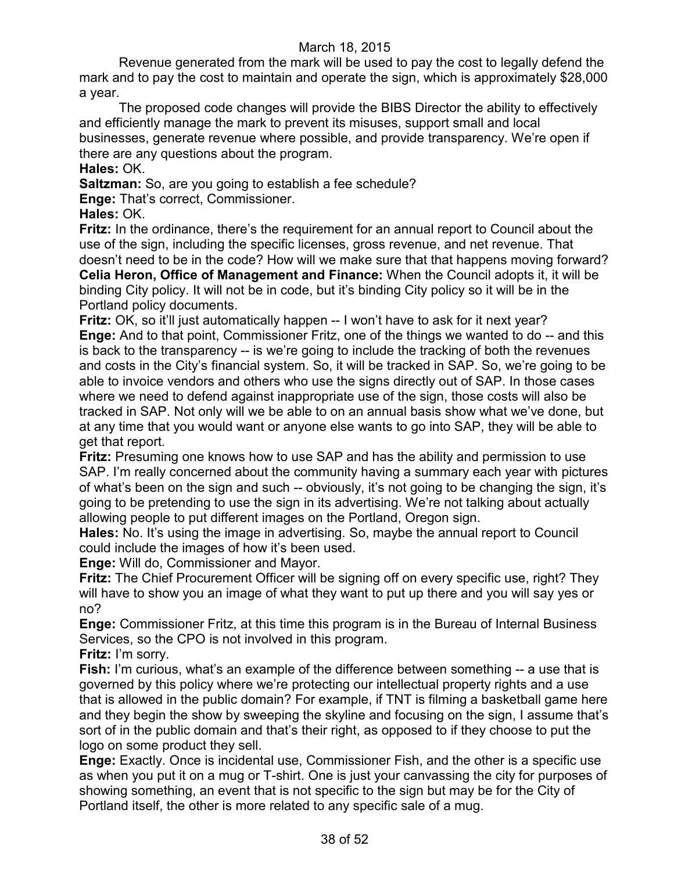Revenue generated from the mark will be used to pay the cost to legally defend the mark and to pay the cost to maintain and operate the sign, which is approximately \$28,000 a year.

The proposed code changes will provide the BIBS Director the ability to effectively and efficiently manage the mark to prevent its misuses, support small and local businesses, generate revenue where possible, and provide transparency. We're open if there are any questions about the program.

**Hales:** OK.

**Saltzman:** So, are you going to establish a fee schedule?

**Enge:** That's correct, Commissioner.

**Hales:** OK.

**Fritz:** In the ordinance, there's the requirement for an annual report to Council about the use of the sign, including the specific licenses, gross revenue, and net revenue. That doesn't need to be in the code? How will we make sure that that happens moving forward? **Celia Heron, Office of Management and Finance:** When the Council adopts it, it will be binding City policy. It will not be in code, but it's binding City policy so it will be in the Portland policy documents.

**Fritz:** OK, so it'll just automatically happen -- I won't have to ask for it next year? **Enge:** And to that point, Commissioner Fritz, one of the things we wanted to do -- and this is back to the transparency -- is we're going to include the tracking of both the revenues and costs in the City's financial system. So, it will be tracked in SAP. So, we're going to be able to invoice vendors and others who use the signs directly out of SAP. In those cases where we need to defend against inappropriate use of the sign, those costs will also be tracked in SAP. Not only will we be able to on an annual basis show what we've done, but at any time that you would want or anyone else wants to go into SAP, they will be able to get that report.

**Fritz:** Presuming one knows how to use SAP and has the ability and permission to use SAP. I'm really concerned about the community having a summary each year with pictures of what's been on the sign and such -- obviously, it's not going to be changing the sign, it's going to be pretending to use the sign in its advertising. We're not talking about actually allowing people to put different images on the Portland, Oregon sign.

**Hales:** No. It's using the image in advertising. So, maybe the annual report to Council could include the images of how it's been used.

**Enge:** Will do, Commissioner and Mayor.

**Fritz:** The Chief Procurement Officer will be signing off on every specific use, right? They will have to show you an image of what they want to put up there and you will say yes or no?

**Enge:** Commissioner Fritz, at this time this program is in the Bureau of Internal Business Services, so the CPO is not involved in this program.

**Fritz:** I'm sorry.

**Fish:** I'm curious, what's an example of the difference between something -- a use that is governed by this policy where we're protecting our intellectual property rights and a use that is allowed in the public domain? For example, if TNT is filming a basketball game here and they begin the show by sweeping the skyline and focusing on the sign, I assume that's sort of in the public domain and that's their right, as opposed to if they choose to put the logo on some product they sell.

**Enge:** Exactly. Once is incidental use, Commissioner Fish, and the other is a specific use as when you put it on a mug or T-shirt. One is just your canvassing the city for purposes of showing something, an event that is not specific to the sign but may be for the City of Portland itself, the other is more related to any specific sale of a mug.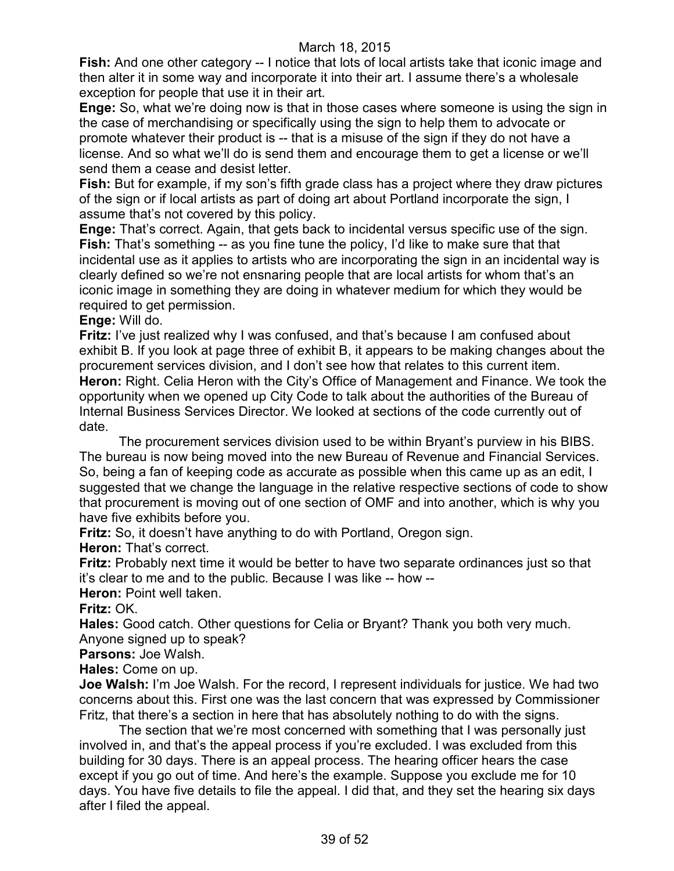**Fish:** And one other category -- I notice that lots of local artists take that iconic image and then alter it in some way and incorporate it into their art. I assume there's a wholesale exception for people that use it in their art.

**Enge:** So, what we're doing now is that in those cases where someone is using the sign in the case of merchandising or specifically using the sign to help them to advocate or promote whatever their product is -- that is a misuse of the sign if they do not have a license. And so what we'll do is send them and encourage them to get a license or we'll send them a cease and desist letter.

**Fish:** But for example, if my son's fifth grade class has a project where they draw pictures of the sign or if local artists as part of doing art about Portland incorporate the sign, I assume that's not covered by this policy.

**Enge:** That's correct. Again, that gets back to incidental versus specific use of the sign. **Fish:** That's something -- as you fine tune the policy, I'd like to make sure that that incidental use as it applies to artists who are incorporating the sign in an incidental way is clearly defined so we're not ensnaring people that are local artists for whom that's an iconic image in something they are doing in whatever medium for which they would be required to get permission.

**Enge:** Will do.

**Fritz:** I've just realized why I was confused, and that's because I am confused about exhibit B. If you look at page three of exhibit B, it appears to be making changes about the procurement services division, and I don't see how that relates to this current item. **Heron:** Right. Celia Heron with the City's Office of Management and Finance. We took the opportunity when we opened up City Code to talk about the authorities of the Bureau of Internal Business Services Director. We looked at sections of the code currently out of date.

The procurement services division used to be within Bryant's purview in his BIBS. The bureau is now being moved into the new Bureau of Revenue and Financial Services. So, being a fan of keeping code as accurate as possible when this came up as an edit, I suggested that we change the language in the relative respective sections of code to show that procurement is moving out of one section of OMF and into another, which is why you have five exhibits before you.

**Fritz:** So, it doesn't have anything to do with Portland, Oregon sign.

**Heron: That's correct.** 

**Fritz:** Probably next time it would be better to have two separate ordinances just so that it's clear to me and to the public. Because I was like -- how --

**Heron:** Point well taken.

**Fritz:** OK.

**Hales:** Good catch. Other questions for Celia or Bryant? Thank you both very much. Anyone signed up to speak?

**Parsons:** Joe Walsh.

**Hales:** Come on up.

**Joe Walsh:** I'm Joe Walsh. For the record, I represent individuals for justice. We had two concerns about this. First one was the last concern that was expressed by Commissioner Fritz, that there's a section in here that has absolutely nothing to do with the signs.

The section that we're most concerned with something that I was personally just involved in, and that's the appeal process if you're excluded. I was excluded from this building for 30 days. There is an appeal process. The hearing officer hears the case except if you go out of time. And here's the example. Suppose you exclude me for 10 days. You have five details to file the appeal. I did that, and they set the hearing six days after I filed the appeal.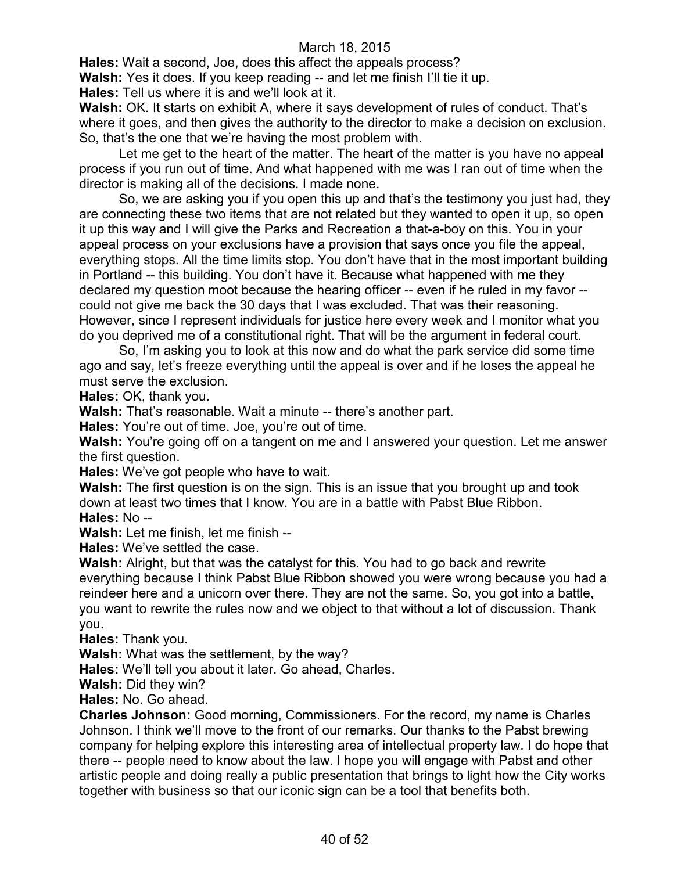**Hales:** Wait a second, Joe, does this affect the appeals process?

**Walsh:** Yes it does. If you keep reading -- and let me finish I'll tie it up.

**Hales:** Tell us where it is and we'll look at it.

**Walsh:** OK. It starts on exhibit A, where it says development of rules of conduct. That's where it goes, and then gives the authority to the director to make a decision on exclusion. So, that's the one that we're having the most problem with.

Let me get to the heart of the matter. The heart of the matter is you have no appeal process if you run out of time. And what happened with me was I ran out of time when the director is making all of the decisions. I made none.

So, we are asking you if you open this up and that's the testimony you just had, they are connecting these two items that are not related but they wanted to open it up, so open it up this way and I will give the Parks and Recreation a that-a-boy on this. You in your appeal process on your exclusions have a provision that says once you file the appeal, everything stops. All the time limits stop. You don't have that in the most important building in Portland -- this building. You don't have it. Because what happened with me they declared my question moot because the hearing officer -- even if he ruled in my favor - could not give me back the 30 days that I was excluded. That was their reasoning. However, since I represent individuals for justice here every week and I monitor what you do you deprived me of a constitutional right. That will be the argument in federal court.

So, I'm asking you to look at this now and do what the park service did some time ago and say, let's freeze everything until the appeal is over and if he loses the appeal he must serve the exclusion.

**Hales:** OK, thank you.

**Walsh:** That's reasonable. Wait a minute -- there's another part.

**Hales:** You're out of time. Joe, you're out of time.

**Walsh:** You're going off on a tangent on me and I answered your question. Let me answer the first question.

**Hales:** We've got people who have to wait.

**Walsh:** The first question is on the sign. This is an issue that you brought up and took down at least two times that I know. You are in a battle with Pabst Blue Ribbon.

**Hales:** No --

**Walsh:** Let me finish, let me finish --

**Hales:** We've settled the case.

**Walsh:** Alright, but that was the catalyst for this. You had to go back and rewrite everything because I think Pabst Blue Ribbon showed you were wrong because you had a reindeer here and a unicorn over there. They are not the same. So, you got into a battle, you want to rewrite the rules now and we object to that without a lot of discussion. Thank you.

**Hales:** Thank you.

**Walsh:** What was the settlement, by the way?

**Hales:** We'll tell you about it later. Go ahead, Charles.

**Walsh:** Did they win?

**Hales:** No. Go ahead.

**Charles Johnson:** Good morning, Commissioners. For the record, my name is Charles Johnson. I think we'll move to the front of our remarks. Our thanks to the Pabst brewing company for helping explore this interesting area of intellectual property law. I do hope that there -- people need to know about the law. I hope you will engage with Pabst and other artistic people and doing really a public presentation that brings to light how the City works together with business so that our iconic sign can be a tool that benefits both.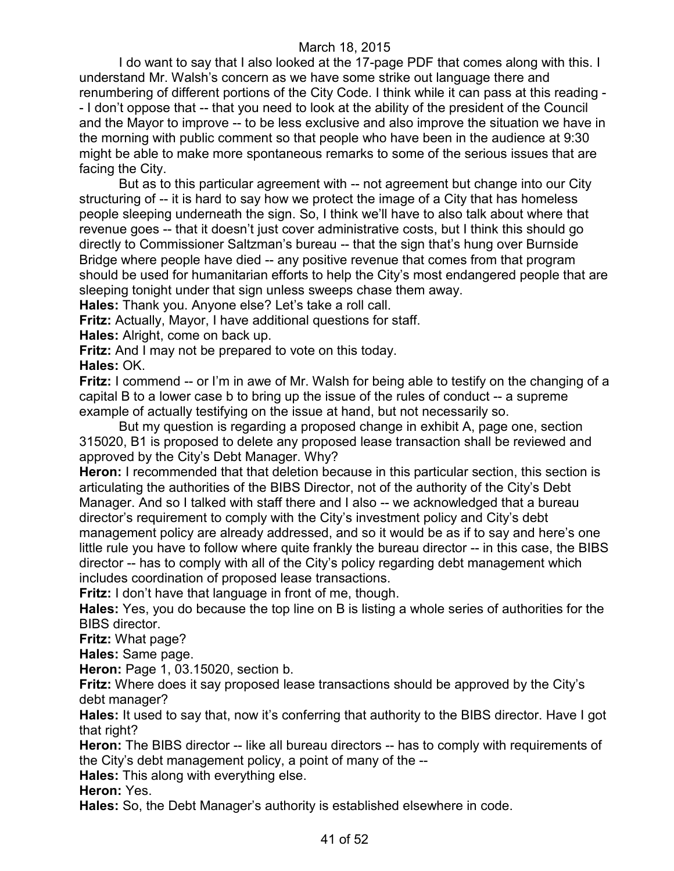I do want to say that I also looked at the 17-page PDF that comes along with this. I understand Mr. Walsh's concern as we have some strike out language there and renumbering of different portions of the City Code. I think while it can pass at this reading - - I don't oppose that -- that you need to look at the ability of the president of the Council and the Mayor to improve -- to be less exclusive and also improve the situation we have in the morning with public comment so that people who have been in the audience at 9:30 might be able to make more spontaneous remarks to some of the serious issues that are facing the City.

But as to this particular agreement with -- not agreement but change into our City structuring of -- it is hard to say how we protect the image of a City that has homeless people sleeping underneath the sign. So, I think we'll have to also talk about where that revenue goes -- that it doesn't just cover administrative costs, but I think this should go directly to Commissioner Saltzman's bureau -- that the sign that's hung over Burnside Bridge where people have died -- any positive revenue that comes from that program should be used for humanitarian efforts to help the City's most endangered people that are sleeping tonight under that sign unless sweeps chase them away.

**Hales:** Thank you. Anyone else? Let's take a roll call.

**Fritz:** Actually, Mayor, I have additional questions for staff.

**Hales:** Alright, come on back up.

**Fritz:** And I may not be prepared to vote on this today.

**Hales:** OK.

**Fritz:** I commend -- or I'm in awe of Mr. Walsh for being able to testify on the changing of a capital B to a lower case b to bring up the issue of the rules of conduct -- a supreme example of actually testifying on the issue at hand, but not necessarily so.

But my question is regarding a proposed change in exhibit A, page one, section 315020, B1 is proposed to delete any proposed lease transaction shall be reviewed and approved by the City's Debt Manager. Why?

**Heron:** I recommended that that deletion because in this particular section, this section is articulating the authorities of the BIBS Director, not of the authority of the City's Debt Manager. And so I talked with staff there and I also -- we acknowledged that a bureau director's requirement to comply with the City's investment policy and City's debt management policy are already addressed, and so it would be as if to say and here's one little rule you have to follow where quite frankly the bureau director -- in this case, the BIBS director -- has to comply with all of the City's policy regarding debt management which includes coordination of proposed lease transactions.

**Fritz:** I don't have that language in front of me, though.

**Hales:** Yes, you do because the top line on B is listing a whole series of authorities for the BIBS director.

**Fritz:** What page?

**Hales:** Same page.

**Heron:** Page 1, 03.15020, section b.

**Fritz:** Where does it say proposed lease transactions should be approved by the City's debt manager?

**Hales:** It used to say that, now it's conferring that authority to the BIBS director. Have I got that right?

**Heron:** The BIBS director -- like all bureau directors -- has to comply with requirements of the City's debt management policy, a point of many of the --

**Hales:** This along with everything else.

**Heron:** Yes.

**Hales:** So, the Debt Manager's authority is established elsewhere in code.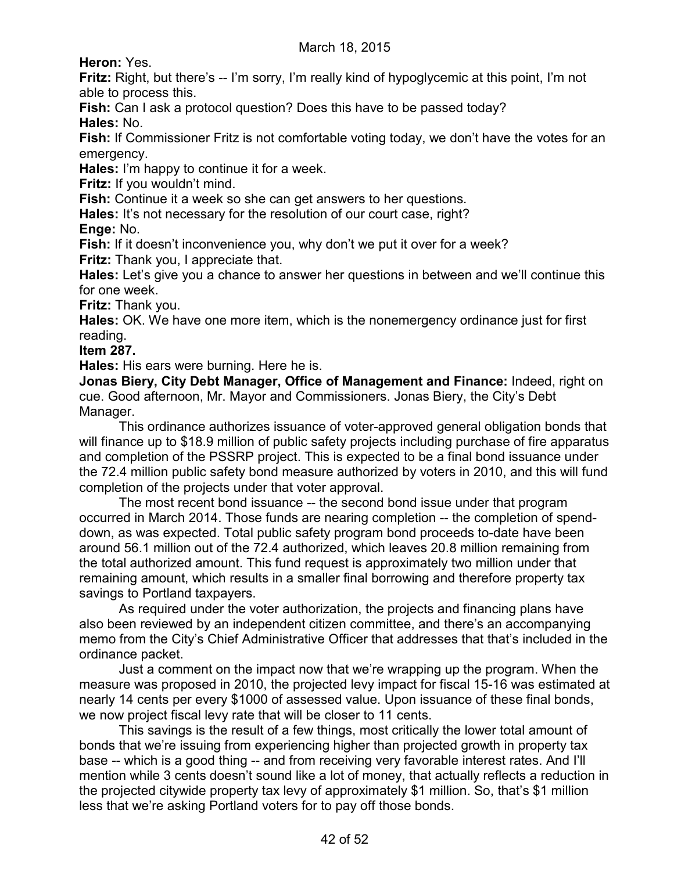**Heron:** Yes.

**Fritz:** Right, but there's -- I'm sorry, I'm really kind of hypoglycemic at this point, I'm not able to process this.

**Fish:** Can I ask a protocol question? Does this have to be passed today? **Hales:** No.

**Fish:** If Commissioner Fritz is not comfortable voting today, we don't have the votes for an emergency.

**Hales:** I'm happy to continue it for a week.

**Fritz:** If you wouldn't mind.

**Fish:** Continue it a week so she can get answers to her questions.

Hales: It's not necessary for the resolution of our court case, right?

**Enge:** No.

Fish: If it doesn't inconvenience you, why don't we put it over for a week?

**Fritz:** Thank you, I appreciate that.

**Hales:** Let's give you a chance to answer her questions in between and we'll continue this for one week.

**Fritz:** Thank you.

**Hales:** OK. We have one more item, which is the nonemergency ordinance just for first reading.

**Item 287.**

**Hales:** His ears were burning. Here he is.

**Jonas Biery, City Debt Manager, Office of Management and Finance:** Indeed, right on cue. Good afternoon, Mr. Mayor and Commissioners. Jonas Biery, the City's Debt Manager.

This ordinance authorizes issuance of voter-approved general obligation bonds that will finance up to \$18.9 million of public safety projects including purchase of fire apparatus and completion of the PSSRP project. This is expected to be a final bond issuance under the 72.4 million public safety bond measure authorized by voters in 2010, and this will fund completion of the projects under that voter approval.

The most recent bond issuance -- the second bond issue under that program occurred in March 2014. Those funds are nearing completion -- the completion of spenddown, as was expected. Total public safety program bond proceeds to-date have been around 56.1 million out of the 72.4 authorized, which leaves 20.8 million remaining from the total authorized amount. This fund request is approximately two million under that remaining amount, which results in a smaller final borrowing and therefore property tax savings to Portland taxpayers.

As required under the voter authorization, the projects and financing plans have also been reviewed by an independent citizen committee, and there's an accompanying memo from the City's Chief Administrative Officer that addresses that that's included in the ordinance packet.

Just a comment on the impact now that we're wrapping up the program. When the measure was proposed in 2010, the projected levy impact for fiscal 15-16 was estimated at nearly 14 cents per every \$1000 of assessed value. Upon issuance of these final bonds, we now project fiscal levy rate that will be closer to 11 cents.

This savings is the result of a few things, most critically the lower total amount of bonds that we're issuing from experiencing higher than projected growth in property tax base -- which is a good thing -- and from receiving very favorable interest rates. And I'll mention while 3 cents doesn't sound like a lot of money, that actually reflects a reduction in the projected citywide property tax levy of approximately \$1 million. So, that's \$1 million less that we're asking Portland voters for to pay off those bonds.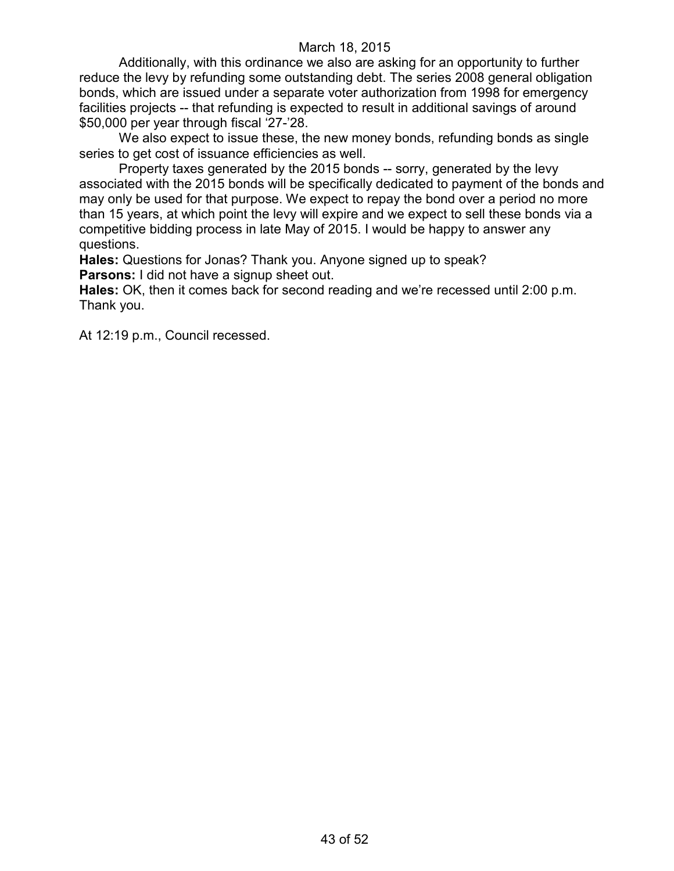Additionally, with this ordinance we also are asking for an opportunity to further reduce the levy by refunding some outstanding debt. The series 2008 general obligation bonds, which are issued under a separate voter authorization from 1998 for emergency facilities projects -- that refunding is expected to result in additional savings of around \$50,000 per year through fiscal '27-'28.

We also expect to issue these, the new money bonds, refunding bonds as single series to get cost of issuance efficiencies as well.

Property taxes generated by the 2015 bonds -- sorry, generated by the levy associated with the 2015 bonds will be specifically dedicated to payment of the bonds and may only be used for that purpose. We expect to repay the bond over a period no more than 15 years, at which point the levy will expire and we expect to sell these bonds via a competitive bidding process in late May of 2015. I would be happy to answer any questions.

**Hales:** Questions for Jonas? Thank you. Anyone signed up to speak? **Parsons:** I did not have a signup sheet out.

**Hales:** OK, then it comes back for second reading and we're recessed until 2:00 p.m. Thank you.

At 12:19 p.m., Council recessed.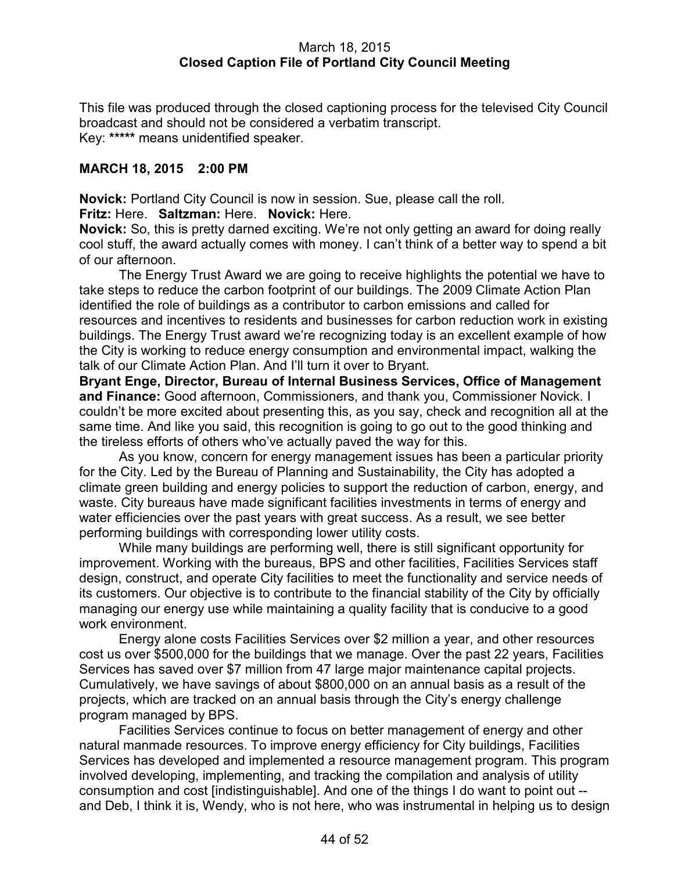### March 18, 2015 **Closed Caption File of Portland City Council Meeting**

This file was produced through the closed captioning process for the televised City Council broadcast and should not be considered a verbatim transcript. Key: **\*\*\*\*\*** means unidentified speaker.

### **MARCH 18, 2015 2:00 PM**

**Novick:** Portland City Council is now in session. Sue, please call the roll.

**Fritz:** Here. **Saltzman:** Here. **Novick:** Here.

**Novick:** So, this is pretty darned exciting. We're not only getting an award for doing really cool stuff, the award actually comes with money. I can't think of a better way to spend a bit of our afternoon.

The Energy Trust Award we are going to receive highlights the potential we have to take steps to reduce the carbon footprint of our buildings. The 2009 Climate Action Plan identified the role of buildings as a contributor to carbon emissions and called for resources and incentives to residents and businesses for carbon reduction work in existing buildings. The Energy Trust award we're recognizing today is an excellent example of how the City is working to reduce energy consumption and environmental impact, walking the talk of our Climate Action Plan. And I'll turn it over to Bryant.

**Bryant Enge, Director, Bureau of Internal Business Services, Office of Management and Finance:** Good afternoon, Commissioners, and thank you, Commissioner Novick. I couldn't be more excited about presenting this, as you say, check and recognition all at the same time. And like you said, this recognition is going to go out to the good thinking and the tireless efforts of others who've actually paved the way for this.

As you know, concern for energy management issues has been a particular priority for the City. Led by the Bureau of Planning and Sustainability, the City has adopted a climate green building and energy policies to support the reduction of carbon, energy, and waste. City bureaus have made significant facilities investments in terms of energy and water efficiencies over the past years with great success. As a result, we see better performing buildings with corresponding lower utility costs.

While many buildings are performing well, there is still significant opportunity for improvement. Working with the bureaus, BPS and other facilities, Facilities Services staff design, construct, and operate City facilities to meet the functionality and service needs of its customers. Our objective is to contribute to the financial stability of the City by officially managing our energy use while maintaining a quality facility that is conducive to a good work environment.

Energy alone costs Facilities Services over \$2 million a year, and other resources cost us over \$500,000 for the buildings that we manage. Over the past 22 years, Facilities Services has saved over \$7 million from 47 large major maintenance capital projects. Cumulatively, we have savings of about \$800,000 on an annual basis as a result of the projects, which are tracked on an annual basis through the City's energy challenge program managed by BPS.

Facilities Services continue to focus on better management of energy and other natural manmade resources. To improve energy efficiency for City buildings, Facilities Services has developed and implemented a resource management program. This program involved developing, implementing, and tracking the compilation and analysis of utility consumption and cost [indistinguishable]. And one of the things I do want to point out - and Deb, I think it is, Wendy, who is not here, who was instrumental in helping us to design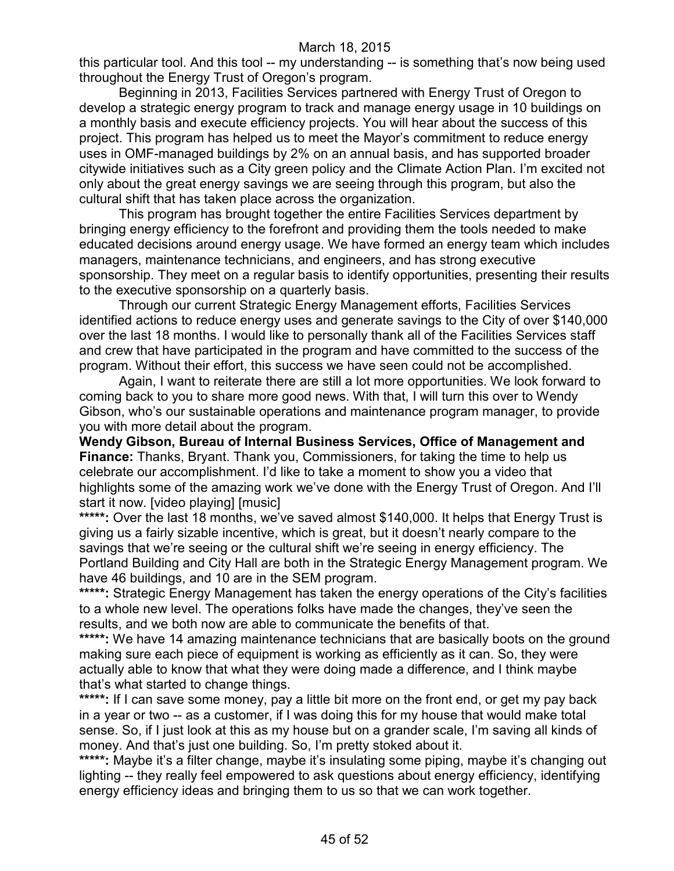this particular tool. And this tool -- my understanding -- is something that's now being used throughout the Energy Trust of Oregon's program.

Beginning in 2013, Facilities Services partnered with Energy Trust of Oregon to develop a strategic energy program to track and manage energy usage in 10 buildings on a monthly basis and execute efficiency projects. You will hear about the success of this project. This program has helped us to meet the Mayor's commitment to reduce energy uses in OMF-managed buildings by 2% on an annual basis, and has supported broader citywide initiatives such as a City green policy and the Climate Action Plan. I'm excited not only about the great energy savings we are seeing through this program, but also the cultural shift that has taken place across the organization.

This program has brought together the entire Facilities Services department by bringing energy efficiency to the forefront and providing them the tools needed to make educated decisions around energy usage. We have formed an energy team which includes managers, maintenance technicians, and engineers, and has strong executive sponsorship. They meet on a regular basis to identify opportunities, presenting their results to the executive sponsorship on a quarterly basis.

Through our current Strategic Energy Management efforts, Facilities Services identified actions to reduce energy uses and generate savings to the City of over \$140,000 over the last 18 months. I would like to personally thank all of the Facilities Services staff and crew that have participated in the program and have committed to the success of the program. Without their effort, this success we have seen could not be accomplished.

Again, I want to reiterate there are still a lot more opportunities. We look forward to coming back to you to share more good news. With that, I will turn this over to Wendy Gibson, who's our sustainable operations and maintenance program manager, to provide you with more detail about the program.

**Wendy Gibson, Bureau of Internal Business Services, Office of Management and Finance:** Thanks, Bryant. Thank you, Commissioners, for taking the time to help us celebrate our accomplishment. I'd like to take a moment to show you a video that highlights some of the amazing work we've done with the Energy Trust of Oregon. And I'll start it now. [video playing] [music]

**\*\*\*\*\*:** Over the last 18 months, we've saved almost \$140,000. It helps that Energy Trust is giving us a fairly sizable incentive, which is great, but it doesn't nearly compare to the savings that we're seeing or the cultural shift we're seeing in energy efficiency. The Portland Building and City Hall are both in the Strategic Energy Management program. We have 46 buildings, and 10 are in the SEM program.

\*\*\*\*\*: Strategic Energy Management has taken the energy operations of the City's facilities to a whole new level. The operations folks have made the changes, they've seen the results, and we both now are able to communicate the benefits of that.

**\*\*\*\*\*:** We have 14 amazing maintenance technicians that are basically boots on the ground making sure each piece of equipment is working as efficiently as it can. So, they were actually able to know that what they were doing made a difference, and I think maybe that's what started to change things.

**\*\*\*\*\*:** If I can save some money, pay a little bit more on the front end, or get my pay back in a year or two -- as a customer, if I was doing this for my house that would make total sense. So, if I just look at this as my house but on a grander scale, I'm saving all kinds of money. And that's just one building. So, I'm pretty stoked about it.

\*\*\*\*\*: Maybe it's a filter change, maybe it's insulating some piping, maybe it's changing out lighting -- they really feel empowered to ask questions about energy efficiency, identifying energy efficiency ideas and bringing them to us so that we can work together.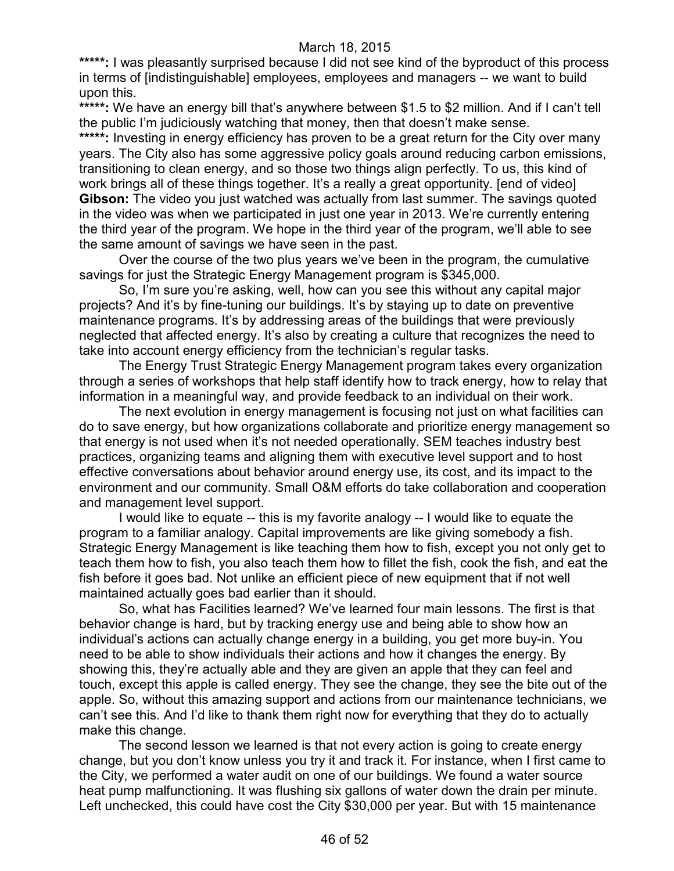\*\*\*\*\*: I was pleasantly surprised because I did not see kind of the byproduct of this process in terms of [indistinguishable] employees, employees and managers -- we want to build upon this.

**\*\*\*\*\*:** We have an energy bill that's anywhere between \$1.5 to \$2 million. And if I can't tell the public I'm judiciously watching that money, then that doesn't make sense. \*\*\*\*\*: Investing in energy efficiency has proven to be a great return for the City over many years. The City also has some aggressive policy goals around reducing carbon emissions, transitioning to clean energy, and so those two things align perfectly. To us, this kind of work brings all of these things together. It's a really a great opportunity. [end of video] **Gibson:** The video you just watched was actually from last summer. The savings quoted in the video was when we participated in just one year in 2013. We're currently entering the third year of the program. We hope in the third year of the program, we'll able to see the same amount of savings we have seen in the past.

Over the course of the two plus years we've been in the program, the cumulative savings for just the Strategic Energy Management program is \$345,000.

So, I'm sure you're asking, well, how can you see this without any capital major projects? And it's by fine-tuning our buildings. It's by staying up to date on preventive maintenance programs. It's by addressing areas of the buildings that were previously neglected that affected energy. It's also by creating a culture that recognizes the need to take into account energy efficiency from the technician's regular tasks.

The Energy Trust Strategic Energy Management program takes every organization through a series of workshops that help staff identify how to track energy, how to relay that information in a meaningful way, and provide feedback to an individual on their work.

The next evolution in energy management is focusing not just on what facilities can do to save energy, but how organizations collaborate and prioritize energy management so that energy is not used when it's not needed operationally. SEM teaches industry best practices, organizing teams and aligning them with executive level support and to host effective conversations about behavior around energy use, its cost, and its impact to the environment and our community. Small O&M efforts do take collaboration and cooperation and management level support.

I would like to equate -- this is my favorite analogy -- I would like to equate the program to a familiar analogy. Capital improvements are like giving somebody a fish. Strategic Energy Management is like teaching them how to fish, except you not only get to teach them how to fish, you also teach them how to fillet the fish, cook the fish, and eat the fish before it goes bad. Not unlike an efficient piece of new equipment that if not well maintained actually goes bad earlier than it should.

So, what has Facilities learned? We've learned four main lessons. The first is that behavior change is hard, but by tracking energy use and being able to show how an individual's actions can actually change energy in a building, you get more buy-in. You need to be able to show individuals their actions and how it changes the energy. By showing this, they're actually able and they are given an apple that they can feel and touch, except this apple is called energy. They see the change, they see the bite out of the apple. So, without this amazing support and actions from our maintenance technicians, we can't see this. And I'd like to thank them right now for everything that they do to actually make this change.

The second lesson we learned is that not every action is going to create energy change, but you don't know unless you try it and track it. For instance, when I first came to the City, we performed a water audit on one of our buildings. We found a water source heat pump malfunctioning. It was flushing six gallons of water down the drain per minute. Left unchecked, this could have cost the City \$30,000 per year. But with 15 maintenance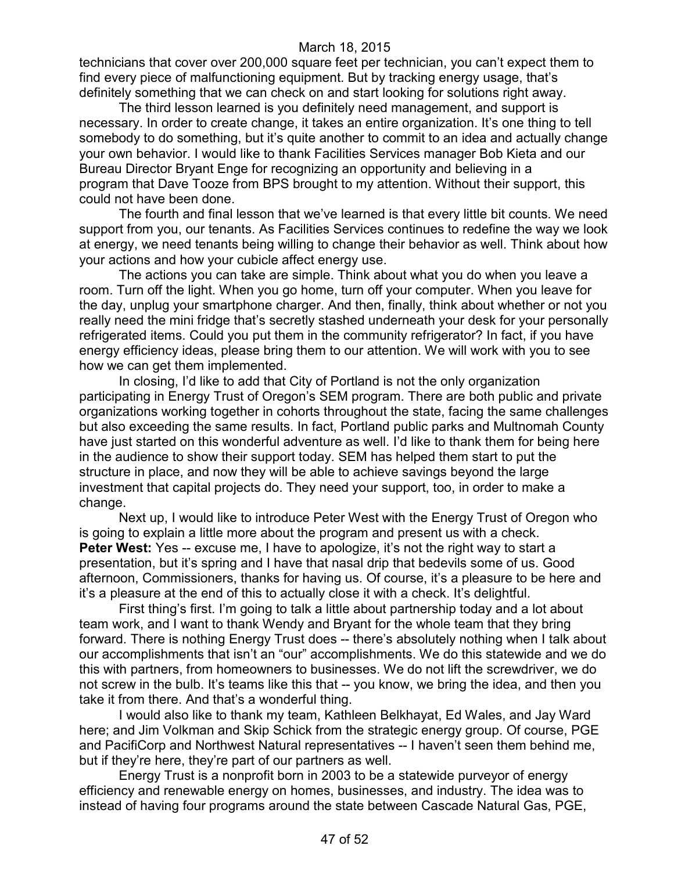technicians that cover over 200,000 square feet per technician, you can't expect them to find every piece of malfunctioning equipment. But by tracking energy usage, that's definitely something that we can check on and start looking for solutions right away.

The third lesson learned is you definitely need management, and support is necessary. In order to create change, it takes an entire organization. It's one thing to tell somebody to do something, but it's quite another to commit to an idea and actually change your own behavior. I would like to thank Facilities Services manager Bob Kieta and our Bureau Director Bryant Enge for recognizing an opportunity and believing in a program that Dave Tooze from BPS brought to my attention. Without their support, this could not have been done.

The fourth and final lesson that we've learned is that every little bit counts. We need support from you, our tenants. As Facilities Services continues to redefine the way we look at energy, we need tenants being willing to change their behavior as well. Think about how your actions and how your cubicle affect energy use.

The actions you can take are simple. Think about what you do when you leave a room. Turn off the light. When you go home, turn off your computer. When you leave for the day, unplug your smartphone charger. And then, finally, think about whether or not you really need the mini fridge that's secretly stashed underneath your desk for your personally refrigerated items. Could you put them in the community refrigerator? In fact, if you have energy efficiency ideas, please bring them to our attention. We will work with you to see how we can get them implemented.

In closing, I'd like to add that City of Portland is not the only organization participating in Energy Trust of Oregon's SEM program. There are both public and private organizations working together in cohorts throughout the state, facing the same challenges but also exceeding the same results. In fact, Portland public parks and Multnomah County have just started on this wonderful adventure as well. I'd like to thank them for being here in the audience to show their support today. SEM has helped them start to put the structure in place, and now they will be able to achieve savings beyond the large investment that capital projects do. They need your support, too, in order to make a change.

Next up, I would like to introduce Peter West with the Energy Trust of Oregon who is going to explain a little more about the program and present us with a check. **Peter West:** Yes -- excuse me, I have to apologize, it's not the right way to start a presentation, but it's spring and I have that nasal drip that bedevils some of us. Good afternoon, Commissioners, thanks for having us. Of course, it's a pleasure to be here and it's a pleasure at the end of this to actually close it with a check. It's delightful.

First thing's first. I'm going to talk a little about partnership today and a lot about team work, and I want to thank Wendy and Bryant for the whole team that they bring forward. There is nothing Energy Trust does -- there's absolutely nothing when I talk about our accomplishments that isn't an "our" accomplishments. We do this statewide and we do this with partners, from homeowners to businesses. We do not lift the screwdriver, we do not screw in the bulb. It's teams like this that -- you know, we bring the idea, and then you take it from there. And that's a wonderful thing.

I would also like to thank my team, Kathleen Belkhayat, Ed Wales, and Jay Ward here; and Jim Volkman and Skip Schick from the strategic energy group. Of course, PGE and PacifiCorp and Northwest Natural representatives -- I haven't seen them behind me, but if they're here, they're part of our partners as well.

Energy Trust is a nonprofit born in 2003 to be a statewide purveyor of energy efficiency and renewable energy on homes, businesses, and industry. The idea was to instead of having four programs around the state between Cascade Natural Gas, PGE,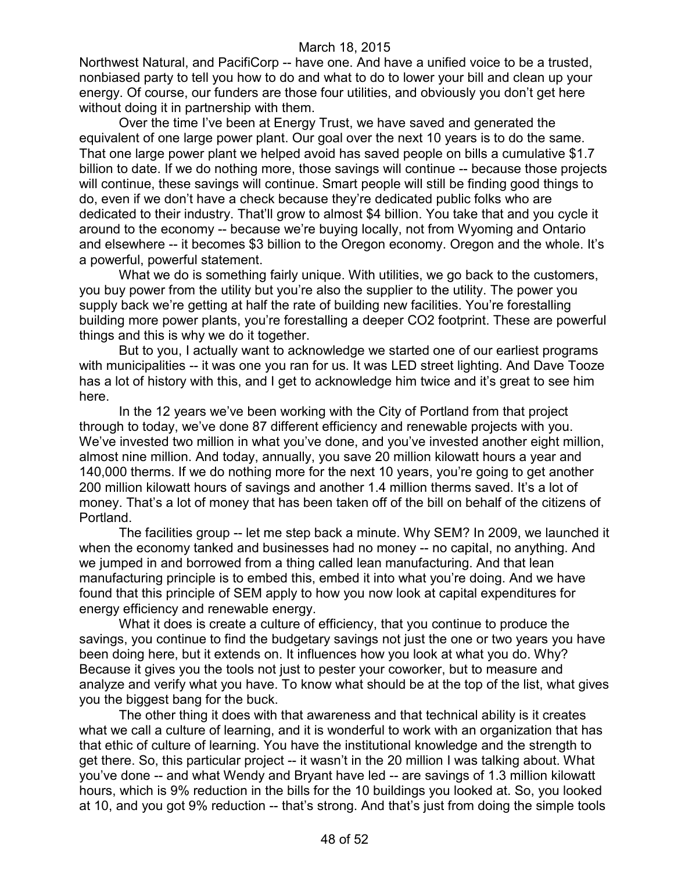Northwest Natural, and PacifiCorp -- have one. And have a unified voice to be a trusted, nonbiased party to tell you how to do and what to do to lower your bill and clean up your energy. Of course, our funders are those four utilities, and obviously you don't get here without doing it in partnership with them.

Over the time I've been at Energy Trust, we have saved and generated the equivalent of one large power plant. Our goal over the next 10 years is to do the same. That one large power plant we helped avoid has saved people on bills a cumulative \$1.7 billion to date. If we do nothing more, those savings will continue -- because those projects will continue, these savings will continue. Smart people will still be finding good things to do, even if we don't have a check because they're dedicated public folks who are dedicated to their industry. That'll grow to almost \$4 billion. You take that and you cycle it around to the economy -- because we're buying locally, not from Wyoming and Ontario and elsewhere -- it becomes \$3 billion to the Oregon economy. Oregon and the whole. It's a powerful, powerful statement.

What we do is something fairly unique. With utilities, we go back to the customers, you buy power from the utility but you're also the supplier to the utility. The power you supply back we're getting at half the rate of building new facilities. You're forestalling building more power plants, you're forestalling a deeper CO2 footprint. These are powerful things and this is why we do it together.

But to you, I actually want to acknowledge we started one of our earliest programs with municipalities -- it was one you ran for us. It was LED street lighting. And Dave Tooze has a lot of history with this, and I get to acknowledge him twice and it's great to see him here.

In the 12 years we've been working with the City of Portland from that project through to today, we've done 87 different efficiency and renewable projects with you. We've invested two million in what you've done, and you've invested another eight million, almost nine million. And today, annually, you save 20 million kilowatt hours a year and 140,000 therms. If we do nothing more for the next 10 years, you're going to get another 200 million kilowatt hours of savings and another 1.4 million therms saved. It's a lot of money. That's a lot of money that has been taken off of the bill on behalf of the citizens of Portland.

The facilities group -- let me step back a minute. Why SEM? In 2009, we launched it when the economy tanked and businesses had no money -- no capital, no anything. And we jumped in and borrowed from a thing called lean manufacturing. And that lean manufacturing principle is to embed this, embed it into what you're doing. And we have found that this principle of SEM apply to how you now look at capital expenditures for energy efficiency and renewable energy.

What it does is create a culture of efficiency, that you continue to produce the savings, you continue to find the budgetary savings not just the one or two years you have been doing here, but it extends on. It influences how you look at what you do. Why? Because it gives you the tools not just to pester your coworker, but to measure and analyze and verify what you have. To know what should be at the top of the list, what gives you the biggest bang for the buck.

The other thing it does with that awareness and that technical ability is it creates what we call a culture of learning, and it is wonderful to work with an organization that has that ethic of culture of learning. You have the institutional knowledge and the strength to get there. So, this particular project -- it wasn't in the 20 million I was talking about. What you've done -- and what Wendy and Bryant have led -- are savings of 1.3 million kilowatt hours, which is 9% reduction in the bills for the 10 buildings you looked at. So, you looked at 10, and you got 9% reduction -- that's strong. And that's just from doing the simple tools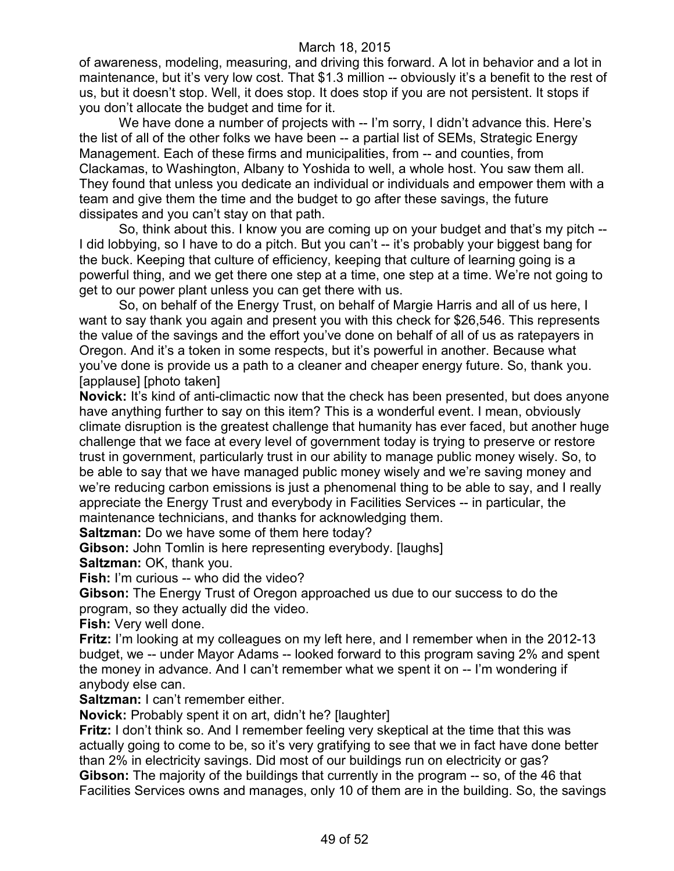of awareness, modeling, measuring, and driving this forward. A lot in behavior and a lot in maintenance, but it's very low cost. That \$1.3 million -- obviously it's a benefit to the rest of us, but it doesn't stop. Well, it does stop. It does stop if you are not persistent. It stops if you don't allocate the budget and time for it.

We have done a number of projects with -- I'm sorry, I didn't advance this. Here's the list of all of the other folks we have been -- a partial list of SEMs, Strategic Energy Management. Each of these firms and municipalities, from -- and counties, from Clackamas, to Washington, Albany to Yoshida to well, a whole host. You saw them all. They found that unless you dedicate an individual or individuals and empower them with a team and give them the time and the budget to go after these savings, the future dissipates and you can't stay on that path.

So, think about this. I know you are coming up on your budget and that's my pitch -- I did lobbying, so I have to do a pitch. But you can't -- it's probably your biggest bang for the buck. Keeping that culture of efficiency, keeping that culture of learning going is a powerful thing, and we get there one step at a time, one step at a time. We're not going to get to our power plant unless you can get there with us.

So, on behalf of the Energy Trust, on behalf of Margie Harris and all of us here, I want to say thank you again and present you with this check for \$26,546. This represents the value of the savings and the effort you've done on behalf of all of us as ratepayers in Oregon. And it's a token in some respects, but it's powerful in another. Because what you've done is provide us a path to a cleaner and cheaper energy future. So, thank you. [applause] [photo taken]

**Novick:** It's kind of anti-climactic now that the check has been presented, but does anyone have anything further to say on this item? This is a wonderful event. I mean, obviously climate disruption is the greatest challenge that humanity has ever faced, but another huge challenge that we face at every level of government today is trying to preserve or restore trust in government, particularly trust in our ability to manage public money wisely. So, to be able to say that we have managed public money wisely and we're saving money and we're reducing carbon emissions is just a phenomenal thing to be able to say, and I really appreciate the Energy Trust and everybody in Facilities Services -- in particular, the maintenance technicians, and thanks for acknowledging them.

**Saltzman:** Do we have some of them here today?

**Gibson:** John Tomlin is here representing everybody. [laughs] **Saltzman:** OK, thank you.

**Fish:** I'm curious -- who did the video?

**Gibson:** The Energy Trust of Oregon approached us due to our success to do the program, so they actually did the video.

**Fish:** Very well done.

**Fritz:** I'm looking at my colleagues on my left here, and I remember when in the 2012-13 budget, we -- under Mayor Adams -- looked forward to this program saving 2% and spent the money in advance. And I can't remember what we spent it on -- I'm wondering if anybody else can.

**Saltzman:** I can't remember either.

**Novick:** Probably spent it on art, didn't he? [laughter]

**Fritz:** I don't think so. And I remember feeling very skeptical at the time that this was actually going to come to be, so it's very gratifying to see that we in fact have done better than 2% in electricity savings. Did most of our buildings run on electricity or gas? **Gibson:** The majority of the buildings that currently in the program -- so, of the 46 that Facilities Services owns and manages, only 10 of them are in the building. So, the savings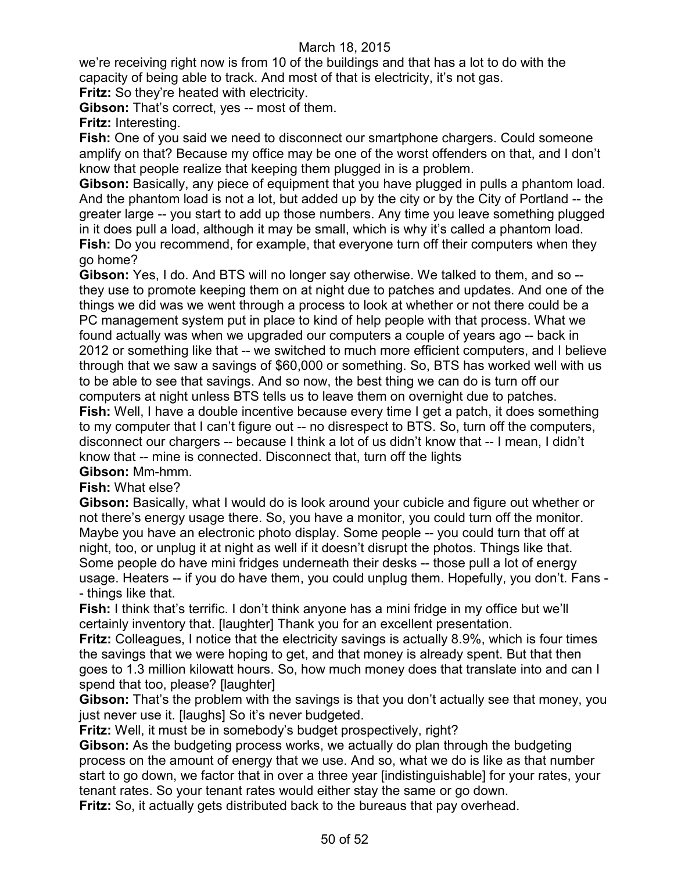we're receiving right now is from 10 of the buildings and that has a lot to do with the capacity of being able to track. And most of that is electricity, it's not gas.

**Fritz:** So they're heated with electricity.

**Gibson:** That's correct, yes -- most of them.

**Fritz:** Interesting.

**Fish:** One of you said we need to disconnect our smartphone chargers. Could someone amplify on that? Because my office may be one of the worst offenders on that, and I don't know that people realize that keeping them plugged in is a problem.

**Gibson:** Basically, any piece of equipment that you have plugged in pulls a phantom load. And the phantom load is not a lot, but added up by the city or by the City of Portland -- the greater large -- you start to add up those numbers. Any time you leave something plugged in it does pull a load, although it may be small, which is why it's called a phantom load. **Fish:** Do you recommend, for example, that everyone turn off their computers when they go home?

**Gibson:** Yes, I do. And BTS will no longer say otherwise. We talked to them, and so - they use to promote keeping them on at night due to patches and updates. And one of the things we did was we went through a process to look at whether or not there could be a PC management system put in place to kind of help people with that process. What we found actually was when we upgraded our computers a couple of years ago -- back in 2012 or something like that -- we switched to much more efficient computers, and I believe through that we saw a savings of \$60,000 or something. So, BTS has worked well with us to be able to see that savings. And so now, the best thing we can do is turn off our computers at night unless BTS tells us to leave them on overnight due to patches. **Fish:** Well, I have a double incentive because every time I get a patch, it does something to my computer that I can't figure out -- no disrespect to BTS. So, turn off the computers, disconnect our chargers -- because I think a lot of us didn't know that -- I mean, I didn't know that -- mine is connected. Disconnect that, turn off the lights **Gibson:** Mm-hmm.

### **Fish:** What else?

**Gibson:** Basically, what I would do is look around your cubicle and figure out whether or not there's energy usage there. So, you have a monitor, you could turn off the monitor. Maybe you have an electronic photo display. Some people -- you could turn that off at night, too, or unplug it at night as well if it doesn't disrupt the photos. Things like that. Some people do have mini fridges underneath their desks -- those pull a lot of energy usage. Heaters -- if you do have them, you could unplug them. Hopefully, you don't. Fans - - things like that.

**Fish:** I think that's terrific. I don't think anyone has a mini fridge in my office but we'll certainly inventory that. [laughter] Thank you for an excellent presentation.

**Fritz:** Colleagues, I notice that the electricity savings is actually 8.9%, which is four times the savings that we were hoping to get, and that money is already spent. But that then goes to 1.3 million kilowatt hours. So, how much money does that translate into and can I spend that too, please? [laughter]

**Gibson:** That's the problem with the savings is that you don't actually see that money, you just never use it. [laughs] So it's never budgeted.

**Fritz:** Well, it must be in somebody's budget prospectively, right?

**Gibson:** As the budgeting process works, we actually do plan through the budgeting process on the amount of energy that we use. And so, what we do is like as that number start to go down, we factor that in over a three year [indistinguishable] for your rates, your tenant rates. So your tenant rates would either stay the same or go down.

**Fritz:** So, it actually gets distributed back to the bureaus that pay overhead.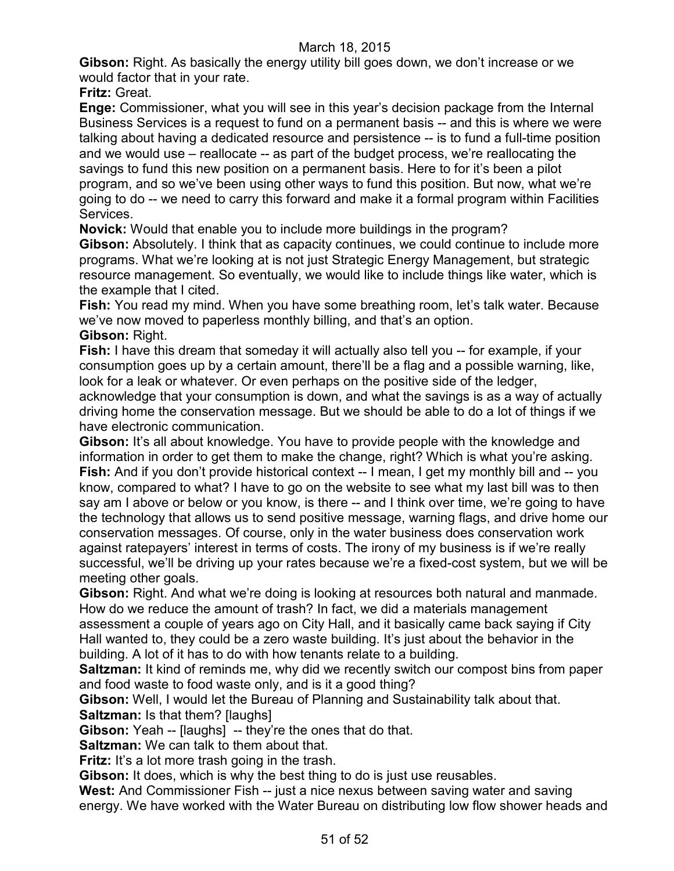**Gibson:** Right. As basically the energy utility bill goes down, we don't increase or we would factor that in your rate.

**Fritz:** Great.

**Enge:** Commissioner, what you will see in this year's decision package from the Internal Business Services is a request to fund on a permanent basis -- and this is where we were talking about having a dedicated resource and persistence -- is to fund a full-time position and we would use – reallocate -- as part of the budget process, we're reallocating the savings to fund this new position on a permanent basis. Here to for it's been a pilot program, and so we've been using other ways to fund this position. But now, what we're going to do -- we need to carry this forward and make it a formal program within Facilities Services.

**Novick:** Would that enable you to include more buildings in the program?

**Gibson:** Absolutely. I think that as capacity continues, we could continue to include more programs. What we're looking at is not just Strategic Energy Management, but strategic resource management. So eventually, we would like to include things like water, which is the example that I cited.

**Fish:** You read my mind. When you have some breathing room, let's talk water. Because we've now moved to paperless monthly billing, and that's an option.

#### **Gibson:** Right.

**Fish:** I have this dream that someday it will actually also tell you -- for example, if your consumption goes up by a certain amount, there'll be a flag and a possible warning, like, look for a leak or whatever. Or even perhaps on the positive side of the ledger, acknowledge that your consumption is down, and what the savings is as a way of actually driving home the conservation message. But we should be able to do a lot of things if we have electronic communication.

**Gibson:** It's all about knowledge. You have to provide people with the knowledge and information in order to get them to make the change, right? Which is what you're asking. **Fish:** And if you don't provide historical context -- I mean, I get my monthly bill and -- you know, compared to what? I have to go on the website to see what my last bill was to then say am I above or below or you know, is there -- and I think over time, we're going to have the technology that allows us to send positive message, warning flags, and drive home our conservation messages. Of course, only in the water business does conservation work against ratepayers' interest in terms of costs. The irony of my business is if we're really successful, we'll be driving up your rates because we're a fixed-cost system, but we will be meeting other goals.

**Gibson:** Right. And what we're doing is looking at resources both natural and manmade. How do we reduce the amount of trash? In fact, we did a materials management assessment a couple of years ago on City Hall, and it basically came back saying if City Hall wanted to, they could be a zero waste building. It's just about the behavior in the building. A lot of it has to do with how tenants relate to a building.

**Saltzman:** It kind of reminds me, why did we recently switch our compost bins from paper and food waste to food waste only, and is it a good thing?

**Gibson:** Well, I would let the Bureau of Planning and Sustainability talk about that. **Saltzman:** Is that them? [laughs]

**Gibson:** Yeah -- [laughs] -- they're the ones that do that.

**Saltzman:** We can talk to them about that.

**Fritz:** It's a lot more trash going in the trash.

**Gibson:** It does, which is why the best thing to do is just use reusables.

**West:** And Commissioner Fish -- just a nice nexus between saving water and saving energy. We have worked with the Water Bureau on distributing low flow shower heads and